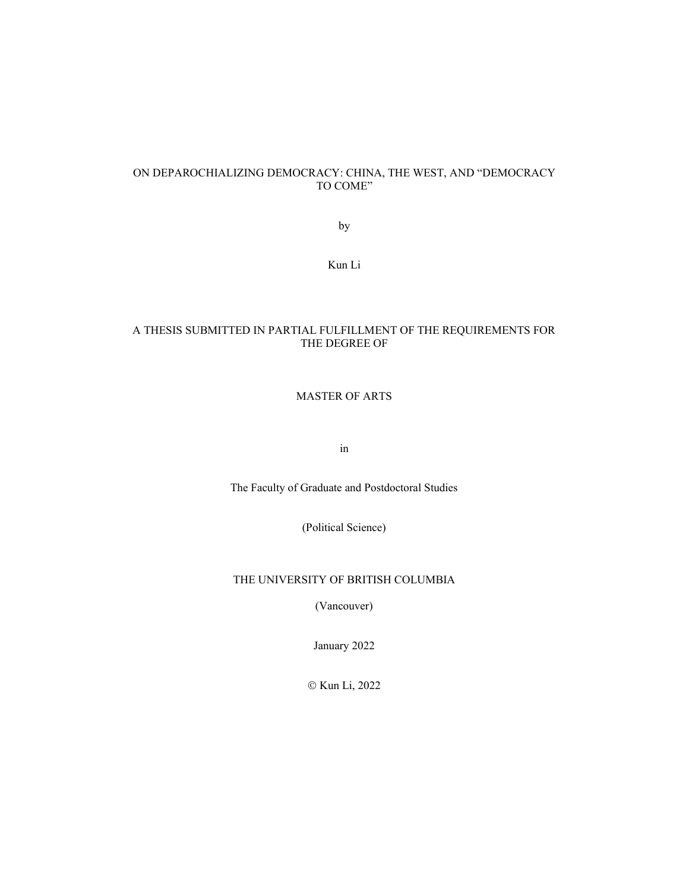## ON DEPAROCHIALIZING DEMOCRACY: CHINA, THE WEST, AND "DEMOCRACY TO COME"

by

Kun Li

## A THESIS SUBMITTED IN PARTIAL FULFILLMENT OF THE REQUIREMENTS FOR THE DEGREE OF

## MASTER OF ARTS

in

The Faculty of Graduate and Postdoctoral Studies

(Political Science)

## THE UNIVERSITY OF BRITISH COLUMBIA

(Vancouver)

January 2022

© Kun Li, 2022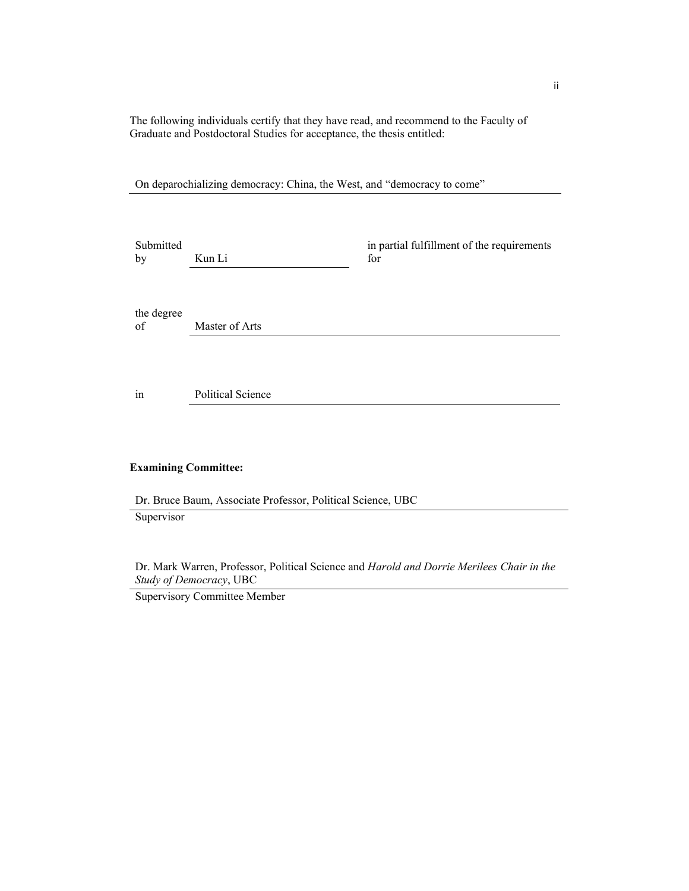The following individuals certify that they have read, and recommend to the Faculty of Graduate and Postdoctoral Studies for acceptance, the thesis entitled:

On deparochializing democracy: China, the West, and "democracy to come"

Submitted by Kun Li

in partial fulfillment of the requirements for

the degree of Master of Arts

in Political Science

## **Examining Committee:**

Dr. Bruce Baum, Associate Professor, Political Science, UBC Supervisor

Dr. Mark Warren, Professor, Political Science and *Harold and Dorrie Merilees Chair in the Study of Democracy*, UBC

Supervisory Committee Member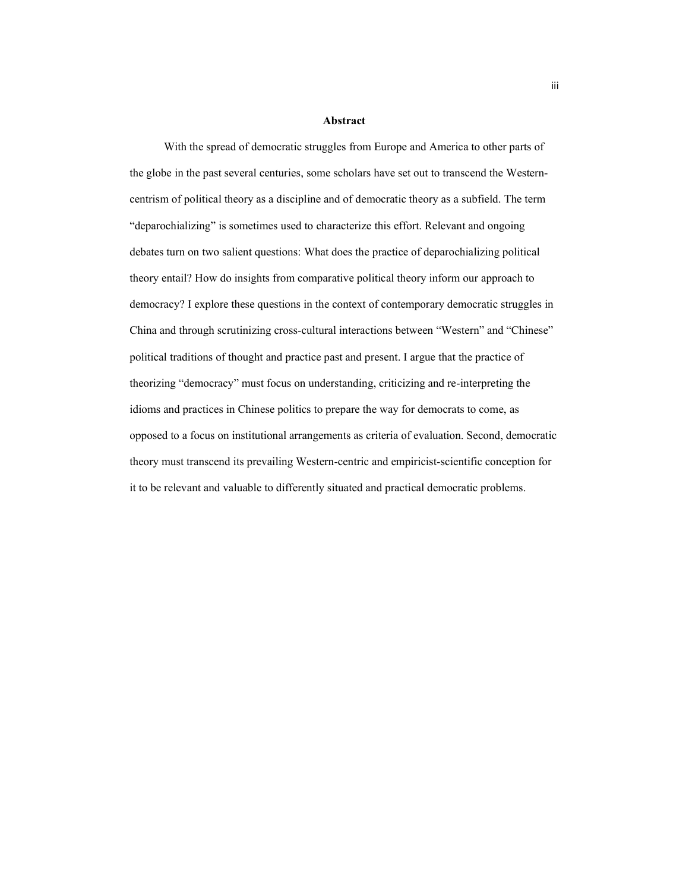#### **Abstract**

With the spread of democratic struggles from Europe and America to other parts of the globe in the past several centuries, some scholars have set out to transcend the Westerncentrism of political theory as a discipline and of democratic theory as a subfield. The term "deparochializing" is sometimes used to characterize this effort. Relevant and ongoing debates turn on two salient questions: What does the practice of deparochializing political theory entail? How do insights from comparative political theory inform our approach to democracy? I explore these questions in the context of contemporary democratic struggles in China and through scrutinizing cross-cultural interactions between "Western" and "Chinese" political traditions of thought and practice past and present. I argue that the practice of theorizing "democracy" must focus on understanding, criticizing and re-interpreting the idioms and practices in Chinese politics to prepare the way for democrats to come, as opposed to a focus on institutional arrangements as criteria of evaluation. Second, democratic theory must transcend its prevailing Western-centric and empiricist-scientific conception for it to be relevant and valuable to differently situated and practical democratic problems.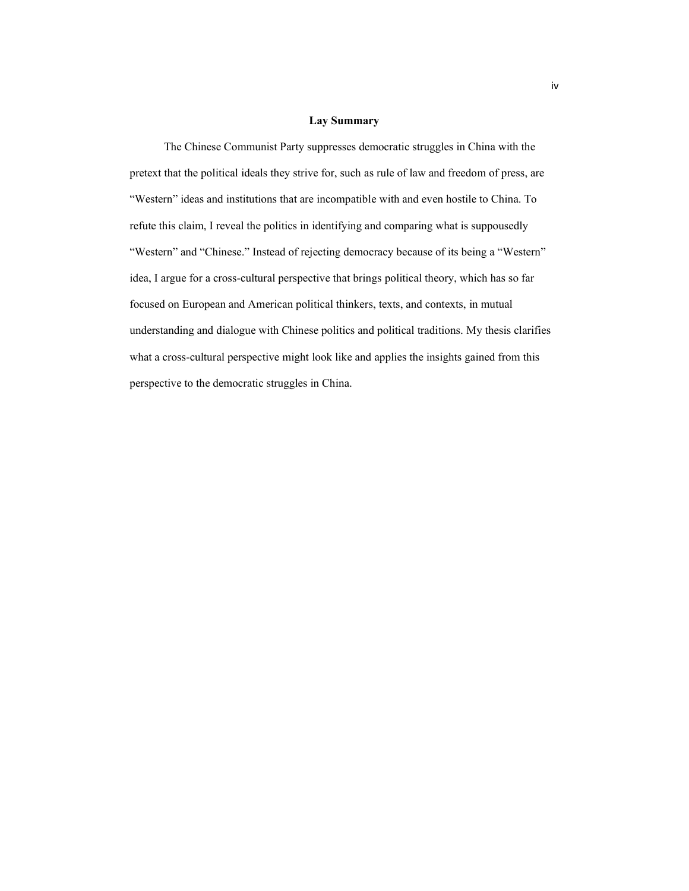#### **Lay Summary**

The Chinese Communist Party suppresses democratic struggles in China with the pretext that the political ideals they strive for, such as rule of law and freedom of press, are "Western" ideas and institutions that are incompatible with and even hostile to China. To refute this claim, I reveal the politics in identifying and comparing what is suppousedly "Western" and "Chinese." Instead of rejecting democracy because of its being a "Western" idea, I argue for a cross-cultural perspective that brings political theory, which has so far focused on European and American political thinkers, texts, and contexts, in mutual understanding and dialogue with Chinese politics and political traditions. My thesis clarifies what a cross-cultural perspective might look like and applies the insights gained from this perspective to the democratic struggles in China.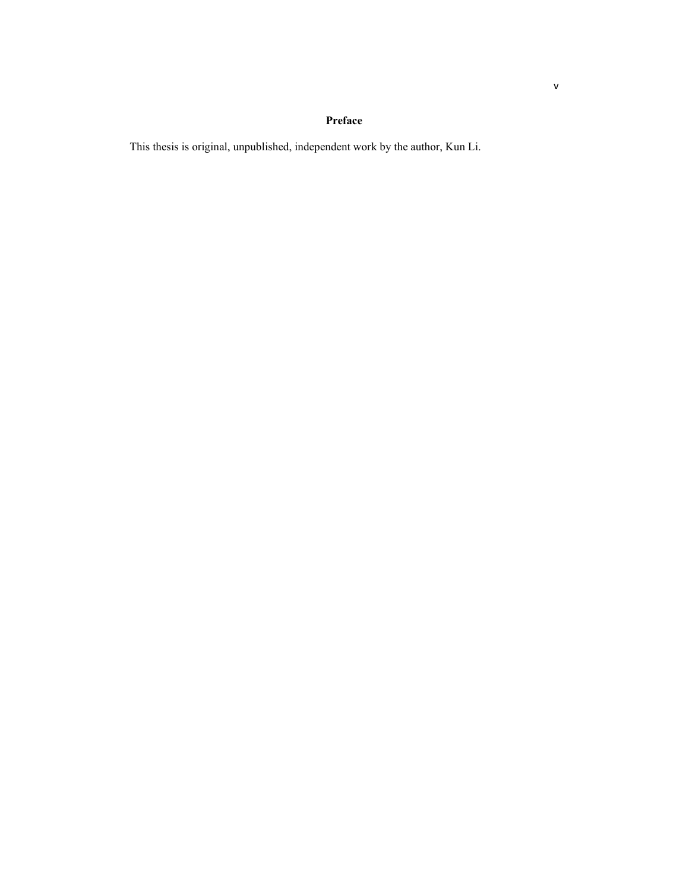# **Preface**

This thesis is original, unpublished, independent work by the author, Kun Li.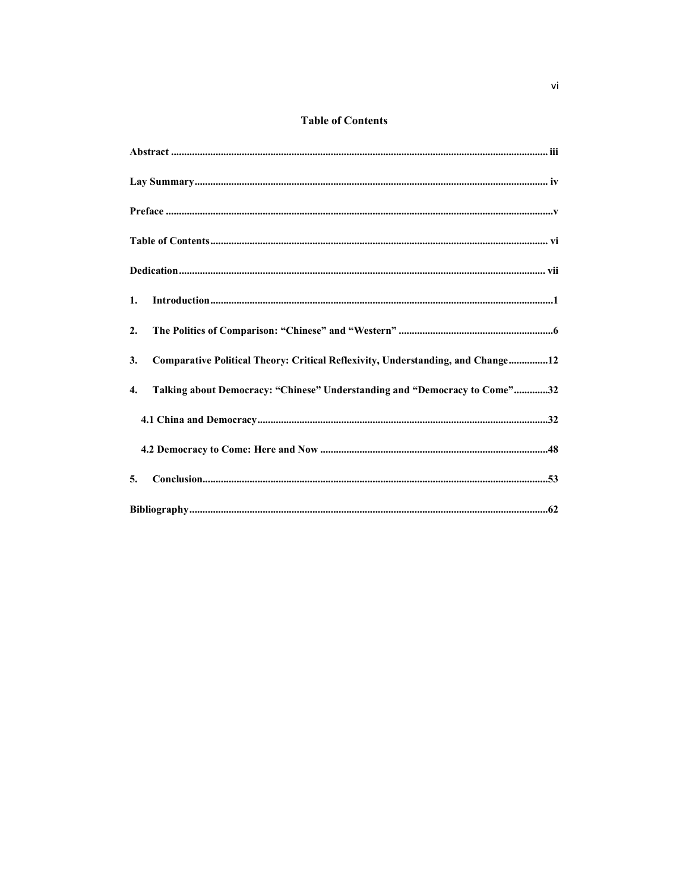# **Table of Contents**

| 1.                                                                                    |
|---------------------------------------------------------------------------------------|
| 2.                                                                                    |
| Comparative Political Theory: Critical Reflexivity, Understanding, and Change12<br>3. |
| Talking about Democracy: "Chinese" Understanding and "Democracy to Come"32<br>4.      |
|                                                                                       |
|                                                                                       |
| 5.                                                                                    |
|                                                                                       |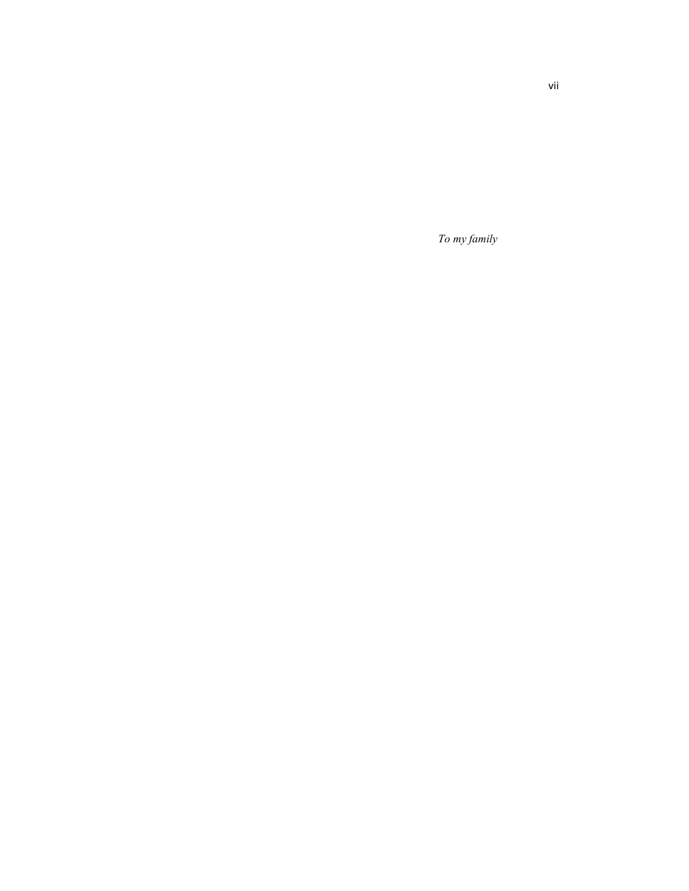*To my family*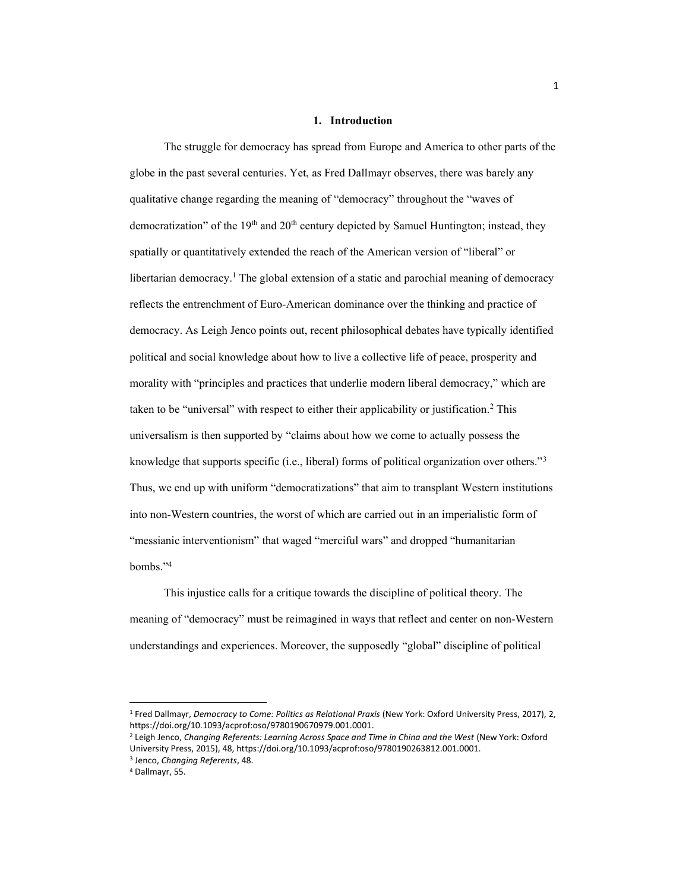#### **1. Introduction**

The struggle for democracy has spread from Europe and America to other parts of the globe in the past several centuries. Yet, as Fred Dallmayr observes, there was barely any qualitative change regarding the meaning of "democracy" throughout the "waves of democratization" of the  $19<sup>th</sup>$  and  $20<sup>th</sup>$  century depicted by Samuel Huntington; instead, they spatially or quantitatively extended the reach of the American version of "liberal" or libertarian democracy.<sup>1</sup> The global extension of a static and parochial meaning of democracy reflects the entrenchment of Euro-American dominance over the thinking and practice of democracy. As Leigh Jenco points out, recent philosophical debates have typically identified political and social knowledge about how to live a collective life of peace, prosperity and morality with "principles and practices that underlie modern liberal democracy," which are taken to be "universal" with respect to either their applicability or justification.<sup>2</sup> This universalism is then supported by "claims about how we come to actually possess the knowledge that supports specific (i.e., liberal) forms of political organization over others."<sup>3</sup> Thus, we end up with uniform "democratizations" that aim to transplant Western institutions into non-Western countries, the worst of which are carried out in an imperialistic form of "messianic interventionism" that waged "merciful wars" and dropped "humanitarian" bombs."<sup>4</sup>

This injustice calls for a critique towards the discipline of political theory. The meaning of "democracy" must be reimagined in ways that reflect and center on non-Western understandings and experiences. Moreover, the supposedly "global" discipline of political

<sup>1</sup> Fred Dallmayr, *Democracy to Come: Politics as Relational Praxis* (New York: Oxford University Press, 2017), 2, https://doi.org/10.1093/acprof:oso/9780190670979.001.0001.

<sup>2</sup> Leigh Jenco, *Changing Referents: Learning Across Space and Time in China and the West* (New York: Oxford University Press, 2015), 48, https://doi.org/10.1093/acprof:oso/9780190263812.001.0001.

<sup>3</sup> Jenco, *Changing Referents*, 48.

<sup>4</sup> Dallmayr, 55.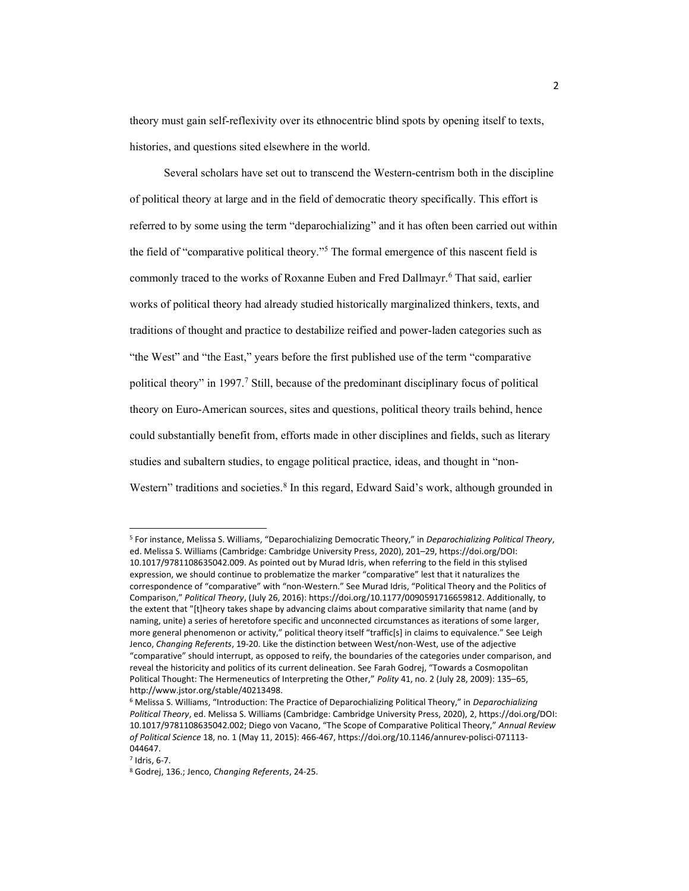theory must gain self-reflexivity over its ethnocentric blind spots by opening itself to texts, histories, and questions sited elsewhere in the world.

Several scholars have set out to transcend the Western-centrism both in the discipline of political theory at large and in the field of democratic theory specifically. This effort is referred to by some using the term "deparochializing" and it has often been carried out within the field of "comparative political theory."<sup>5</sup> The formal emergence of this nascent field is commonly traced to the works of Roxanne Euben and Fred Dallmayr. <sup>6</sup> That said, earlier works of political theory had already studied historically marginalized thinkers, texts, and traditions of thought and practice to destabilize reified and power-laden categories such as "the West" and "the East," years before the first published use of the term "comparative" political theory" in 1997.<sup>7</sup> Still, because of the predominant disciplinary focus of political theory on Euro-American sources, sites and questions, political theory trails behind, hence could substantially benefit from, efforts made in other disciplines and fields, such as literary studies and subaltern studies, to engage political practice, ideas, and thought in "non-Western" traditions and societies.<sup>8</sup> In this regard, Edward Said's work, although grounded in

<sup>7</sup> Idris, 6-7.

<sup>&</sup>lt;sup>5</sup> For instance, Melissa S. Williams, "Deparochializing Democratic Theory," in Deparochializing Political Theory, ed. Melissa S. Williams (Cambridge: Cambridge University Press, 2020), 201-29, https://doi.org/DOI: 10.1017/9781108635042.009. As pointed out by Murad Idris, when referring to the field in this stylised expression, we should continue to problematize the marker "comparative" lest that it naturalizes the correspondence of "comparative" with "non-Western." See Murad Idris, "Political Theory and the Politics of Comparison," Political Theory, (July 26, 2016): https://doi.org/10.1177/0090591716659812. Additionally, to the extent that "[t]heory takes shape by advancing claims about comparative similarity that name (and by naming, unite) a series of heretofore specific and unconnected circumstances as iterations of some larger, more general phenomenon or activity," political theory itself "traffic[s] in claims to equivalence." See Leigh Jenco, *Changing Referents*, 19-20. Like the distinction between West/non-West, use of the adjective "comparative" should interrupt, as opposed to reify, the boundaries of the categories under comparison, and reveal the historicity and politics of its current delineation. See Farah Godrej, "Towards a Cosmopolitan Political Thought: The Hermeneutics of Interpreting the Other," Polity 41, no. 2 (July 28, 2009): 135-65, http://www.jstor.org/stable/40213498.

<sup>&</sup>lt;sup>6</sup> Melissa S. Williams, "Introduction: The Practice of Deparochializing Political Theory," in Deparochializing *Political Theory*, ed. Melissa S. Williams (Cambridge: Cambridge University Press, 2020), 2, https://doi.org/DOI: 10.1017/9781108635042.002; Diego von Vacano, "The Scope of Comparative Political Theory," Annual Review *of Political Science* 18, no. 1 (May 11, 2015): 466-467, https://doi.org/10.1146/annurev-polisci-071113- 044647.

<sup>8</sup> Godrej, 136.; Jenco, *Changing Referents*, 24-25.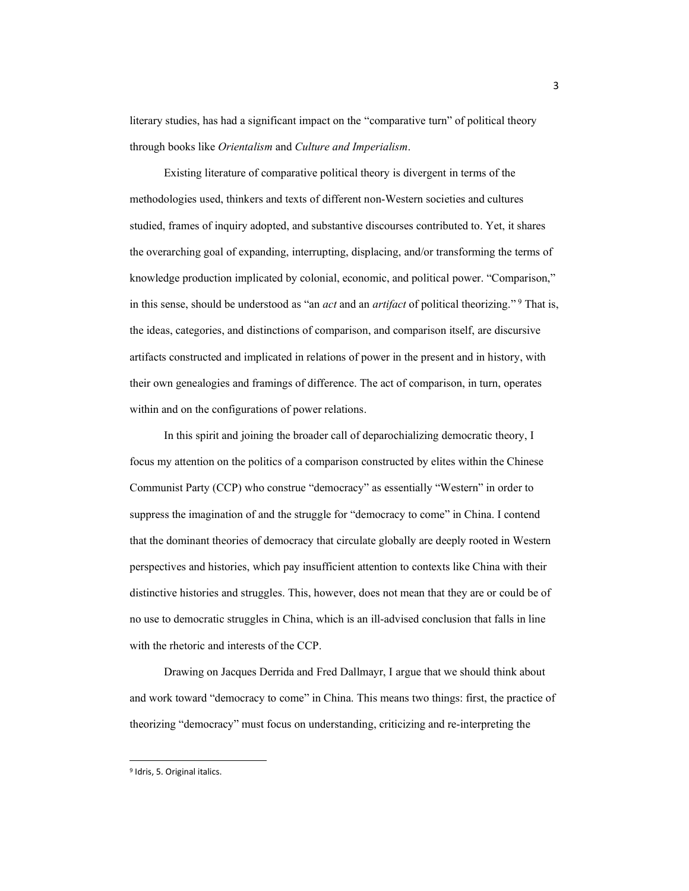literary studies, has had a significant impact on the "comparative turn" of political theory through books like *Orientalism* and *Culture and Imperialism*.

Existing literature of comparative political theory is divergent in terms of the methodologies used, thinkers and texts of different non-Western societies and cultures studied, frames of inquiry adopted, and substantive discourses contributed to. Yet, it shares the overarching goal of expanding, interrupting, displacing, and/or transforming the terms of knowledge production implicated by colonial, economic, and political power. "Comparison," in this sense, should be understood as "an *act* and an *artifact* of political theorizing."<sup>9</sup> That is, the ideas, categories, and distinctions of comparison, and comparison itself, are discursive artifacts constructed and implicated in relations of power in the present and in history, with their own genealogies and framings of difference. The act of comparison, in turn, operates within and on the configurations of power relations.

In this spirit and joining the broader call of deparochializing democratic theory, I focus my attention on the politics of a comparison constructed by elites within the Chinese Communist Party (CCP) who construe "democracy" as essentially "Western" in order to suppress the imagination of and the struggle for "democracy to come" in China. I contend that the dominant theories of democracy that circulate globally are deeply rooted in Western perspectives and histories, which pay insufficient attention to contexts like China with their distinctive histories and struggles. This, however, does not mean that they are or could be of no use to democratic struggles in China, which is an ill-advised conclusion that falls in line with the rhetoric and interests of the CCP.

Drawing on Jacques Derrida and Fred Dallmayr, I argue that we should think about and work toward "democracy to come" in China. This means two things: first, the practice of theorizing "democracy" must focus on understanding, criticizing and re-interpreting the

<sup>9</sup> Idris, 5. Original italics.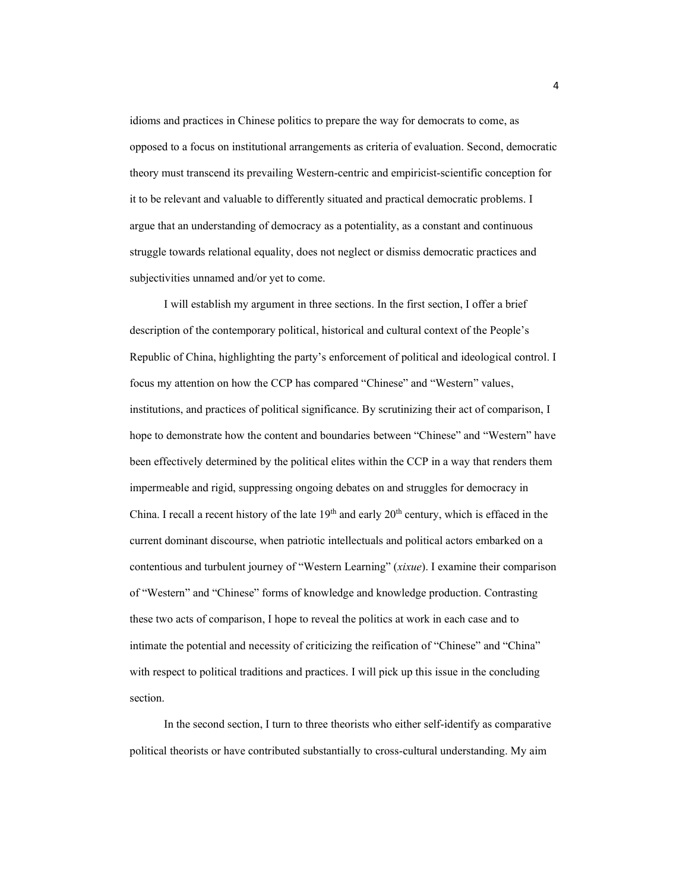idioms and practices in Chinese politics to prepare the way for democrats to come, as opposed to a focus on institutional arrangements as criteria of evaluation. Second, democratic theory must transcend its prevailing Western-centric and empiricist-scientific conception for it to be relevant and valuable to differently situated and practical democratic problems. I argue that an understanding of democracy as a potentiality, as a constant and continuous struggle towards relational equality, does not neglect or dismiss democratic practices and subjectivities unnamed and/or yet to come.

I will establish my argument in three sections. In the first section, I offer a brief description of the contemporary political, historical and cultural context of the People's Republic of China, highlighting the party's enforcement of political and ideological control. I focus my attention on how the CCP has compared "Chinese" and "Western" values, institutions, and practices of political significance. By scrutinizing their act of comparison, I hope to demonstrate how the content and boundaries between "Chinese" and "Western" have been effectively determined by the political elites within the CCP in a way that renders them impermeable and rigid, suppressing ongoing debates on and struggles for democracy in China. I recall a recent history of the late  $19<sup>th</sup>$  and early  $20<sup>th</sup>$  century, which is effaced in the current dominant discourse, when patriotic intellectuals and political actors embarked on a contentious and turbulent journey of "Western Learning" (xixue). I examine their comparison of "Western" and "Chinese" forms of knowledge and knowledge production. Contrasting these two acts of comparison, I hope to reveal the politics at work in each case and to intimate the potential and necessity of criticizing the reification of "Chinese" and "China" with respect to political traditions and practices. I will pick up this issue in the concluding section.

In the second section, I turn to three theorists who either self-identify as comparative political theorists or have contributed substantially to cross-cultural understanding. My aim

4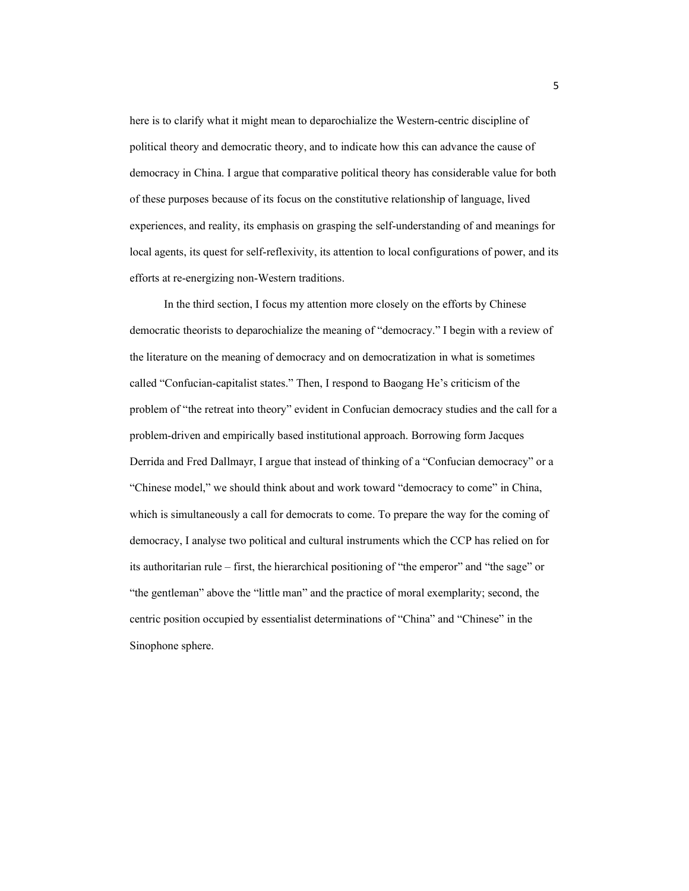here is to clarify what it might mean to deparochialize the Western-centric discipline of political theory and democratic theory, and to indicate how this can advance the cause of democracy in China. I argue that comparative political theory has considerable value for both of these purposes because of its focus on the constitutive relationship of language, lived experiences, and reality, its emphasis on grasping the self-understanding of and meanings for local agents, its quest for self-reflexivity, its attention to local configurations of power, and its efforts at re-energizing non-Western traditions.

In the third section, I focus my attention more closely on the efforts by Chinese democratic theorists to deparochialize the meaning of "democracy." I begin with a review of the literature on the meaning of democracy and on democratization in what is sometimes called "Confucian-capitalist states." Then, I respond to Baogang He's criticism of the problem of "the retreat into theory" evident in Confucian democracy studies and the call for a problem-driven and empirically based institutional approach. Borrowing form Jacques Derrida and Fred Dallmayr, I argue that instead of thinking of a "Confucian democracy" or a "Chinese model," we should think about and work toward "democracy to come" in China, which is simultaneously a call for democrats to come. To prepare the way for the coming of democracy, I analyse two political and cultural instruments which the CCP has relied on for its authoritarian rule – first, the hierarchical positioning of "the emperor" and "the sage" or "the gentleman" above the "little man" and the practice of moral exemplarity; second, the centric position occupied by essentialist determinations of "China" and "Chinese" in the Sinophone sphere.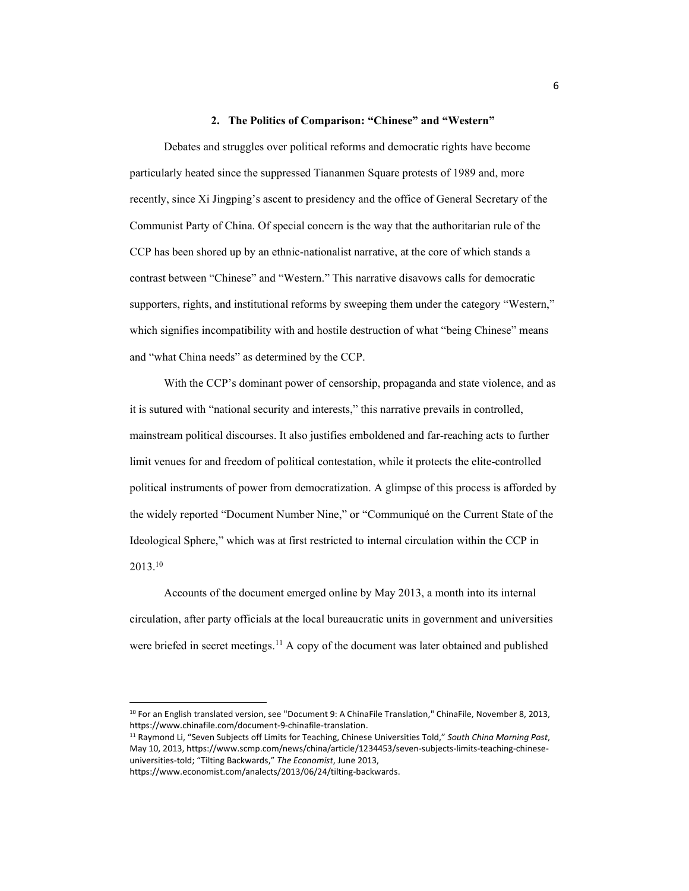#### 2. The Politics of Comparison: "Chinese" and "Western"

Debates and struggles over political reforms and democratic rights have become particularly heated since the suppressed Tiananmen Square protests of 1989 and, more recently, since Xi Jingping's ascent to presidency and the office of General Secretary of the Communist Party of China. Of special concern is the way that the authoritarian rule of the CCP has been shored up by an ethnic-nationalist narrative, at the core of which stands a contrast between "Chinese" and "Western." This narrative disavows calls for democratic supporters, rights, and institutional reforms by sweeping them under the category "Western," which signifies incompatibility with and hostile destruction of what "being Chinese" means and "what China needs" as determined by the CCP.

With the CCP's dominant power of censorship, propaganda and state violence, and as it is sutured with "national security and interests," this narrative prevails in controlled, mainstream political discourses. It also justifies emboldened and far-reaching acts to further limit venues for and freedom of political contestation, while it protects the elite-controlled political instruments of power from democratization. A glimpse of this process is afforded by the widely reported "Document Number Nine," or "Communiqué on the Current State of the Ideological Sphere," which was at first restricted to internal circulation within the CCP in 2013. 10

Accounts of the document emerged online by May 2013, a month into its internal circulation, after party officials at the local bureaucratic units in government and universities were briefed in secret meetings.<sup>11</sup> A copy of the document was later obtained and published

<sup>10</sup> For an English translated version, see "Document 9: A ChinaFile Translation," ChinaFile, November 8, 2013, https://www.chinafile.com/document-9-chinafile-translation.

<sup>&</sup>lt;sup>11</sup> Raymond Li, "Seven Subjects off Limits for Teaching, Chinese Universities Told," South China Morning Post, May 10, 2013, https://www.scmp.com/news/china/article/1234453/seven-subjects-limits-teaching-chineseuniversities-told; "Tilting Backwards," The Economist, June 2013,

https://www.economist.com/analects/2013/06/24/tilting-backwards.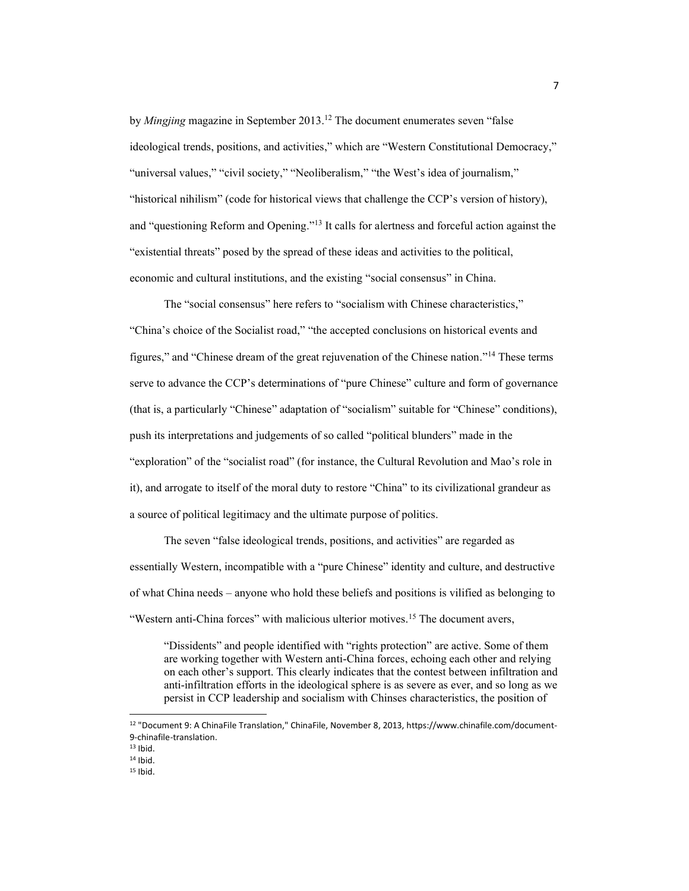by *Mingjing* magazine in September 2013.<sup>12</sup> The document enumerates seven "false" ideological trends, positions, and activities," which are "Western Constitutional Democracy," "universal values," "civil society," "Neoliberalism," "the West's idea of journalism," "historical nihilism" (code for historical views that challenge the CCP's version of history), and "questioning Reform and Opening."<sup>13</sup> It calls for alertness and forceful action against the ³existential threats´ posed by the spread of these ideas and activities to the political, economic and cultural institutions, and the existing "social consensus" in China.

The "social consensus" here refers to "socialism with Chinese characteristics," "China's choice of the Socialist road," "the accepted conclusions on historical events and figures," and "Chinese dream of the great rejuvenation of the Chinese nation."<sup>14</sup> These terms serve to advance the CCP's determinations of "pure Chinese" culture and form of governance (that is, a particularly "Chinese" adaptation of "socialism" suitable for "Chinese" conditions), push its interpretations and judgements of so called "political blunders" made in the "exploration" of the "socialist road" (for instance, the Cultural Revolution and Mao's role in it), and arrogate to itself of the moral duty to restore "China" to its civilizational grandeur as a source of political legitimacy and the ultimate purpose of politics.

The seven "false ideological trends, positions, and activities" are regarded as essentially Western, incompatible with a "pure Chinese" identity and culture, and destructive of what China needs – anyone who hold these beliefs and positions is vilified as belonging to "Western anti-China forces" with malicious ulterior motives.<sup>15</sup> The document avers,

"Dissidents" and people identified with "rights protection" are active. Some of them are working together with Western anti-China forces, echoing each other and relying on each other's support. This clearly indicates that the contest between infiltration and anti-infiltration efforts in the ideological sphere is as severe as ever, and so long as we persist in CCP leadership and socialism with Chinses characteristics, the position of

<sup>12</sup> "Document 9: A ChinaFile Translation," ChinaFile, November 8, 2013, https://www.chinafile.com/document-9-chinafile-translation.

 $13$  Ibid.

 $14$  Ibid.

<sup>15</sup> Ibid.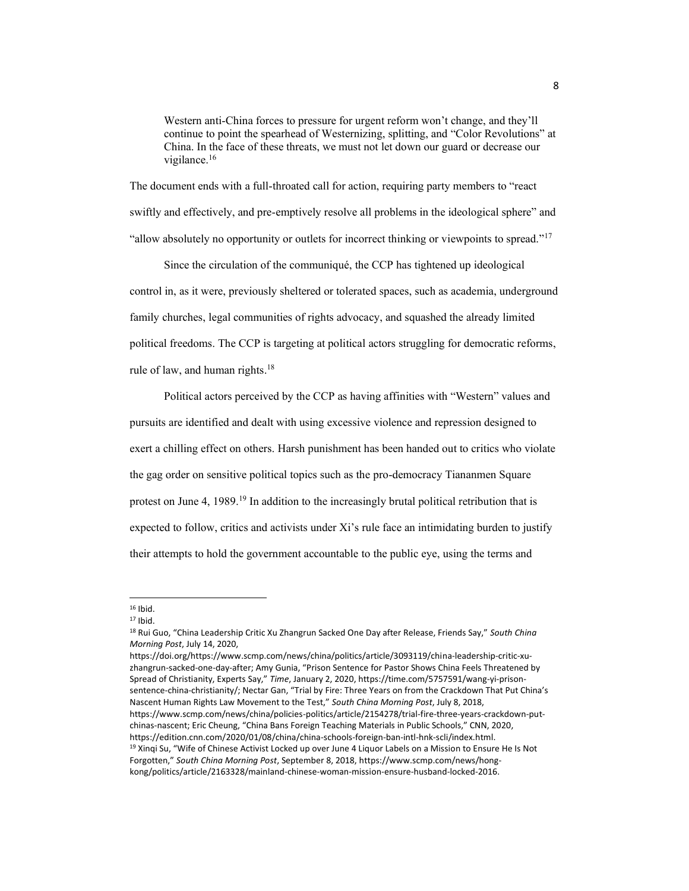Western anti-China forces to pressure for urgent reform won't change, and they'll continue to point the spearhead of Westernizing, splitting, and "Color Revolutions" at China. In the face of these threats, we must not let down our guard or decrease our vigilance.<sup>16</sup>

The document ends with a full-throated call for action, requiring party members to "react swiftly and effectively, and pre-emptively resolve all problems in the ideological sphere" and "allow absolutely no opportunity or outlets for incorrect thinking or viewpoints to spread."<sup>17</sup>

Since the circulation of the communiqué, the CCP has tightened up ideological control in, as it were, previously sheltered or tolerated spaces, such as academia, underground family churches, legal communities of rights advocacy, and squashed the already limited political freedoms. The CCP is targeting at political actors struggling for democratic reforms, rule of law, and human rights.<sup>18</sup>

Political actors perceived by the CCP as having affinities with "Western" values and pursuits are identified and dealt with using excessive violence and repression designed to exert a chilling effect on others. Harsh punishment has been handed out to critics who violate the gag order on sensitive political topics such as the pro-democracy Tiananmen Square protest on June 4, 1989.<sup>19</sup> In addition to the increasingly brutal political retribution that is expected to follow, critics and activists under Xi's rule face an intimidating burden to justify their attempts to hold the government accountable to the public eye, using the terms and

https://doi.org/https://www.scmp.com/news/china/politics/article/3093119/china-leadership-critic-xuzhangrun-sacked-one-day-after; Amy Gunia, "Prison Sentence for Pastor Shows China Feels Threatened by Spread of Christianity, Experts Say," Time, January 2, 2020, https://time.com/5757591/wang-yi-prisonsentence-china-christianity/; Nectar Gan, "Trial by Fire: Three Years on from the Crackdown That Put China's Nascent Human Rights Law Movement to the Test," South China Morning Post, July 8, 2018, https://www.scmp.com/news/china/policies-politics/article/2154278/trial-fire-three-years-crackdown-putchinas-nascent; Eric Cheung, "China Bans Foreign Teaching Materials in Public Schools," CNN, 2020, https://edition.cnn.com/2020/01/08/china/china-schools-foreign-ban-intl-hnk-scli/index.html.  $19$  Xingi Su, "Wife of Chinese Activist Locked up over June 4 Liguor Labels on a Mission to Ensure He Is Not Forgotten," South China Morning Post, September 8, 2018, https://www.scmp.com/news/hongkong/politics/article/2163328/mainland-chinese-woman-mission-ensure-husband-locked-2016.

 $16$  Ibid.

 $17$  Ibid.

<sup>&</sup>lt;sup>18</sup> Rui Guo, "China Leadership Critic Xu Zhangrun Sacked One Day after Release, Friends Say," South China *Morning Post*, July 14, 2020,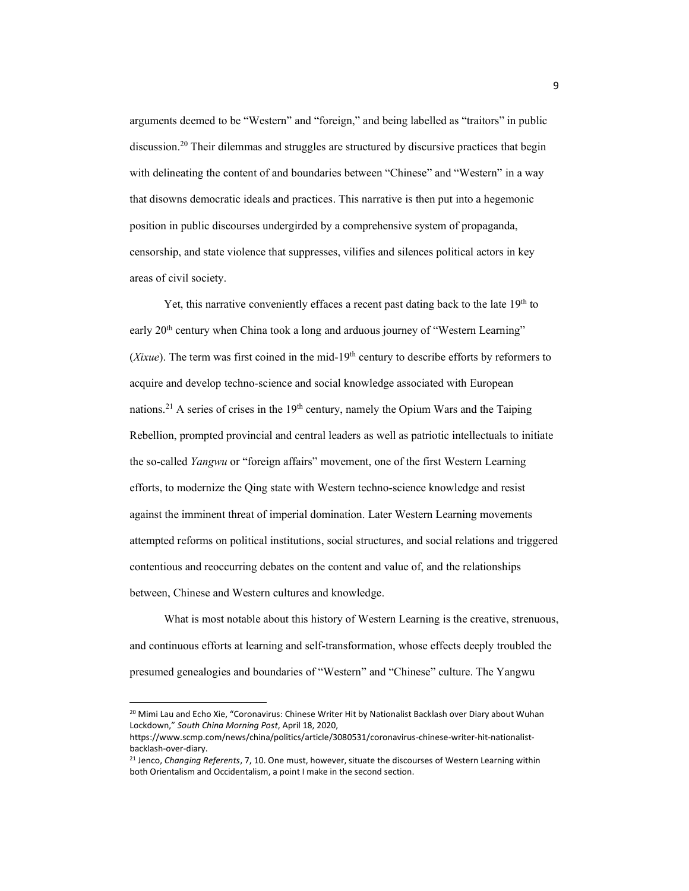arguments deemed to be "Western" and "foreign," and being labelled as "traitors" in public discussion. <sup>20</sup> Their dilemmas and struggles are structured by discursive practices that begin with delineating the content of and boundaries between "Chinese" and "Western" in a way that disowns democratic ideals and practices. This narrative is then put into a hegemonic position in public discourses undergirded by a comprehensive system of propaganda, censorship, and state violence that suppresses, vilifies and silences political actors in key areas of civil society.

Yet, this narrative conveniently effaces a recent past dating back to the late  $19<sup>th</sup>$  to early  $20<sup>th</sup>$  century when China took a long and arduous journey of "Western Learning" (*Xixue*). The term was first coined in the mid-19th century to describe efforts by reformers to acquire and develop techno-science and social knowledge associated with European nations.<sup>21</sup> A series of crises in the  $19<sup>th</sup>$  century, namely the Opium Wars and the Taiping Rebellion, prompted provincial and central leaders as well as patriotic intellectuals to initiate the so-called *Yangwu* or "foreign affairs" movement, one of the first Western Learning efforts, to modernize the Qing state with Western techno-science knowledge and resist against the imminent threat of imperial domination. Later Western Learning movements attempted reforms on political institutions, social structures, and social relations and triggered contentious and reoccurring debates on the content and value of, and the relationships between, Chinese and Western cultures and knowledge.

What is most notable about this history of Western Learning is the creative, strenuous, and continuous efforts at learning and self-transformation, whose effects deeply troubled the presumed genealogies and boundaries of "Western" and "Chinese" culture. The Yangwu

<sup>&</sup>lt;sup>20</sup> Mimi Lau and Echo Xie, "Coronavirus: Chinese Writer Hit by Nationalist Backlash over Diary about Wuhan Lockdown," South China Morning Post, April 18, 2020,

https://www.scmp.com/news/china/politics/article/3080531/coronavirus-chinese-writer-hit-nationalistbacklash-over-diary.

<sup>21</sup> Jenco, *Changing Referents*, 7, 10. One must, however, situate the discourses of Western Learning within both Orientalism and Occidentalism, a point I make in the second section.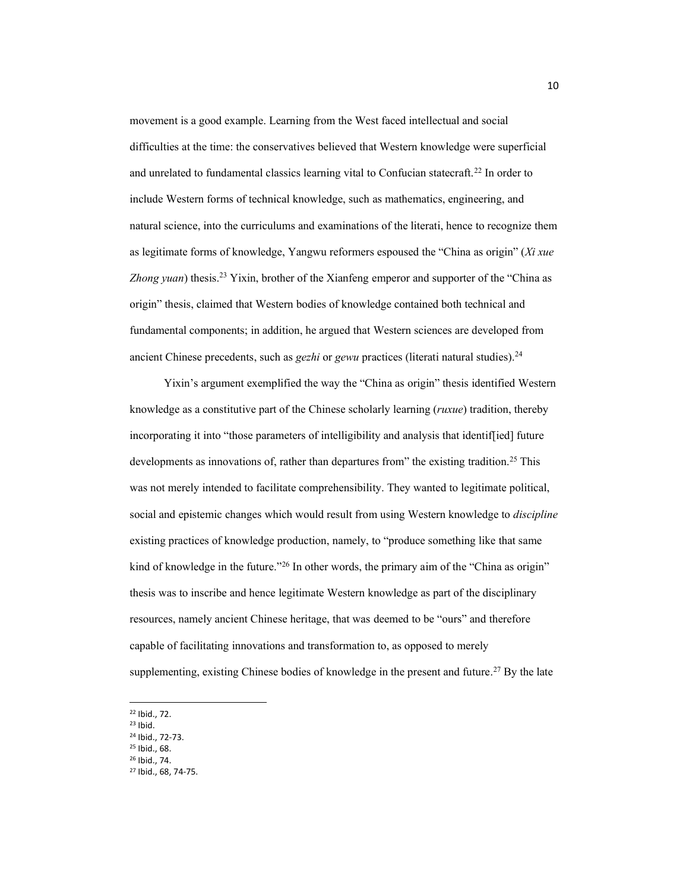movement is a good example. Learning from the West faced intellectual and social difficulties at the time: the conservatives believed that Western knowledge were superficial and unrelated to fundamental classics learning vital to Confucian statecraft.<sup>22</sup> In order to include Western forms of technical knowledge, such as mathematics, engineering, and natural science, into the curriculums and examinations of the literati, hence to recognize them as legitimate forms of knowledge, Yangwu reformers espoused the "China as origin" (Xi xue Zhong yuan) thesis.<sup>23</sup> Yixin, brother of the Xianfeng emperor and supporter of the "China as origin" thesis, claimed that Western bodies of knowledge contained both technical and fundamental components; in addition, he argued that Western sciences are developed from ancient Chinese precedents, such as *gezhi* or *gewu* practices (literati natural studies).24

Yixin's argument exemplified the way the "China as origin" thesis identified Western knowledge as a constitutive part of the Chinese scholarly learning (*ruxue*) tradition, thereby incorporating it into "those parameters of intelligibility and analysis that identiffied future developments as innovations of, rather than departures from" the existing tradition.<sup>25</sup> This was not merely intended to facilitate comprehensibility. They wanted to legitimate political, social and epistemic changes which would result from using Western knowledge to *discipline* existing practices of knowledge production, namely, to "produce something like that same kind of knowledge in the future."<sup>26</sup> In other words, the primary aim of the "China as origin" thesis was to inscribe and hence legitimate Western knowledge as part of the disciplinary resources, namely ancient Chinese heritage, that was deemed to be "ours" and therefore capable of facilitating innovations and transformation to, as opposed to merely supplementing, existing Chinese bodies of knowledge in the present and future.<sup>27</sup> By the late

<sup>25</sup> Ibid., 68. <sup>26</sup> Ibid., 74.

<sup>22</sup> Ibid., 72.

<sup>23</sup> Ibid.

<sup>24</sup> Ibid., 72-73.

<sup>27</sup> Ibid., 68, 74-75.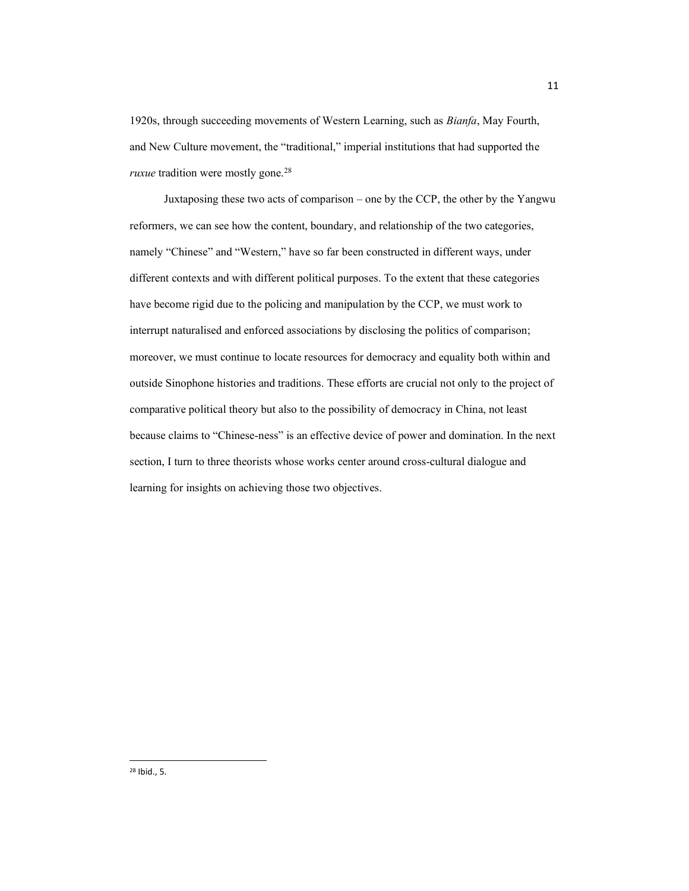1920s, through succeeding movements of Western Learning, such as *Bianfa*, May Fourth, and New Culture movement, the "traditional," imperial institutions that had supported the *ruxue* tradition were mostly gone.<sup>28</sup>

Juxtaposing these two acts of comparison  $-$  one by the CCP, the other by the Yangwu reformers, we can see how the content, boundary, and relationship of the two categories, namely "Chinese" and "Western," have so far been constructed in different ways, under different contexts and with different political purposes. To the extent that these categories have become rigid due to the policing and manipulation by the CCP, we must work to interrupt naturalised and enforced associations by disclosing the politics of comparison; moreover, we must continue to locate resources for democracy and equality both within and outside Sinophone histories and traditions. These efforts are crucial not only to the project of comparative political theory but also to the possibility of democracy in China, not least because claims to "Chinese-ness" is an effective device of power and domination. In the next section, I turn to three theorists whose works center around cross-cultural dialogue and learning for insights on achieving those two objectives.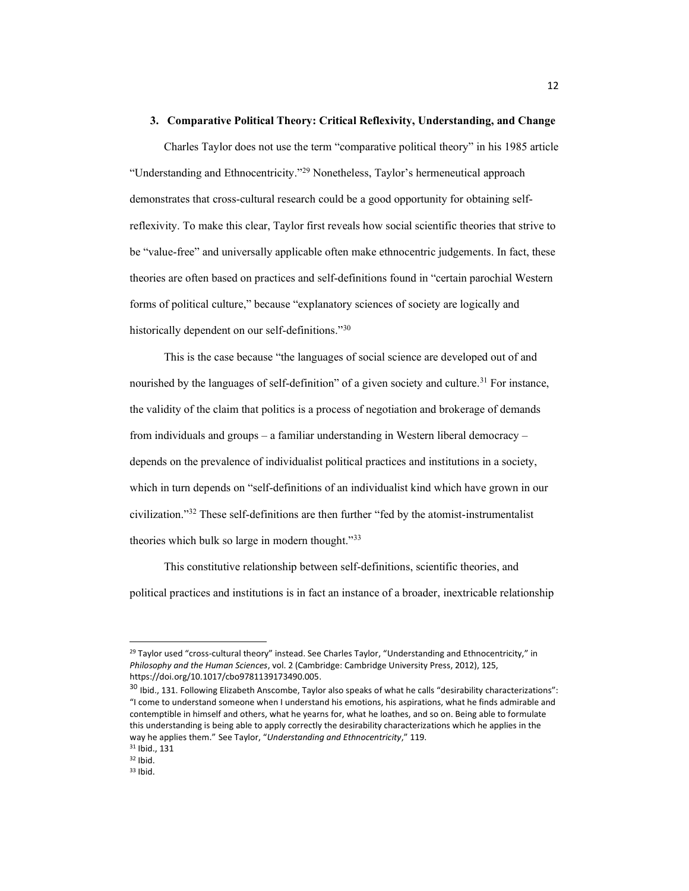#### **3. Comparative Political Theory: Critical Reflexivity, Understanding, and Change**

Charles Taylor does not use the term "comparative political theory" in his 1985 article "Understanding and Ethnocentricity."<sup>29</sup> Nonetheless, Taylor's hermeneutical approach demonstrates that cross-cultural research could be a good opportunity for obtaining selfreflexivity. To make this clear, Taylor first reveals how social scientific theories that strive to be "value-free" and universally applicable often make ethnocentric judgements. In fact, these theories are often based on practices and self-definitions found in "certain parochial Western forms of political culture," because "explanatory sciences of society are logically and historically dependent on our self-definitions.<sup>"30</sup>

This is the case because "the languages of social science are developed out of and nourished by the languages of self-definition" of a given society and culture.<sup>31</sup> For instance, the validity of the claim that politics is a process of negotiation and brokerage of demands from individuals and groups  $-\alpha$  familiar understanding in Western liberal democracy  $-\alpha$ depends on the prevalence of individualist political practices and institutions in a society, which in turn depends on "self-definitions of an individualist kind which have grown in our civilization. $132$  These self-definitions are then further "fed by the atomist-instrumentalist theories which bulk so large in modern thought." $33$ 

This constitutive relationship between self-definitions, scientific theories, and political practices and institutions is in fact an instance of a broader, inextricable relationship

<sup>&</sup>lt;sup>29</sup> Taylor used "cross-cultural theory" instead. See Charles Taylor, "Understanding and Ethnocentricity," in *Philosophy and the Human Sciences*, vol. 2 (Cambridge: Cambridge University Press, 2012), 125, https://doi.org/10.1017/cbo9781139173490.005.

<sup>30</sup> Ibid., 131. Following Elizabeth Anscombe, Taylor also speaks of what he calls "desirability characterizations": "I come to understand someone when I understand his emotions, his aspirations, what he finds admirable and contemptible in himself and others, what he yearns for, what he loathes, and so on. Being able to formulate this understanding is being able to apply correctly the desirability characterizations which he applies in the way he applies them." See Taylor, "Understanding and Ethnocentricity," 119.

<sup>31</sup> Ibid., 131

 $32$  Ibid.

<sup>33</sup> Ibid.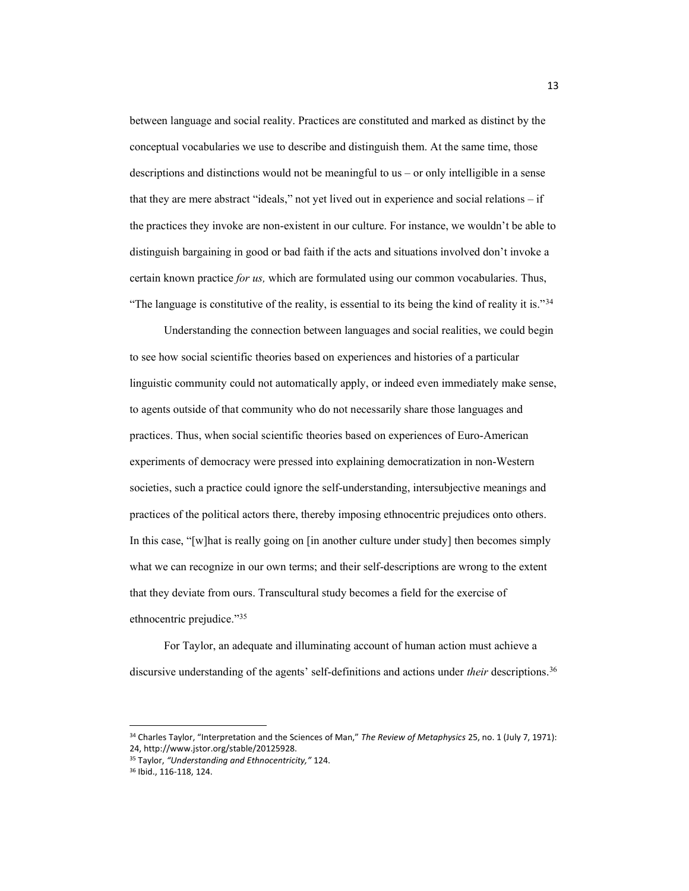between language and social reality. Practices are constituted and marked as distinct by the conceptual vocabularies we use to describe and distinguish them. At the same time, those descriptions and distinctions would not be meaningful to us  $-$  or only intelligible in a sense that they are mere abstract "ideals," not yet lived out in experience and social relations  $-$  if the practices they invoke are non-existent in our culture. For instance, we wouldn't be able to distinguish bargaining in good or bad faith if the acts and situations involved don't invoke a certain known practice *for us,* which are formulated using our common vocabularies. Thus, "The language is constitutive of the reality, is essential to its being the kind of reality it is."<sup>34</sup>

Understanding the connection between languages and social realities, we could begin to see how social scientific theories based on experiences and histories of a particular linguistic community could not automatically apply, or indeed even immediately make sense, to agents outside of that community who do not necessarily share those languages and practices. Thus, when social scientific theories based on experiences of Euro-American experiments of democracy were pressed into explaining democratization in non-Western societies, such a practice could ignore the self-understanding, intersubjective meanings and practices of the political actors there, thereby imposing ethnocentric prejudices onto others. In this case, "[w]hat is really going on  $\lceil$  in another culture under study] then becomes simply what we can recognize in our own terms; and their self-descriptions are wrong to the extent that they deviate from ours. Transcultural study becomes a field for the exercise of ethnocentric prejudice."35

For Taylor, an adequate and illuminating account of human action must achieve a discursive understanding of the agents' self-definitions and actions under *their* descriptions.<sup>36</sup>

<sup>&</sup>lt;sup>34</sup> Charles Taylor, "Interpretation and the Sciences of Man," The Review of Metaphysics 25, no. 1 (July 7, 1971): 24, http://www.jstor.org/stable/20125928.

<sup>35</sup> Taylor, *͞Understanding and Ethnocentricity,͟* 124.

<sup>36</sup> Ibid., 116-118, 124.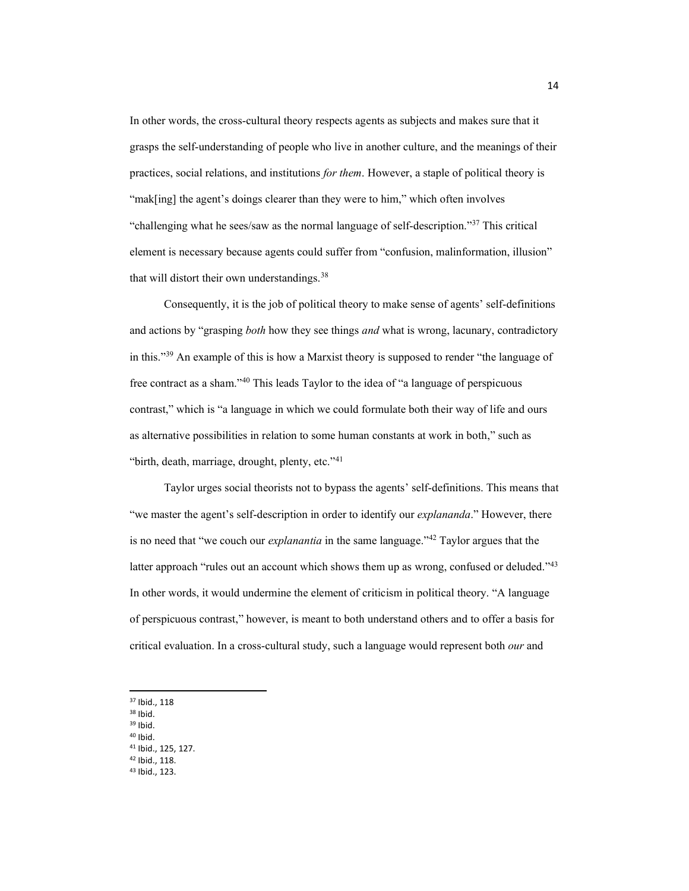In other words, the cross-cultural theory respects agents as subjects and makes sure that it grasps the self-understanding of people who live in another culture, and the meanings of their practices, social relations, and institutions *for them*. However, a staple of political theory is "mak[ing] the agent's doings clearer than they were to him," which often involves "challenging what he sees/saw as the normal language of self-description."<sup>37</sup> This critical element is necessary because agents could suffer from "confusion, malinformation, illusion" that will distort their own understandings.<sup>38</sup>

Consequently, it is the job of political theory to make sense of agents' self-definitions and actions by "grasping *both* how they see things *and* what is wrong, lacunary, contradictory in this. $\frac{339}{2}$  An example of this is how a Marxist theory is supposed to render "the language of free contract as a sham." $40$  This leads Taylor to the idea of "a language of perspicuous contrast," which is "a language in which we could formulate both their way of life and ours as alternative possibilities in relation to some human constants at work in both," such as "birth, death, marriage, drought, plenty, etc."<sup>41</sup>

Taylor urges social theorists not to bypass the agents' self-definitions. This means that "we master the agent's self-description in order to identify our *explananda*." However, there is no need that "we couch our *explanantia* in the same language."<sup>42</sup> Taylor argues that the latter approach "rules out an account which shows them up as wrong, confused or deluded.<sup> $143$ </sup> In other words, it would undermine the element of criticism in political theory. "A language of perspicuous contrast,´ however, is meant to both understand others and to offer a basis for critical evaluation. In a cross-cultural study, such a language would represent both *our* and

<sup>37</sup> Ibid., 118

 $38$  Ibid.

<sup>39</sup> Ibid.

<sup>40</sup> Ibid.

- <sup>41</sup> Ibid., 125, 127.
- <sup>42</sup> Ibid., 118.
- <sup>43</sup> Ibid., 123.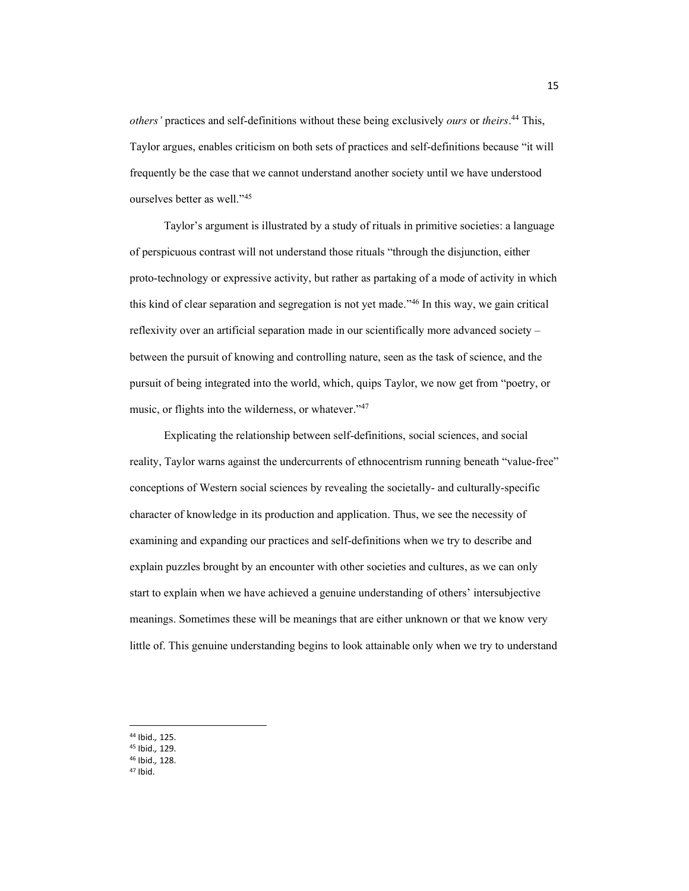*others'* practices and self-definitions without these being exclusively *ours* or *theirs*.<sup>44</sup> This, Taylor argues, enables criticism on both sets of practices and self-definitions because "it will frequently be the case that we cannot understand another society until we have understood ourselves better as well."<sup>45</sup>

Taylor's argument is illustrated by a study of rituals in primitive societies: a language of perspicuous contrast will not understand those rituals "through the disjunction, either proto-technology or expressive activity, but rather as partaking of a mode of activity in which this kind of clear separation and segregation is not yet made.<sup>446</sup> In this way, we gain critical reflexivity over an artificial separation made in our scientifically more advanced society  $$ between the pursuit of knowing and controlling nature, seen as the task of science, and the pursuit of being integrated into the world, which, quips Taylor, we now get from "poetry, or music, or flights into the wilderness, or whatever.<sup>747</sup>

Explicating the relationship between self-definitions, social sciences, and social reality, Taylor warns against the undercurrents of ethnocentrism running beneath "value-free" conceptions of Western social sciences by revealing the societally- and culturally-specific character of knowledge in its production and application. Thus, we see the necessity of examining and expanding our practices and self-definitions when we try to describe and explain puzzles brought by an encounter with other societies and cultures, as we can only start to explain when we have achieved a genuine understanding of others' intersubjective meanings. Sometimes these will be meanings that are either unknown or that we know very little of. This genuine understanding begins to look attainable only when we try to understand

- <sup>45</sup> Ibid.*,* 129.
- <sup>46</sup> Ibid.*,* 128.
- <sup>47</sup> Ibid.

<sup>44</sup> Ibid.*,* 125.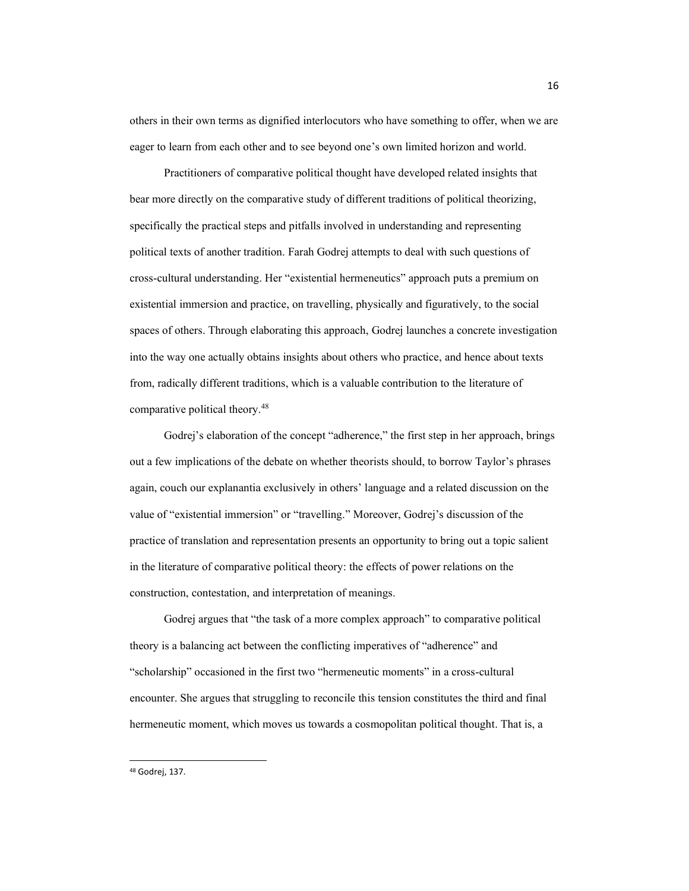others in their own terms as dignified interlocutors who have something to offer, when we are eager to learn from each other and to see beyond one's own limited horizon and world.

Practitioners of comparative political thought have developed related insights that bear more directly on the comparative study of different traditions of political theorizing, specifically the practical steps and pitfalls involved in understanding and representing political texts of another tradition. Farah Godrej attempts to deal with such questions of cross-cultural understanding. Her "existential hermeneutics" approach puts a premium on existential immersion and practice, on travelling, physically and figuratively, to the social spaces of others. Through elaborating this approach, Godrej launches a concrete investigation into the way one actually obtains insights about others who practice, and hence about texts from, radically different traditions, which is a valuable contribution to the literature of comparative political theory. 48

Godrej's elaboration of the concept "adherence," the first step in her approach, brings out a few implications of the debate on whether theorists should, to borrow Taylor's phrases again, couch our explanantia exclusively in others' language and a related discussion on the value of "existential immersion" or "travelling." Moreover, Godrej's discussion of the practice of translation and representation presents an opportunity to bring out a topic salient in the literature of comparative political theory: the effects of power relations on the construction, contestation, and interpretation of meanings.

Godrej argues that "the task of a more complex approach" to comparative political theory is a balancing act between the conflicting imperatives of "adherence" and "scholarship" occasioned in the first two "hermeneutic moments" in a cross-cultural encounter. She argues that struggling to reconcile this tension constitutes the third and final hermeneutic moment, which moves us towards a cosmopolitan political thought. That is, a

<sup>48</sup> Godrej, 137.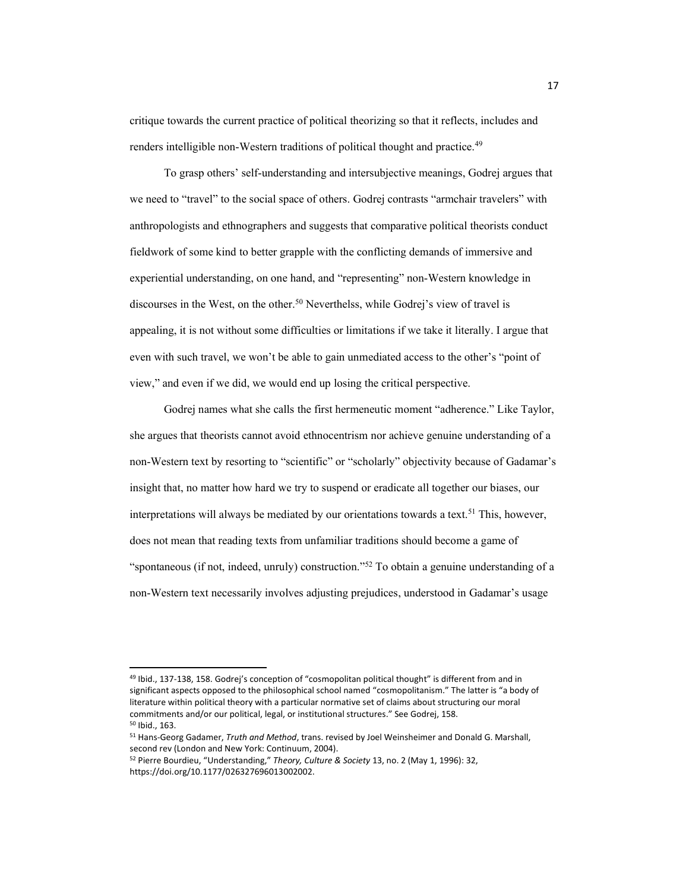critique towards the current practice of political theorizing so that it reflects, includes and renders intelligible non-Western traditions of political thought and practice. 49

To grasp others' self-understanding and intersubjective meanings, Godrej argues that we need to "travel" to the social space of others. Godrej contrasts "armchair travelers" with anthropologists and ethnographers and suggests that comparative political theorists conduct fieldwork of some kind to better grapple with the conflicting demands of immersive and experiential understanding, on one hand, and "representing" non-Western knowledge in discourses in the West, on the other.<sup>50</sup> Neverthelss, while Godrej's view of travel is appealing, it is not without some difficulties or limitations if we take it literally. I argue that even with such travel, we won't be able to gain unmediated access to the other's "point of view," and even if we did, we would end up losing the critical perspective.

Godrej names what she calls the first hermeneutic moment "adherence." Like Taylor, she argues that theorists cannot avoid ethnocentrism nor achieve genuine understanding of a non-Western text by resorting to "scientific" or "scholarly" objectivity because of Gadamar's insight that, no matter how hard we try to suspend or eradicate all together our biases, our interpretations will always be mediated by our orientations towards a text. <sup>51</sup> This, however, does not mean that reading texts from unfamiliar traditions should become a game of "spontaneous (if not, indeed, unruly) construction."<sup>52</sup> To obtain a genuine understanding of a non-Western text necessarily involves adjusting prejudices, understood in Gadamar's usage

<sup>49</sup> Ibid., 137-138, 158. Godrej's conception of "cosmopolitan political thought" is different from and in significant aspects opposed to the philosophical school named "cosmopolitanism." The latter is "a body of literature within political theory with a particular normative set of claims about structuring our moral commitments and/or our political, legal, or institutional structures." See Godrej, 158. <sup>50</sup> Ibid., 163.

<sup>51</sup> Hans-Georg Gadamer, *Truth and Method*, trans. revised by Joel Weinsheimer and Donald G. Marshall, second rev (London and New York: Continuum, 2004).

<sup>&</sup>lt;sup>52</sup> Pierre Bourdieu, "Understanding," Theory, Culture & Society 13, no. 2 (May 1, 1996): 32, https://doi.org/10.1177/026327696013002002.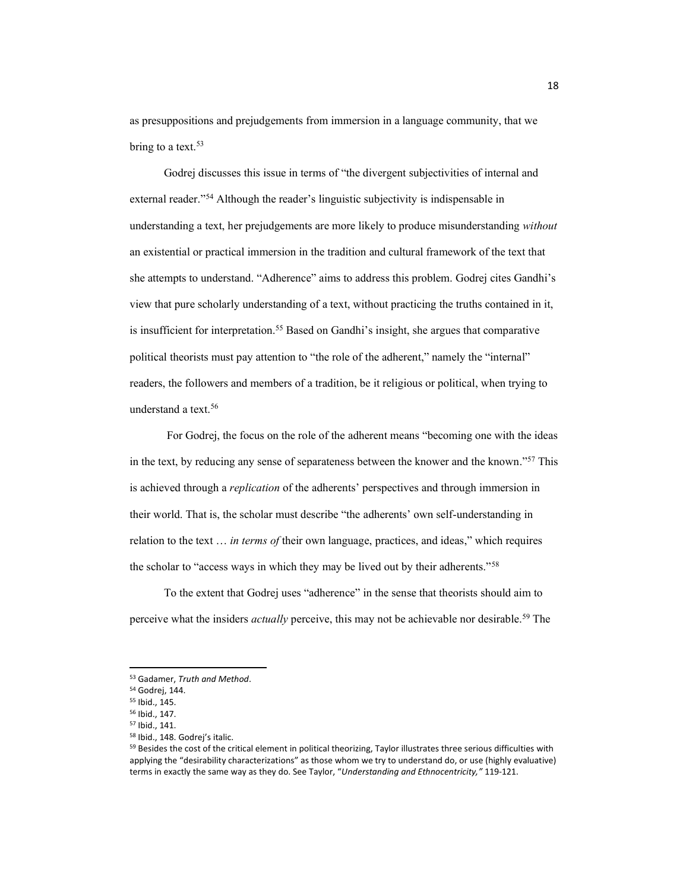as presuppositions and prejudgements from immersion in a language community, that we bring to a text.<sup>53</sup>

Godrej discusses this issue in terms of "the divergent subjectivities of internal and external reader."<sup>54</sup> Although the reader's linguistic subjectivity is indispensable in understanding a text, her prejudgements are more likely to produce misunderstanding *without* an existential or practical immersion in the tradition and cultural framework of the text that she attempts to understand. "Adherence" aims to address this problem. Godrej cites Gandhi's view that pure scholarly understanding of a text, without practicing the truths contained in it, is insufficient for interpretation.<sup>55</sup> Based on Gandhi's insight, she argues that comparative political theorists must pay attention to "the role of the adherent," namely the "internal" readers, the followers and members of a tradition, be it religious or political, when trying to understand a text. 56

For Godrej, the focus on the role of the adherent means "becoming one with the ideas" in the text, by reducing any sense of separateness between the knower and the known."<sup>57</sup> This is achieved through a *replication* of the adherents' perspectives and through immersion in their world. That is, the scholar must describe "the adherents' own self-understanding in relation to the text ... *in terms of* their own language, practices, and ideas," which requires the scholar to "access ways in which they may be lived out by their adherents."<sup>58</sup>

To the extent that Godrej uses "adherence" in the sense that theorists should aim to perceive what the insiders *actually* perceive, this may not be achievable nor desirable. <sup>59</sup> The

<sup>53</sup> Gadamer, *Truth and Method*.

<sup>54</sup> Godrej, 144.

<sup>55</sup> Ibid., 145. <sup>56</sup> Ibid., 147.

<sup>57</sup> Ibid., 141.

<sup>58</sup> Ibid., 148. Godrej's italic.

<sup>&</sup>lt;sup>59</sup> Besides the cost of the critical element in political theorizing, Taylor illustrates three serious difficulties with applying the "desirability characterizations" as those whom we try to understand do, or use (highly evaluative) terms in exactly the same way as they do. See Taylor, "Understanding and Ethnocentricity," 119-121.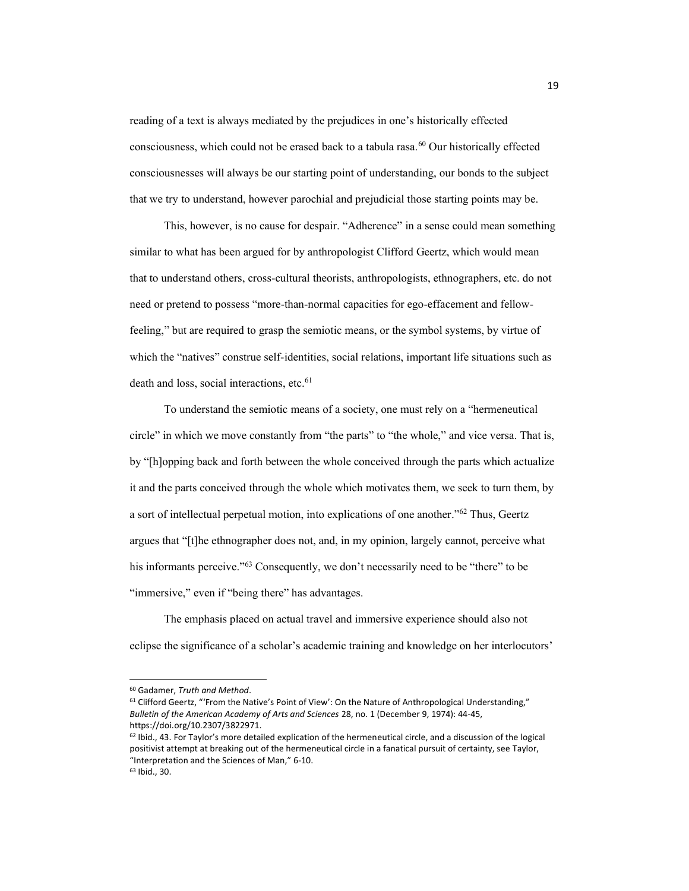reading of a text is always mediated by the prejudices in one's historically effected consciousness, which could not be erased back to a tabula rasa.60 Our historically effected consciousnesses will always be our starting point of understanding, our bonds to the subject that we try to understand, however parochial and prejudicial those starting points may be.

This, however, is no cause for despair. "Adherence" in a sense could mean something similar to what has been argued for by anthropologist Clifford Geertz, which would mean that to understand others, cross-cultural theorists, anthropologists, ethnographers, etc. do not need or pretend to possess "more-than-normal capacities for ego-effacement and fellowfeeling," but are required to grasp the semiotic means, or the symbol systems, by virtue of which the "natives" construe self-identities, social relations, important life situations such as death and loss, social interactions, etc.<sup>61</sup>

To understand the semiotic means of a society, one must rely on a "hermeneutical" circle" in which we move constantly from "the parts" to "the whole," and vice versa. That is, by "[h]opping back and forth between the whole conceived through the parts which actualize it and the parts conceived through the whole which motivates them, we seek to turn them, by a sort of intellectual perpetual motion, into explications of one another.<sup> $562$ </sup> Thus, Geertz argues that "[t]he ethnographer does not, and, in my opinion, largely cannot, perceive what his informants perceive."<sup>63</sup> Consequently, we don't necessarily need to be "there" to be "immersive," even if "being there" has advantages.

The emphasis placed on actual travel and immersive experience should also not eclipse the significance of a scholar's academic training and knowledge on her interlocutors'

<sup>60</sup> Gadamer, *Truth and Method*.

<sup>61</sup> Clifford Geertz, "'From the Native's Point of View': On the Nature of Anthropological Understanding," *Bulletin of the American Academy of Arts and Sciences* 28, no. 1 (December 9, 1974): 44-45, https://doi.org/10.2307/3822971.

 $62$  Ibid., 43. For Taylor's more detailed explication of the hermeneutical circle, and a discussion of the logical positivist attempt at breaking out of the hermeneutical circle in a fanatical pursuit of certainty, see Taylor, "Interpretation and the Sciences of Man," 6-10.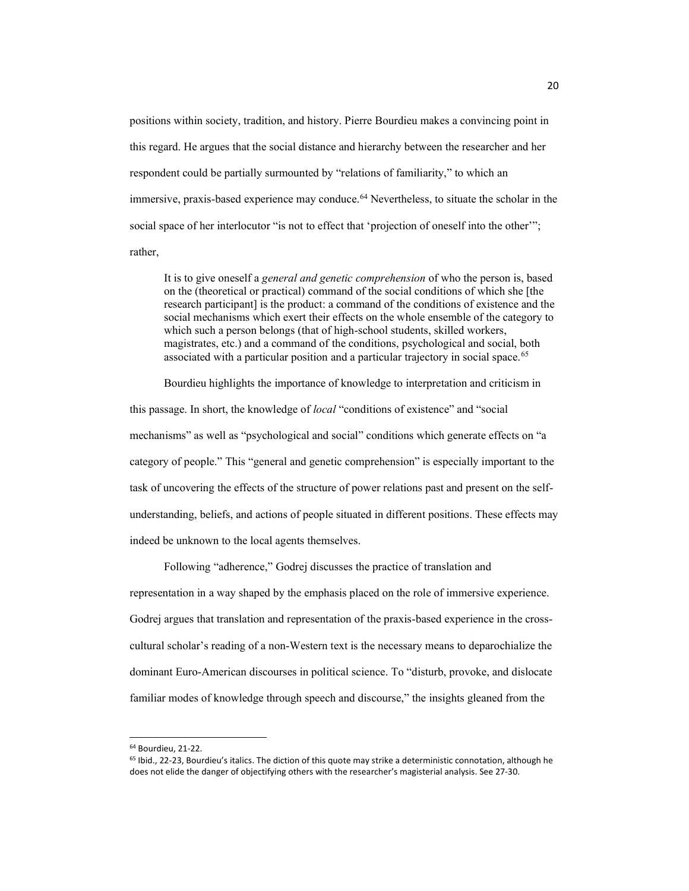positions within society, tradition, and history. Pierre Bourdieu makes a convincing point in this regard. He argues that the social distance and hierarchy between the researcher and her respondent could be partially surmounted by "relations of familiarity," to which an immersive, praxis-based experience may conduce.64 Nevertheless, to situate the scholar in the social space of her interlocutor "is not to effect that 'projection of oneself into the other""; rather,

It is to give oneself a *general and genetic comprehension* of who the person is, based on the (theoretical or practical) command of the social conditions of which she [the research participant] is the product: a command of the conditions of existence and the social mechanisms which exert their effects on the whole ensemble of the category to which such a person belongs (that of high-school students, skilled workers, magistrates, etc.) and a command of the conditions, psychological and social, both associated with a particular position and a particular trajectory in social space.65

Bourdieu highlights the importance of knowledge to interpretation and criticism in

this passage. In short, the knowledge of *local* "conditions of existence" and "social mechanisms" as well as "psychological and social" conditions which generate effects on "a category of people." This "general and genetic comprehension" is especially important to the task of uncovering the effects of the structure of power relations past and present on the selfunderstanding, beliefs, and actions of people situated in different positions. These effects may indeed be unknown to the local agents themselves.

Following "adherence," Godrej discusses the practice of translation and representation in a way shaped by the emphasis placed on the role of immersive experience. Godrej argues that translation and representation of the praxis-based experience in the crosscultural scholar's reading of a non-Western text is the necessary means to deparochialize the dominant Euro-American discourses in political science. To "disturb, provoke, and dislocate familiar modes of knowledge through speech and discourse," the insights gleaned from the

<sup>64</sup> Bourdieu, 21-22.

<sup>&</sup>lt;sup>65</sup> Ibid., 22-23, Bourdieu's italics. The diction of this quote may strike a deterministic connotation, although he does not elide the danger of objectifying others with the researcher's magisterial analysis. See 27-30.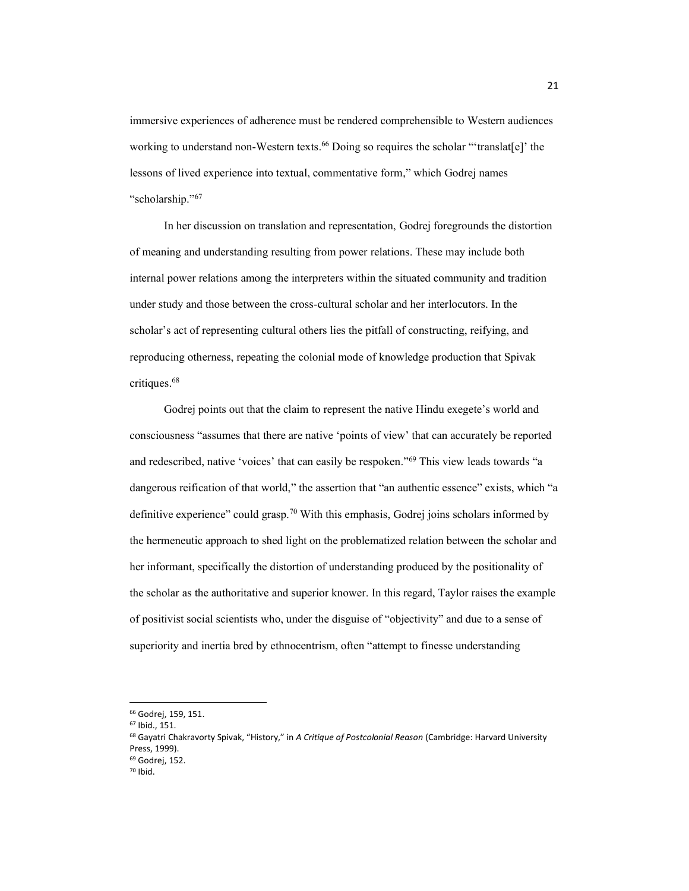immersive experiences of adherence must be rendered comprehensible to Western audiences working to understand non-Western texts.<sup>66</sup> Doing so requires the scholar "'translat[e]' the lessons of lived experience into textual, commentative form," which Godrej names "scholarship."67

In her discussion on translation and representation, Godrej foregrounds the distortion of meaning and understanding resulting from power relations. These may include both internal power relations among the interpreters within the situated community and tradition under study and those between the cross-cultural scholar and her interlocutors. In the scholar's act of representing cultural others lies the pitfall of constructing, reifying, and reproducing otherness, repeating the colonial mode of knowledge production that Spivak critiques. 68

Godrej points out that the claim to represent the native Hindu exegete's world and consciousness "assumes that there are native 'points of view' that can accurately be reported and redescribed, native 'voices' that can easily be respoken."<sup>69</sup> This view leads towards "a dangerous reification of that world," the assertion that "an authentic essence" exists, which "a definitive experience" could grasp.<sup>70</sup> With this emphasis, Godrej joins scholars informed by the hermeneutic approach to shed light on the problematized relation between the scholar and her informant, specifically the distortion of understanding produced by the positionality of the scholar as the authoritative and superior knower. In this regard, Taylor raises the example of positivist social scientists who, under the disguise of "objectivity" and due to a sense of superiority and inertia bred by ethnocentrism, often "attempt to finesse understanding

<sup>66</sup> Godrej, 159, 151.

<sup>67</sup> Ibid., 151.

<sup>68</sup> Gayatri Chakravorty Spivak, "History," in A Critique of Postcolonial Reason (Cambridge: Harvard University Press, 1999).

<sup>69</sup> Godrej, 152.

<sup>70</sup> Ibid.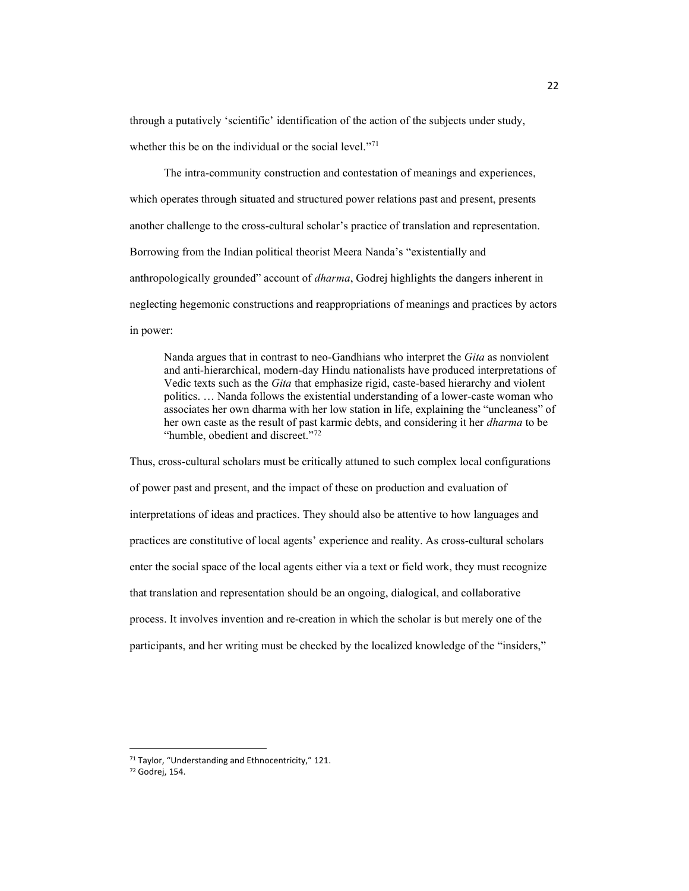through a putatively 'scientific' identification of the action of the subjects under study, whether this be on the individual or the social level.<sup>"71</sup>

The intra-community construction and contestation of meanings and experiences, which operates through situated and structured power relations past and present, presents another challenge to the cross-cultural scholar's practice of translation and representation. Borrowing from the Indian political theorist Meera Nanda's "existentially and anthropologically grounded" account of *dharma*, Godrej highlights the dangers inherent in neglecting hegemonic constructions and reappropriations of meanings and practices by actors in power:

Nanda argues that in contrast to neo-Gandhians who interpret the *Gita* as nonviolent and anti-hierarchical, modern-day Hindu nationalists have produced interpretations of Vedic texts such as the *Gita* that emphasize rigid, caste-based hierarchy and violent politics.... Nanda follows the existential understanding of a lower-caste woman who associates her own dharma with her low station in life, explaining the "uncleaness" of her own caste as the result of past karmic debts, and considering it her *dharma* to be "humble, obedient and discreet."<sup>72</sup>

Thus, cross-cultural scholars must be critically attuned to such complex local configurations of power past and present, and the impact of these on production and evaluation of interpretations of ideas and practices. They should also be attentive to how languages and practices are constitutive of local agents' experience and reality. As cross-cultural scholars enter the social space of the local agents either via a text or field work, they must recognize that translation and representation should be an ongoing, dialogical, and collaborative process. It involves invention and re-creation in which the scholar is but merely one of the participants, and her writing must be checked by the localized knowledge of the "insiders,"

<sup>71</sup> Taylor, "Understanding and Ethnocentricity," 121.

<sup>72</sup> Godrej, 154.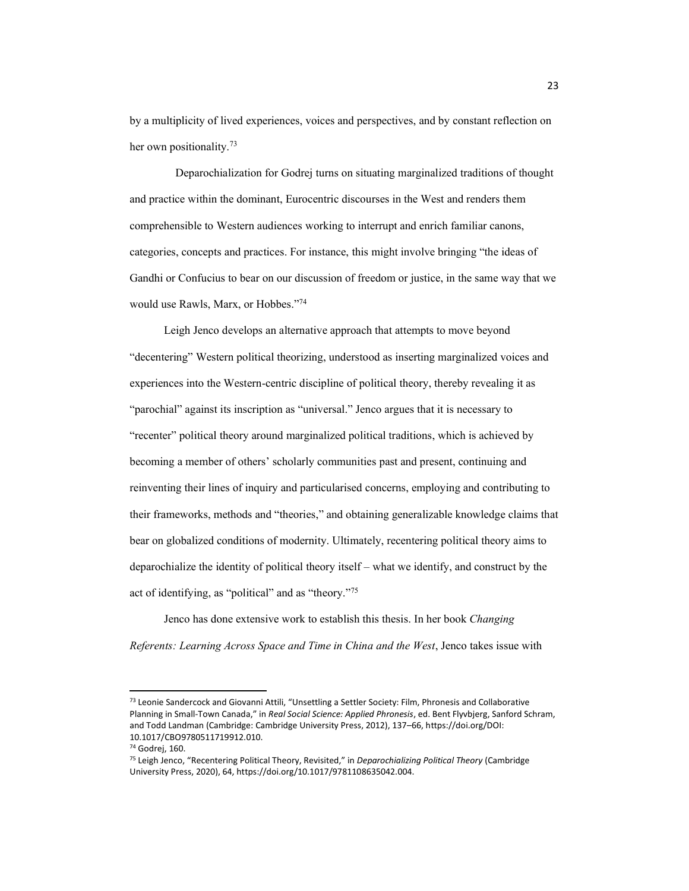by a multiplicity of lived experiences, voices and perspectives, and by constant reflection on her own positionality.<sup>73</sup>

 Deparochialization for Godrej turns on situating marginalized traditions of thought and practice within the dominant, Eurocentric discourses in the West and renders them comprehensible to Western audiences working to interrupt and enrich familiar canons, categories, concepts and practices. For instance, this might involve bringing "the ideas of Gandhi or Confucius to bear on our discussion of freedom or justice, in the same way that we would use Rawls, Marx, or Hobbes."74

Leigh Jenco develops an alternative approach that attempts to move beyond "decentering" Western political theorizing, understood as inserting marginalized voices and experiences into the Western-centric discipline of political theory, thereby revealing it as "parochial" against its inscription as "universal." Jenco argues that it is necessary to "recenter" political theory around marginalized political traditions, which is achieved by becoming a member of others' scholarly communities past and present, continuing and reinventing their lines of inquiry and particularised concerns, employing and contributing to their frameworks, methods and "theories," and obtaining generalizable knowledge claims that bear on globalized conditions of modernity. Ultimately, recentering political theory aims to deparochialize the identity of political theory itself  $-\omega$  what we identify, and construct by the act of identifying, as "political" and as "theory. $175$ 

Jenco has done extensive work to establish this thesis. In her book *Changing Referents: Learning Across Space and Time in China and the West*, Jenco takes issue with

<sup>73</sup> Leonie Sandercock and Giovanni Attili, "Unsettling a Settler Society: Film, Phronesis and Collaborative Planning in Small-Town Canada," in Real Social Science: Applied Phronesis, ed. Bent Flyvbjerg, Sanford Schram, and Todd Landman (Cambridge: Cambridge University Press, 2012), 137-66, https://doi.org/DOI: 10.1017/CBO9780511719912.010.

<sup>74</sup> Godrej, 160.

<sup>&</sup>lt;sup>75</sup> Leigh Jenco, "Recentering Political Theory, Revisited," in *Deparochializing Political Theory* (Cambridge University Press, 2020), 64, https://doi.org/10.1017/9781108635042.004.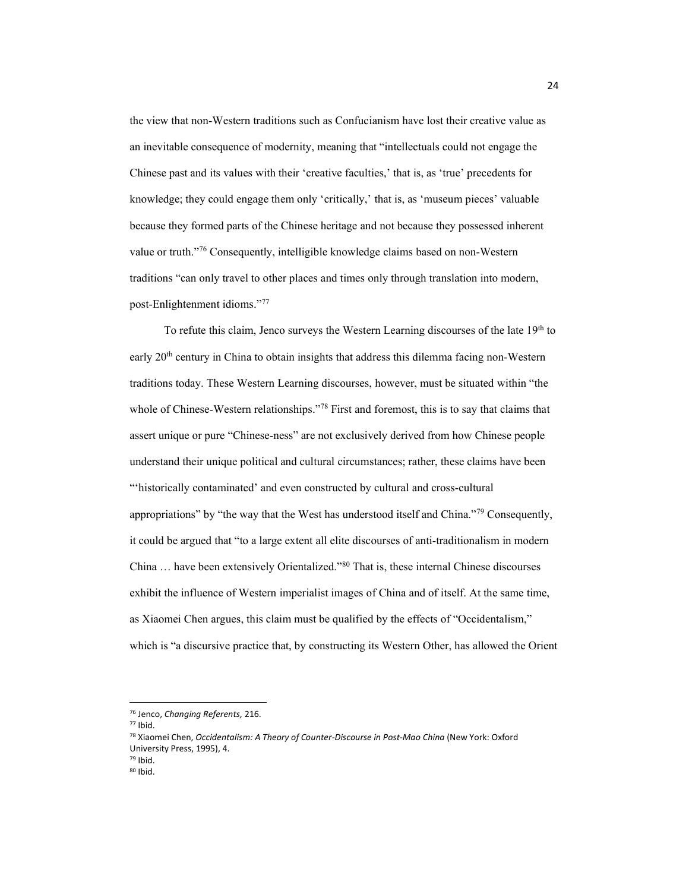the view that non-Western traditions such as Confucianism have lost their creative value as an inevitable consequence of modernity, meaning that "intellectuals could not engage the Chinese past and its values with their 'creative faculties,' that is, as 'true' precedents for knowledge; they could engage them only 'critically,' that is, as 'museum pieces' valuable because they formed parts of the Chinese heritage and not because they possessed inherent value or truth."<sup>76</sup> Consequently, intelligible knowledge claims based on non-Western traditions "can only travel to other places and times only through translation into modern, post-Enlightenment idioms."77

To refute this claim, Jenco surveys the Western Learning discourses of the late 19th to early 20th century in China to obtain insights that address this dilemma facing non-Western traditions today. These Western Learning discourses, however, must be situated within "the whole of Chinese-Western relationships."<sup>78</sup> First and foremost, this is to say that claims that assert unique or pure "Chinese-ness" are not exclusively derived from how Chinese people understand their unique political and cultural circumstances; rather, these claims have been "'historically contaminated' and even constructed by cultural and cross-cultural appropriations" by "the way that the West has understood itself and China."<sup>79</sup> Consequently, it could be argued that "to a large extent all elite discourses of anti-traditionalism in modern China  $\dots$  have been extensively Orientalized."<sup>80</sup> That is, these internal Chinese discourses exhibit the influence of Western imperialist images of China and of itself. At the same time, as Xiaomei Chen argues, this claim must be qualified by the effects of "Occidentalism," which is "a discursive practice that, by constructing its Western Other, has allowed the Orient

<sup>77</sup> Ibid.

<sup>76</sup> Jenco, *Changing Referents,* 216.

<sup>78</sup> Xiaomei Chen, *Occidentalism: A Theory of Counter-Discourse in Post-Mao China* (New York: Oxford University Press, 1995), 4.

<sup>80</sup> Ibid.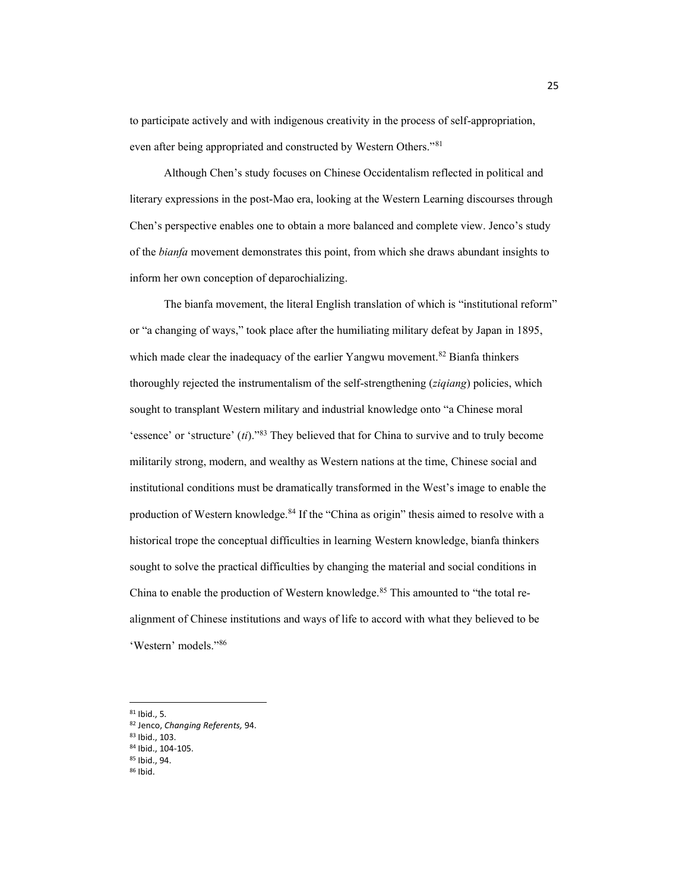to participate actively and with indigenous creativity in the process of self-appropriation, even after being appropriated and constructed by Western Others."<sup>81</sup>

Although Chen's study focuses on Chinese Occidentalism reflected in political and literary expressions in the post-Mao era, looking at the Western Learning discourses through Chen's perspective enables one to obtain a more balanced and complete view. Jenco's study of the *bianfa* movement demonstrates this point, from which she draws abundant insights to inform her own conception of deparochializing.

The bianfa movement, the literal English translation of which is "institutional reform" or "a changing of ways," took place after the humiliating military defeat by Japan in 1895, which made clear the inadequacy of the earlier Yangwu movement.<sup>82</sup> Bianfa thinkers thoroughly rejected the instrumentalism of the self-strengthening (*ziqiang*) policies, which sought to transplant Western military and industrial knowledge onto "a Chinese moral 'essence' or 'structure'  $(ii)$ <sup>33</sup>. They believed that for China to survive and to truly become militarily strong, modern, and wealthy as Western nations at the time, Chinese social and institutional conditions must be dramatically transformed in the West's image to enable the production of Western knowledge.<sup>84</sup> If the "China as origin" thesis aimed to resolve with a historical trope the conceptual difficulties in learning Western knowledge, bianfa thinkers sought to solve the practical difficulties by changing the material and social conditions in China to enable the production of Western knowledge.<sup>85</sup> This amounted to "the total realignment of Chinese institutions and ways of life to accord with what they believed to be 'Western' models."86

 $81$  Ibid., 5.

<sup>82</sup> Jenco, *Changing Referents,* 94.

<sup>83</sup> Ibid., 103.

<sup>84</sup> Ibid., 104-105. <sup>85</sup> Ibid., 94.

<sup>86</sup> Ibid.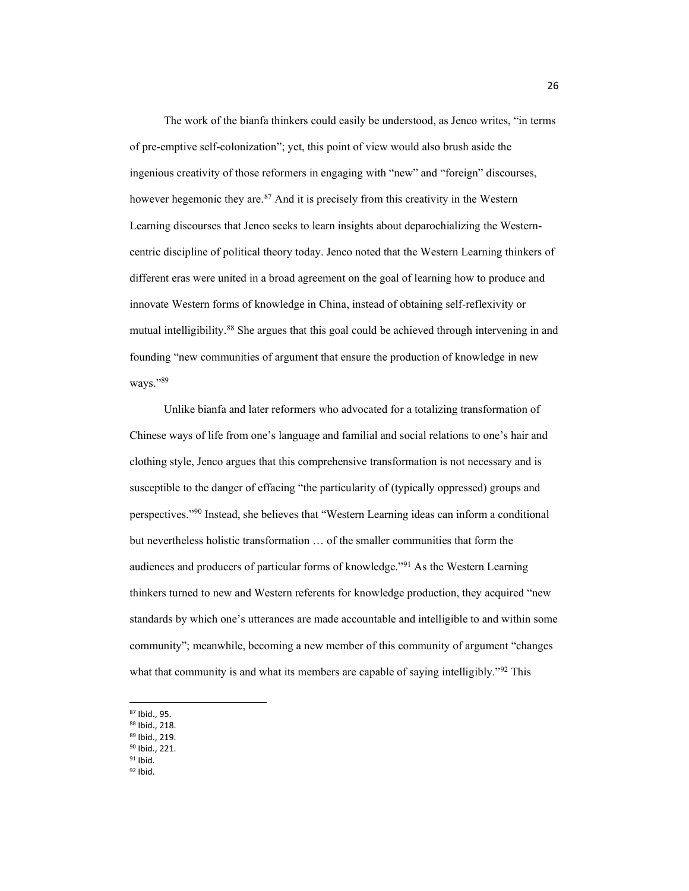The work of the bianfa thinkers could easily be understood, as Jenco writes, "in terms of pre-emptive self-colonization"; yet, this point of view would also brush aside the ingenious creativity of those reformers in engaging with "new" and "foreign" discourses, however hegemonic they are.<sup>87</sup> And it is precisely from this creativity in the Western Learning discourses that Jenco seeks to learn insights about deparochializing the Westerncentric discipline of political theory today. Jenco noted that the Western Learning thinkers of different eras were united in a broad agreement on the goal of learning how to produce and innovate Western forms of knowledge in China, instead of obtaining self-reflexivity or mutual intelligibility. <sup>88</sup> She argues that this goal could be achieved through intervening in and founding "new communities of argument that ensure the production of knowledge in new ways."89

Unlike bianfa and later reformers who advocated for a totalizing transformation of Chinese ways of life from one's language and familial and social relations to one's hair and clothing style, Jenco argues that this comprehensive transformation is not necessary and is susceptible to the danger of effacing "the particularity of (typically oppressed) groups and perspectives."<sup>90</sup> Instead, she believes that "Western Learning ideas can inform a conditional but nevertheless holistic transformation ... of the smaller communities that form the audiences and producers of particular forms of knowledge."<sup>91</sup> As the Western Learning thinkers turned to new and Western referents for knowledge production, they acquired "new standards by which one's utterances are made accountable and intelligible to and within some community"; meanwhile, becoming a new member of this community of argument "changes" what that community is and what its members are capable of saying intelligibly."<sup>92</sup> This

- <sup>89</sup> Ibid., 219.
- <sup>90</sup> Ibid., 221.  $91$  Ibid.
- <sup>92</sup> Ibid.

<sup>87</sup> Ibid., 95.

<sup>88</sup> Ibid., 218.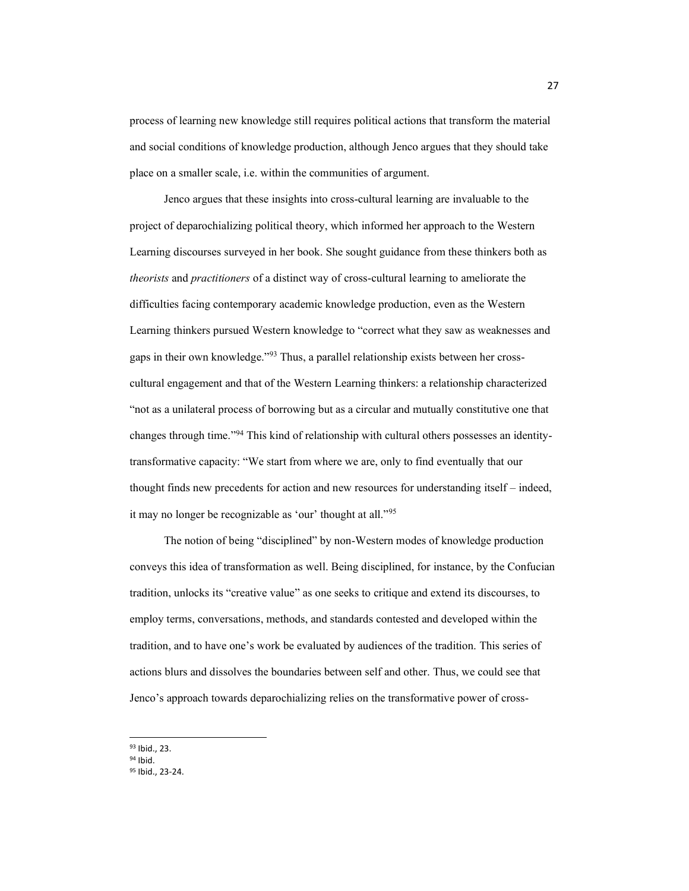process of learning new knowledge still requires political actions that transform the material and social conditions of knowledge production, although Jenco argues that they should take place on a smaller scale, i.e. within the communities of argument.

Jenco argues that these insights into cross-cultural learning are invaluable to the project of deparochializing political theory, which informed her approach to the Western Learning discourses surveyed in her book. She sought guidance from these thinkers both as *theorists* and *practitioners* of a distinct way of cross-cultural learning to ameliorate the difficulties facing contemporary academic knowledge production, even as the Western Learning thinkers pursued Western knowledge to "correct what they saw as weaknesses and gaps in their own knowledge."<sup>93</sup> Thus, a parallel relationship exists between her crosscultural engagement and that of the Western Learning thinkers: a relationship characterized "not as a unilateral process of borrowing but as a circular and mutually constitutive one that changes through time."<sup>94</sup> This kind of relationship with cultural others possesses an identitytransformative capacity: "We start from where we are, only to find eventually that our thought finds new precedents for action and new resources for understanding itself  $-$  indeed, it may no longer be recognizable as 'our' thought at all."95

The notion of being "disciplined" by non-Western modes of knowledge production conveys this idea of transformation as well. Being disciplined, for instance, by the Confucian tradition, unlocks its "creative value" as one seeks to critique and extend its discourses, to employ terms, conversations, methods, and standards contested and developed within the tradition, and to have one's work be evaluated by audiences of the tradition. This series of actions blurs and dissolves the boundaries between self and other. Thus, we could see that Jenco's approach towards deparochializing relies on the transformative power of cross-

<sup>93</sup> Ibid., 23.

<sup>94</sup> Ibid.

<sup>95</sup> Ibid., 23-24.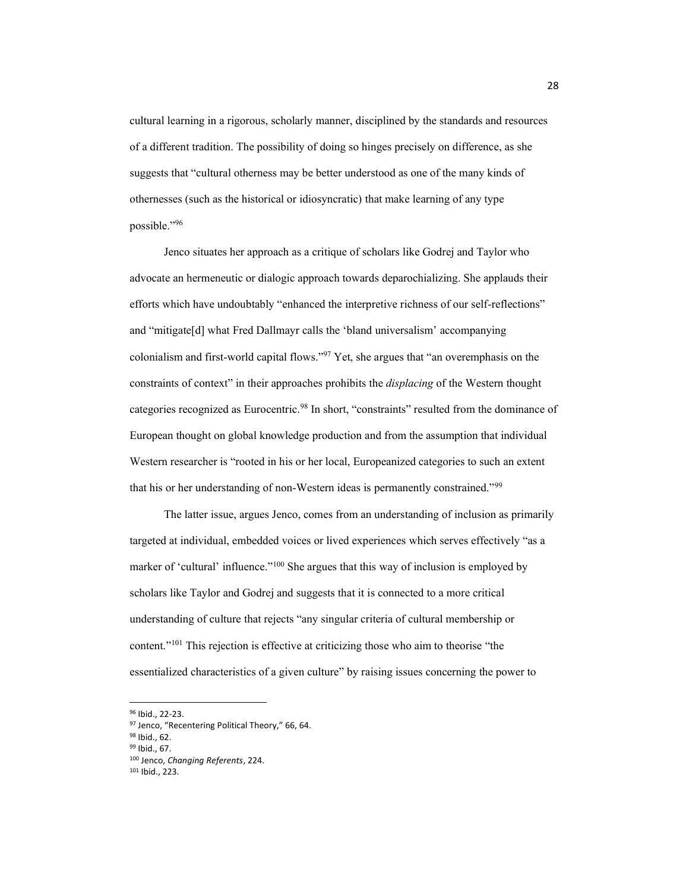cultural learning in a rigorous, scholarly manner, disciplined by the standards and resources of a different tradition. The possibility of doing so hinges precisely on difference, as she suggests that "cultural otherness may be better understood as one of the many kinds of othernesses (such as the historical or idiosyncratic) that make learning of any type possible."96

Jenco situates her approach as a critique of scholars like Godrej and Taylor who advocate an hermeneutic or dialogic approach towards deparochializing. She applauds their efforts which have undoubtably "enhanced the interpretive richness of our self-reflections" and "mitigate[d] what Fred Dallmayr calls the 'bland universalism' accompanying colonialism and first-world capital flows." $97$  Yet, she argues that "an overemphasis on the constraints of context" in their approaches prohibits the *displacing* of the Western thought categories recognized as Eurocentric.<sup>98</sup> In short, "constraints" resulted from the dominance of European thought on global knowledge production and from the assumption that individual Western researcher is "rooted in his or her local, Europeanized categories to such an extent that his or her understanding of non-Western ideas is permanently constrained."<sup>99</sup>

The latter issue, argues Jenco, comes from an understanding of inclusion as primarily targeted at individual, embedded voices or lived experiences which serves effectively "as a marker of 'cultural' influence."<sup>100</sup> She argues that this way of inclusion is employed by scholars like Taylor and Godrej and suggests that it is connected to a more critical understanding of culture that rejects "any singular criteria of cultural membership or content."<sup>101</sup> This rejection is effective at criticizing those who aim to theorise "the essentialized characteristics of a given culture" by raising issues concerning the power to

<sup>96</sup> Ibid., 22-23.

<sup>97</sup> Jenco, "Recentering Political Theory," 66, 64.

<sup>98</sup> Ibid., 62.

<sup>99</sup> Ibid., 67.

<sup>100</sup> Jenco, *Changing Referents*, 224.

<sup>101</sup> Ibid., 223.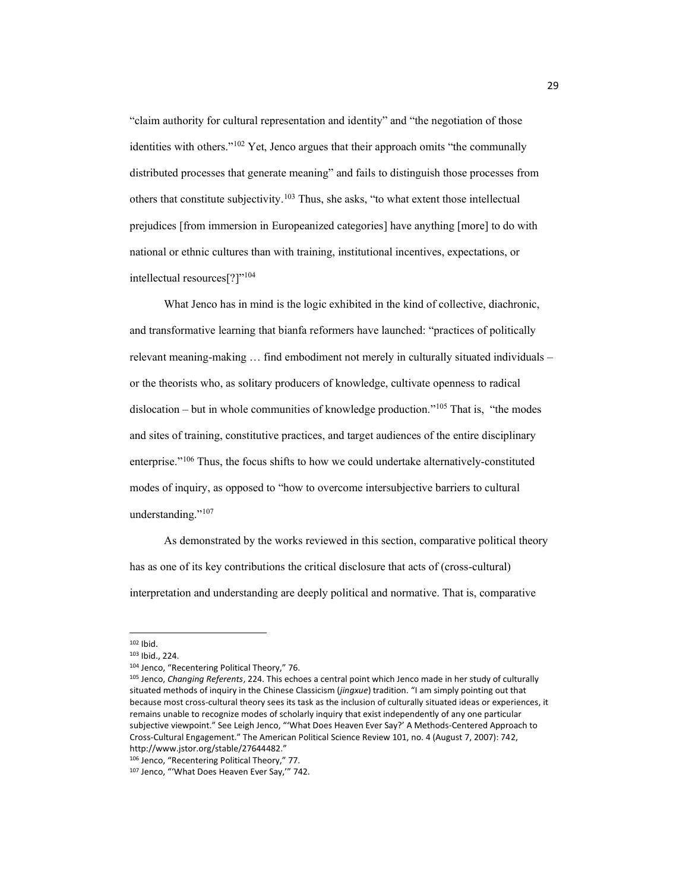"claim authority for cultural representation and identity" and "the negotiation of those identities with others." $102$  Yet, Jenco argues that their approach omits "the communally distributed processes that generate meaning" and fails to distinguish those processes from others that constitute subjectivity.<sup>103</sup> Thus, she asks, "to what extent those intellectual prejudices [from immersion in Europeanized categories] have anything [more] to do with national or ethnic cultures than with training, institutional incentives, expectations, or intellectual resources[?]"<sup>104</sup>

What Jenco has in mind is the logic exhibited in the kind of collective, diachronic, and transformative learning that bianfa reformers have launched: "practices of politically relevant meaning-making  $\ldots$  find embodiment not merely in culturally situated individuals – or the theorists who, as solitary producers of knowledge, cultivate openness to radical dislocation – but in whole communities of knowledge production."<sup>105</sup> That is, "the modes and sites of training, constitutive practices, and target audiences of the entire disciplinary enterprise.<sup>"106</sup> Thus, the focus shifts to how we could undertake alternatively-constituted modes of inquiry, as opposed to "how to overcome intersubjective barriers to cultural understanding."<sup>107</sup>

As demonstrated by the works reviewed in this section, comparative political theory has as one of its key contributions the critical disclosure that acts of (cross-cultural) interpretation and understanding are deeply political and normative. That is, comparative

<sup>102</sup> Ibid.

<sup>103</sup> Ibid., 224.

<sup>104</sup> Jenco, "Recentering Political Theory," 76.

<sup>105</sup> Jenco, *Changing Referents*, 224. This echoes a central point which Jenco made in her study of culturally situated methods of inquiry in the Chinese Classicism (*jingxue*) tradition. "I am simply pointing out that because most cross-cultural theory sees its task as the inclusion of culturally situated ideas or experiences, it remains unable to recognize modes of scholarly inquiry that exist independently of any one particular subjective viewpoint." See Leigh Jenco, "'What Does Heaven Ever Say?' A Methods-Centered Approach to Cross-Cultural Engagement." The American Political Science Review 101, no. 4 (August 7, 2007): 742, http://www.jstor.org/stable/27644482."

<sup>106</sup> Jenco, "Recentering Political Theory," 77.

<sup>107</sup> Jenco, "'What Does Heaven Ever Say,'" 742.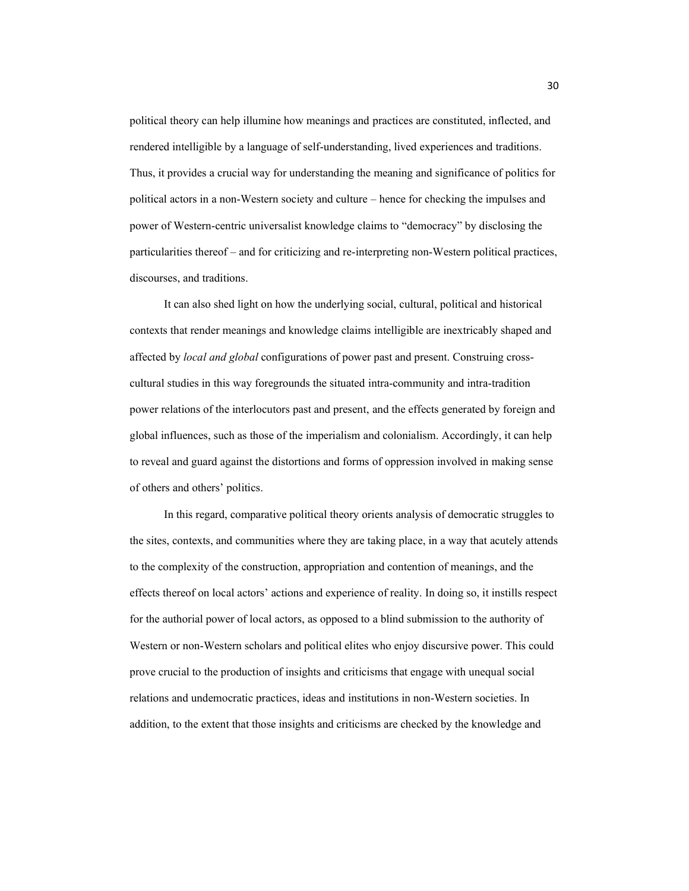political theory can help illumine how meanings and practices are constituted, inflected, and rendered intelligible by a language of self-understanding, lived experiences and traditions. Thus, it provides a crucial way for understanding the meaning and significance of politics for political actors in a non-Western society and culture – hence for checking the impulses and power of Western-centric universalist knowledge claims to "democracy" by disclosing the particularities thereof - and for criticizing and re-interpreting non-Western political practices, discourses, and traditions.

It can also shed light on how the underlying social, cultural, political and historical contexts that render meanings and knowledge claims intelligible are inextricably shaped and affected by *local and global* configurations of power past and present. Construing crosscultural studies in this way foregrounds the situated intra-community and intra-tradition power relations of the interlocutors past and present, and the effects generated by foreign and global influences, such as those of the imperialism and colonialism. Accordingly, it can help to reveal and guard against the distortions and forms of oppression involved in making sense of others and others' politics.

In this regard, comparative political theory orients analysis of democratic struggles to the sites, contexts, and communities where they are taking place, in a way that acutely attends to the complexity of the construction, appropriation and contention of meanings, and the effects thereof on local actors' actions and experience of reality. In doing so, it instills respect for the authorial power of local actors, as opposed to a blind submission to the authority of Western or non-Western scholars and political elites who enjoy discursive power. This could prove crucial to the production of insights and criticisms that engage with unequal social relations and undemocratic practices, ideas and institutions in non-Western societies. In addition, to the extent that those insights and criticisms are checked by the knowledge and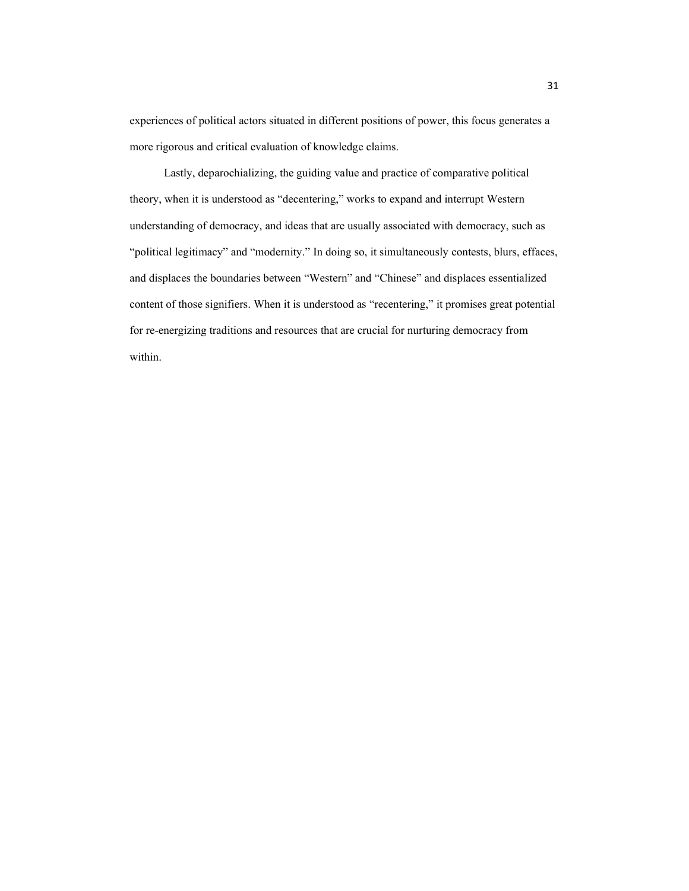experiences of political actors situated in different positions of power, this focus generates a more rigorous and critical evaluation of knowledge claims.

Lastly, deparochializing, the guiding value and practice of comparative political theory, when it is understood as "decentering," works to expand and interrupt Western understanding of democracy, and ideas that are usually associated with democracy, such as "political legitimacy" and "modernity." In doing so, it simultaneously contests, blurs, effaces, and displaces the boundaries between "Western" and "Chinese" and displaces essentialized content of those signifiers. When it is understood as "recentering," it promises great potential for re-energizing traditions and resources that are crucial for nurturing democracy from within.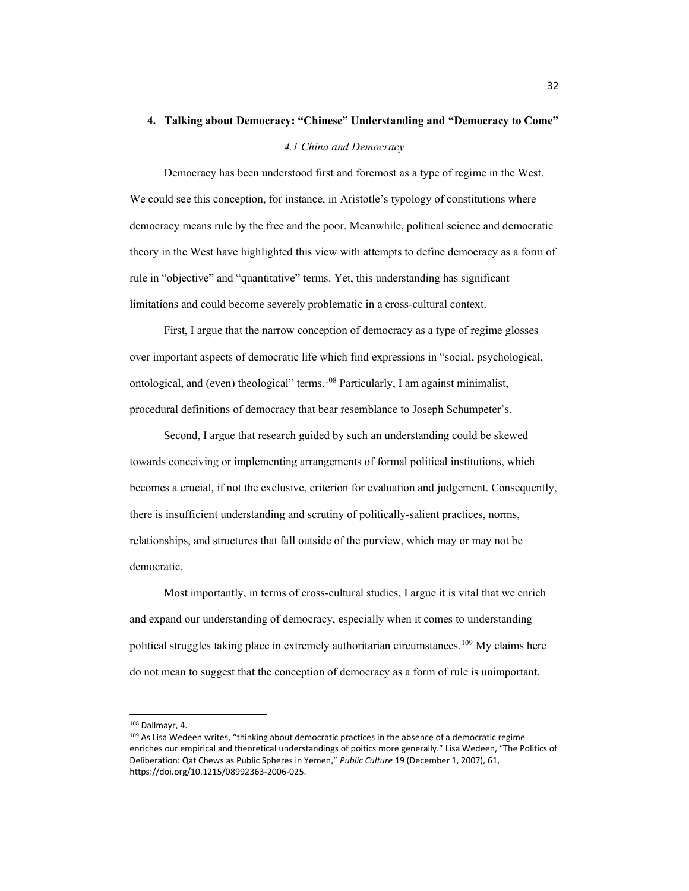# 4. Talking about Democracy: "Chinese" Understanding and "Democracy to Come"

## *4.1 China and Democracy*

Democracy has been understood first and foremost as a type of regime in the West. We could see this conception, for instance, in Aristotle's typology of constitutions where democracy means rule by the free and the poor. Meanwhile, political science and democratic theory in the West have highlighted this view with attempts to define democracy as a form of rule in "objective" and "quantitative" terms. Yet, this understanding has significant limitations and could become severely problematic in a cross-cultural context.

First, I argue that the narrow conception of democracy as a type of regime glosses over important aspects of democratic life which find expressions in "social, psychological, ontological, and (even) theological" terms.<sup>108</sup> Particularly, I am against minimalist, procedural definitions of democracy that bear resemblance to Joseph Schumpeter's.

Second, I argue that research guided by such an understanding could be skewed towards conceiving or implementing arrangements of formal political institutions, which becomes a crucial, if not the exclusive, criterion for evaluation and judgement. Consequently, there is insufficient understanding and scrutiny of politically-salient practices, norms, relationships, and structures that fall outside of the purview, which may or may not be democratic.

Most importantly, in terms of cross-cultural studies, I argue it is vital that we enrich and expand our understanding of democracy, especially when it comes to understanding political struggles taking place in extremely authoritarian circumstances.<sup>109</sup> My claims here do not mean to suggest that the conception of democracy as a form of rule is unimportant.

<sup>108</sup> Dallmayr, 4.

<sup>&</sup>lt;sup>109</sup> As Lisa Wedeen writes, "thinking about democratic practices in the absence of a democratic regime enriches our empirical and theoretical understandings of poitics more generally." Lisa Wedeen, "The Politics of Deliberation: Qat Chews as Public Spheres in Yemen," Public Culture 19 (December 1, 2007), 61, https://doi.org/10.1215/08992363-2006-025.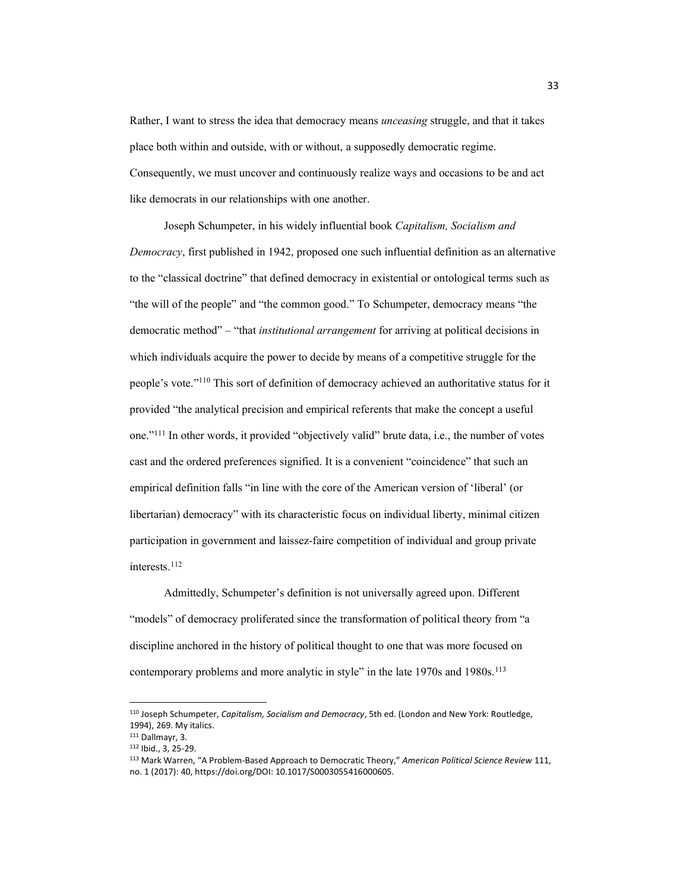Rather, I want to stress the idea that democracy means *unceasing* struggle, and that it takes place both within and outside, with or without, a supposedly democratic regime. Consequently, we must uncover and continuously realize ways and occasions to be and act like democrats in our relationships with one another.

Joseph Schumpeter, in his widely influential book *Capitalism, Socialism and Democracy*, first published in 1942, proposed one such influential definition as an alternative to the "classical doctrine" that defined democracy in existential or ontological terms such as "the will of the people" and "the common good." To Schumpeter, democracy means "the democratic method<sup>"</sup> – "that *institutional arrangement* for arriving at political decisions in which individuals acquire the power to decide by means of a competitive struggle for the people's vote."<sup>110</sup> This sort of definition of democracy achieved an authoritative status for it provided "the analytical precision and empirical referents that make the concept a useful one.<sup>"111</sup> In other words, it provided "objectively valid" brute data, i.e., the number of votes cast and the ordered preferences signified. It is a convenient "coincidence" that such an empirical definition falls "in line with the core of the American version of 'liberal' (or libertarian) democracy" with its characteristic focus on individual liberty, minimal citizen participation in government and laissez-faire competition of individual and group private interests.112

Admittedly, Schumpeter's definition is not universally agreed upon. Different "models" of democracy proliferated since the transformation of political theory from "a discipline anchored in the history of political thought to one that was more focused on contemporary problems and more analytic in style" in the late 1970s and 1980s.<sup>113</sup>

<sup>110</sup> Joseph Schumpeter, *Capitalism, Socialism and Democracy*, 5th ed. (London and New York: Routledge, 1994), 269. My italics.<br>
<sup>111</sup> Dallmayr, 3.<br>
<sup>112</sup> Ibid., 3, 25-29.

<sup>113</sup> Mark Warren, "A Problem-Based Approach to Democratic Theory," American Political Science Review 111, no. 1 (2017): 40, https://doi.org/DOI: 10.1017/S0003055416000605.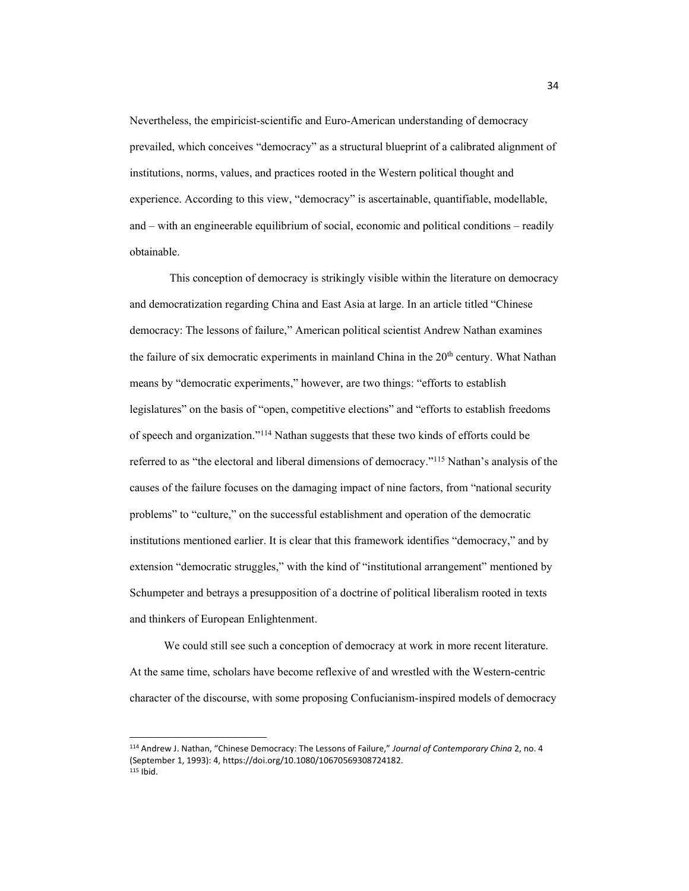Nevertheless, the empiricist-scientific and Euro-American understanding of democracy prevailed, which conceives "democracy" as a structural blueprint of a calibrated alignment of institutions, norms, values, and practices rooted in the Western political thought and experience. According to this view, "democracy" is ascertainable, quantifiable, modellable, and  $-\text{ with an engineerable equilibrium of social, economic and political conditions – readily}$ obtainable.

This conception of democracy is strikingly visible within the literature on democracy and democratization regarding China and East Asia at large. In an article titled "Chinese" democracy: The lessons of failure," American political scientist Andrew Nathan examines the failure of six democratic experiments in mainland China in the 20<sup>th</sup> century. What Nathan means by "democratic experiments," however, are two things: "efforts to establish legislatures" on the basis of "open, competitive elections" and "efforts to establish freedoms of speech and organization."<sup>114</sup> Nathan suggests that these two kinds of efforts could be referred to as "the electoral and liberal dimensions of democracy."<sup>115</sup> Nathan's analysis of the causes of the failure focuses on the damaging impact of nine factors, from "national security problems" to "culture," on the successful establishment and operation of the democratic institutions mentioned earlier. It is clear that this framework identifies "democracy," and by extension "democratic struggles," with the kind of "institutional arrangement" mentioned by Schumpeter and betrays a presupposition of a doctrine of political liberalism rooted in texts and thinkers of European Enlightenment.

We could still see such a conception of democracy at work in more recent literature. At the same time, scholars have become reflexive of and wrestled with the Western-centric character of the discourse, with some proposing Confucianism-inspired models of democracy

<sup>114</sup> Andrew J. Nathan, "Chinese Democracy: The Lessons of Failure," Journal of Contemporary China 2, no. 4 (September 1, 1993): 4, https://doi.org/10.1080/10670569308724182.  $115$  Ibid.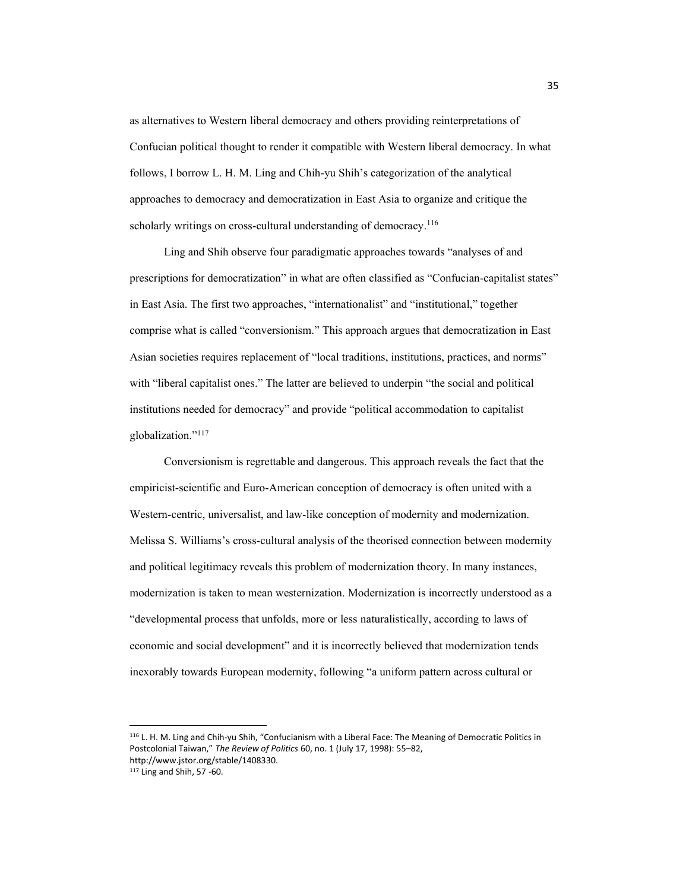as alternatives to Western liberal democracy and others providing reinterpretations of Confucian political thought to render it compatible with Western liberal democracy. In what follows, I borrow L. H. M. Ling and Chih-yu Shih's categorization of the analytical approaches to democracy and democratization in East Asia to organize and critique the scholarly writings on cross-cultural understanding of democracy.<sup>116</sup>

Ling and Shih observe four paradigmatic approaches towards "analyses of and prescriptions for democratization" in what are often classified as "Confucian-capitalist states" in East Asia. The first two approaches, "internationalist" and "institutional," together comprise what is called "conversionism." This approach argues that democratization in East Asian societies requires replacement of "local traditions, institutions, practices, and norms" with "liberal capitalist ones." The latter are believed to underpin "the social and political institutions needed for democracy" and provide "political accommodation to capitalist globalization."<sup>117</sup>

Conversionism is regrettable and dangerous. This approach reveals the fact that the empiricist-scientific and Euro-American conception of democracy is often united with a Western-centric, universalist, and law-like conception of modernity and modernization. Melissa S. Williams's cross-cultural analysis of the theorised connection between modernity and political legitimacy reveals this problem of modernization theory. In many instances, modernization is taken to mean westernization. Modernization is incorrectly understood as a "developmental process that unfolds, more or less naturalistically, according to laws of economic and social development" and it is incorrectly believed that modernization tends inexorably towards European modernity, following "a uniform pattern across cultural or

116 L. H. M. Ling and Chih-yu Shih, "Confucianism with a Liberal Face: The Meaning of Democratic Politics in Postcolonial Taiwan," The Review of Politics 60, no. 1 (July 17, 1998): 55-82, http://www.jstor.org/stable/1408330.

<sup>117</sup> Ling and Shih, 57 -60.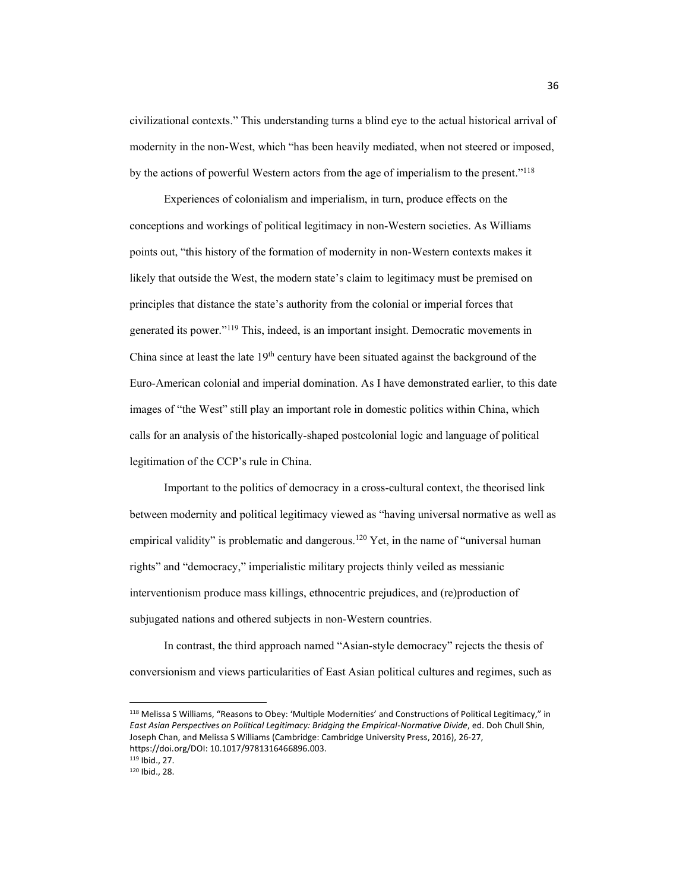civilizational contexts.<sup>"</sup> This understanding turns a blind eye to the actual historical arrival of modernity in the non-West, which "has been heavily mediated, when not steered or imposed, by the actions of powerful Western actors from the age of imperialism to the present."<sup>118</sup>

Experiences of colonialism and imperialism, in turn, produce effects on the conceptions and workings of political legitimacy in non-Western societies. As Williams points out, "this history of the formation of modernity in non-Western contexts makes it likely that outside the West, the modern state's claim to legitimacy must be premised on principles that distance the state's authority from the colonial or imperial forces that generated its power."<sup>119</sup> This, indeed, is an important insight. Democratic movements in China since at least the late  $19<sup>th</sup>$  century have been situated against the background of the Euro-American colonial and imperial domination. As I have demonstrated earlier, to this date images of "the West" still play an important role in domestic politics within China, which calls for an analysis of the historically-shaped postcolonial logic and language of political legitimation of the CCP's rule in China.

Important to the politics of democracy in a cross-cultural context, the theorised link between modernity and political legitimacy viewed as "having universal normative as well as empirical validity" is problematic and dangerous.<sup>120</sup> Yet, in the name of "universal human" rights" and "democracy," imperialistic military projects thinly veiled as messianic interventionism produce mass killings, ethnocentric prejudices, and (re)production of subjugated nations and othered subjects in non-Western countries.

In contrast, the third approach named "Asian-style democracy" rejects the thesis of conversionism and views particularities of East Asian political cultures and regimes, such as

<sup>118</sup> Melissa S Williams, "Reasons to Obey: 'Multiple Modernities' and Constructions of Political Legitimacy," in *East Asian Perspectives on Political Legitimacy: Bridging the Empirical-Normative Divide*, ed. Doh Chull Shin, Joseph Chan, and Melissa S Williams (Cambridge: Cambridge University Press, 2016), 26-27, https://doi.org/DOI: 10.1017/9781316466896.003.

<sup>119</sup> Ibid., 27.

<sup>120</sup> Ibid., 28.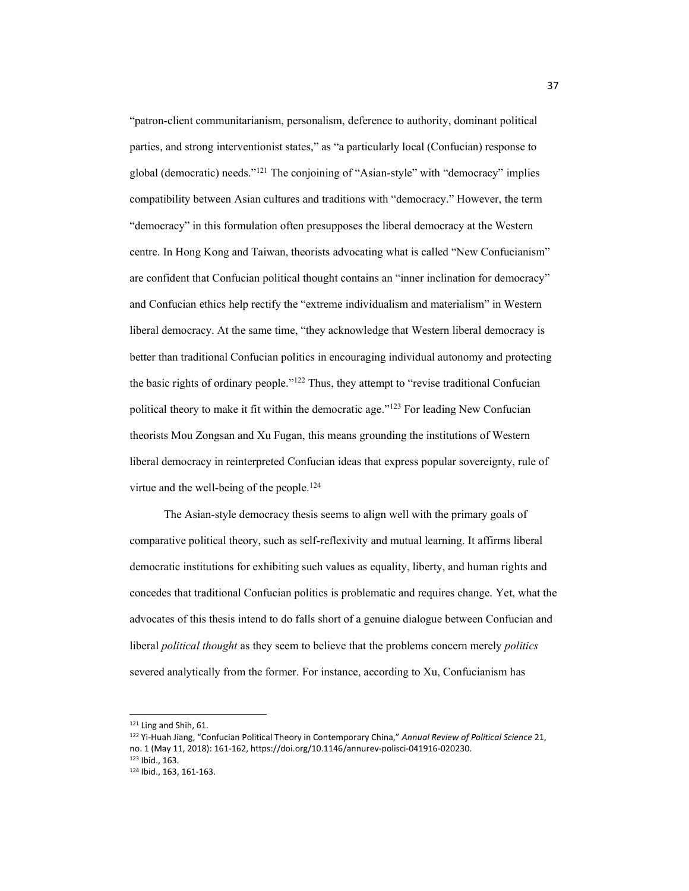"patron-client communitarianism, personalism, deference to authority, dominant political parties, and strong interventionist states," as "a particularly local (Confucian) response to global (democratic) needs."<sup>121</sup> The conjoining of "Asian-style" with "democracy" implies compatibility between Asian cultures and traditions with "democracy." However, the term "democracy" in this formulation often presupposes the liberal democracy at the Western centre. In Hong Kong and Taiwan, theorists advocating what is called "New Confucianism" are confident that Confucian political thought contains an "inner inclination for democracy" and Confucian ethics help rectify the "extreme individualism and materialism" in Western liberal democracy. At the same time, "they acknowledge that Western liberal democracy is better than traditional Confucian politics in encouraging individual autonomy and protecting the basic rights of ordinary people." $122$  Thus, they attempt to "revise traditional Confucian political theory to make it fit within the democratic age."<sup>123</sup> For leading New Confucian theorists Mou Zongsan and Xu Fugan, this means grounding the institutions of Western liberal democracy in reinterpreted Confucian ideas that express popular sovereignty, rule of virtue and the well-being of the people.<sup>124</sup>

The Asian-style democracy thesis seems to align well with the primary goals of comparative political theory, such as self-reflexivity and mutual learning. It affirms liberal democratic institutions for exhibiting such values as equality, liberty, and human rights and concedes that traditional Confucian politics is problematic and requires change. Yet, what the advocates of this thesis intend to do falls short of a genuine dialogue between Confucian and liberal *political thought* as they seem to believe that the problems concern merely *politics* severed analytically from the former. For instance, according to Xu, Confucianism has

<sup>121</sup> Ling and Shih, 61.

<sup>122</sup> Yi-Huah Jiang, "Confucian Political Theory in Contemporary China," Annual Review of Political Science 21, no. 1 (May 11, 2018): 161-162, https://doi.org/10.1146/annurev-polisci-041916-020230. <sup>123</sup> Ibid., 163.

<sup>124</sup> Ibid., 163, 161-163.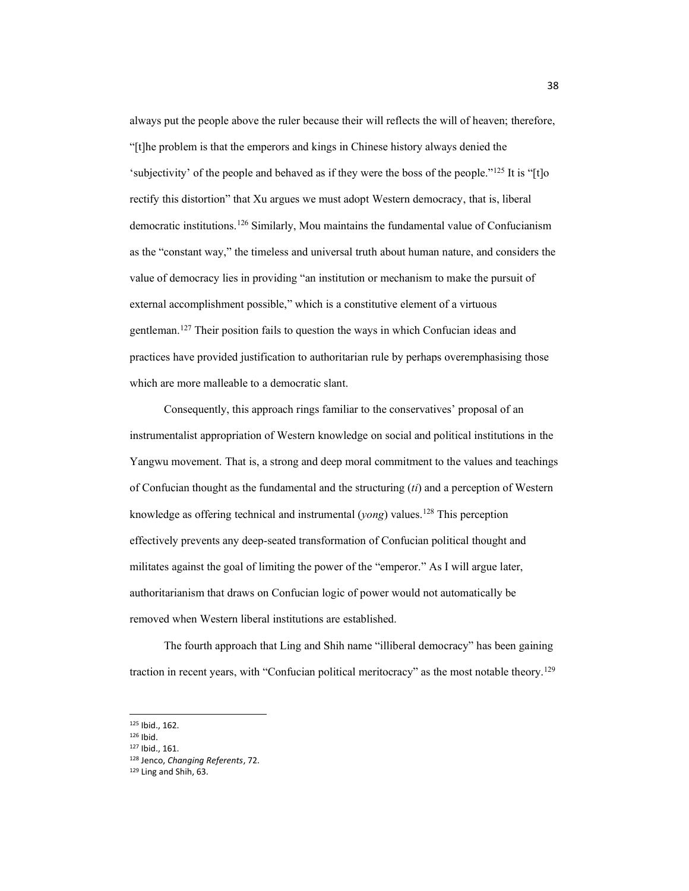always put the people above the ruler because their will reflects the will of heaven; therefore, "[t]he problem is that the emperors and kings in Chinese history always denied the 'subjectivity' of the people and behaved as if they were the boss of the people."<sup>125</sup> It is "[t]o rectify this distortion" that Xu argues we must adopt Western democracy, that is, liberal democratic institutions.126 Similarly, Mou maintains the fundamental value of Confucianism as the "constant way," the timeless and universal truth about human nature, and considers the value of democracy lies in providing "an institution or mechanism to make the pursuit of external accomplishment possible," which is a constitutive element of a virtuous gentleman.127 Their position fails to question the ways in which Confucian ideas and practices have provided justification to authoritarian rule by perhaps overemphasising those which are more malleable to a democratic slant.

Consequently, this approach rings familiar to the conservatives' proposal of an instrumentalist appropriation of Western knowledge on social and political institutions in the Yangwu movement. That is, a strong and deep moral commitment to the values and teachings of Confucian thought as the fundamental and the structuring (*ti*) and a perception of Western knowledge as offering technical and instrumental (*yong*) values.128 This perception effectively prevents any deep-seated transformation of Confucian political thought and militates against the goal of limiting the power of the "emperor," As I will argue later, authoritarianism that draws on Confucian logic of power would not automatically be removed when Western liberal institutions are established.

The fourth approach that Ling and Shih name "illiberal democracy" has been gaining traction in recent years, with "Confucian political meritocracy" as the most notable theory.<sup>129</sup>

<sup>125</sup> Ibid., 162.

<sup>126</sup> Ibid.

<sup>127</sup> Ibid., 161.

<sup>128</sup> Jenco, *Changing Referents*, 72.

<sup>129</sup> Ling and Shih, 63.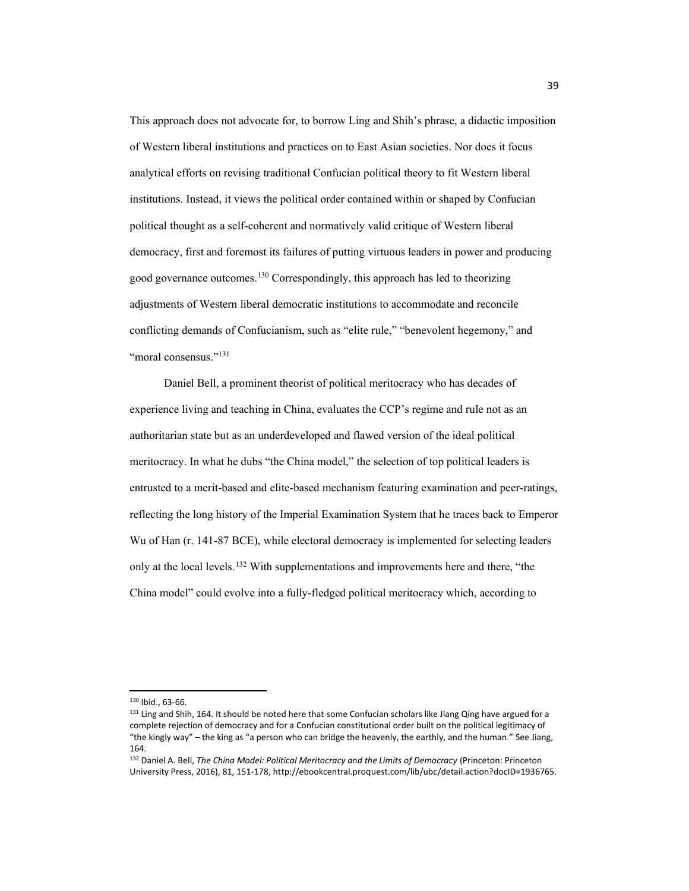This approach does not advocate for, to borrow Ling and Shih's phrase, a didactic imposition of Western liberal institutions and practices on to East Asian societies. Nor does it focus analytical efforts on revising traditional Confucian political theory to fit Western liberal institutions. Instead, it views the political order contained within or shaped by Confucian political thought as a self-coherent and normatively valid critique of Western liberal democracy, first and foremost its failures of putting virtuous leaders in power and producing good governance outcomes. <sup>130</sup> Correspondingly, this approach has led to theorizing adjustments of Western liberal democratic institutions to accommodate and reconcile conflicting demands of Confucianism, such as "elite rule," "benevolent hegemony," and "moral consensus."<sup>131</sup>

Daniel Bell, a prominent theorist of political meritocracy who has decades of experience living and teaching in China, evaluates the CCP's regime and rule not as an authoritarian state but as an underdeveloped and flawed version of the ideal political meritocracy. In what he dubs "the China model," the selection of top political leaders is entrusted to a merit-based and elite-based mechanism featuring examination and peer-ratings, reflecting the long history of the Imperial Examination System that he traces back to Emperor Wu of Han (r. 141-87 BCE), while electoral democracy is implemented for selecting leaders only at the local levels.<sup>132</sup> With supplementations and improvements here and there, "the China model" could evolve into a fully-fledged political meritocracy which, according to

<sup>130</sup> Ibid., 63-66.

<sup>&</sup>lt;sup>131</sup> Ling and Shih, 164. It should be noted here that some Confucian scholars like Jiang Qing have argued for a complete rejection of democracy and for a Confucian constitutional order built on the political legitimacy of "the kingly way" – the king as "a person who can bridge the heavenly, the earthly, and the human." See Jiang, 164.

<sup>132</sup> Daniel A. Bell, *The China Model: Political Meritocracy and the Limits of Democracy* (Princeton: Princeton University Press, 2016), 81, 151-178, http://ebookcentral.proquest.com/lib/ubc/detail.action?docID=1936765.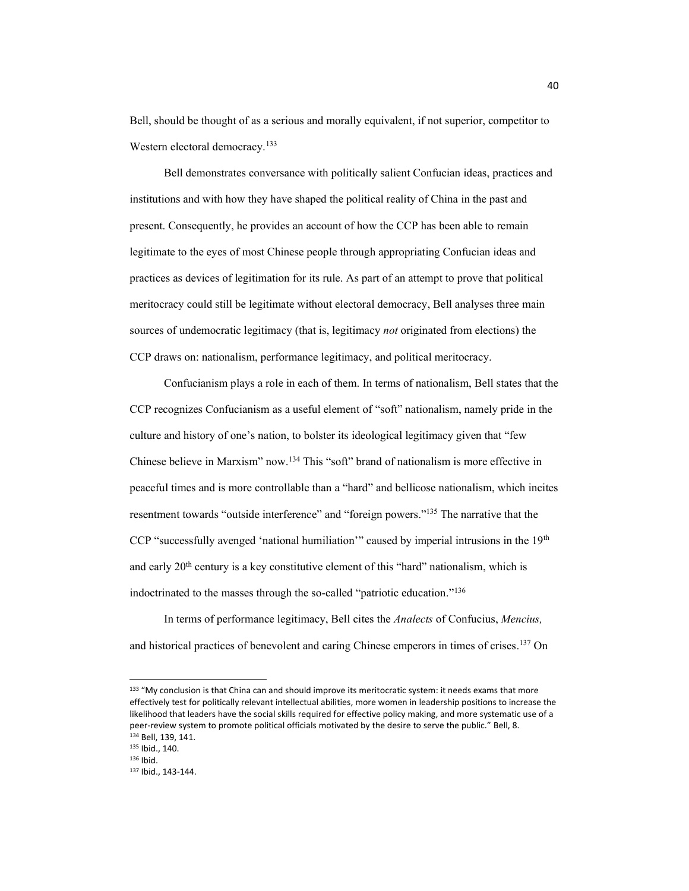Bell, should be thought of as a serious and morally equivalent, if not superior, competitor to Western electoral democracy.<sup>133</sup>

Bell demonstrates conversance with politically salient Confucian ideas, practices and institutions and with how they have shaped the political reality of China in the past and present. Consequently, he provides an account of how the CCP has been able to remain legitimate to the eyes of most Chinese people through appropriating Confucian ideas and practices as devices of legitimation for its rule. As part of an attempt to prove that political meritocracy could still be legitimate without electoral democracy, Bell analyses three main sources of undemocratic legitimacy (that is, legitimacy *not* originated from elections) the CCP draws on: nationalism, performance legitimacy, and political meritocracy.

Confucianism plays a role in each of them. In terms of nationalism, Bell states that the CCP recognizes Confucianism as a useful element of "soft" nationalism, namely pride in the culture and history of one's nation, to bolster its ideological legitimacy given that "few Chinese believe in Marxism" now.<sup>134</sup> This "soft" brand of nationalism is more effective in peaceful times and is more controllable than a "hard" and bellicose nationalism, which incites resentment towards "outside interference" and "foreign powers."<sup>135</sup> The narrative that the CCP "successfully avenged 'national humiliation'" caused by imperial intrusions in the  $19<sup>th</sup>$ and early  $20<sup>th</sup>$  century is a key constitutive element of this "hard" nationalism, which is indoctrinated to the masses through the so-called "patriotic education."<sup>136</sup>

In terms of performance legitimacy, Bell cites the *Analects* of Confucius, *Mencius,* and historical practices of benevolent and caring Chinese emperors in times of crises. <sup>137</sup> On

<sup>133 &</sup>quot;My conclusion is that China can and should improve its meritocratic system: it needs exams that more effectively test for politically relevant intellectual abilities, more women in leadership positions to increase the likelihood that leaders have the social skills required for effective policy making, and more systematic use of a peer-review system to promote political officials motivated by the desire to serve the public." Bell, 8. <sup>134</sup> Bell, 139, 141.

<sup>135</sup> Ibid., 140.

<sup>136</sup> Ibid.

<sup>137</sup> Ibid., 143-144.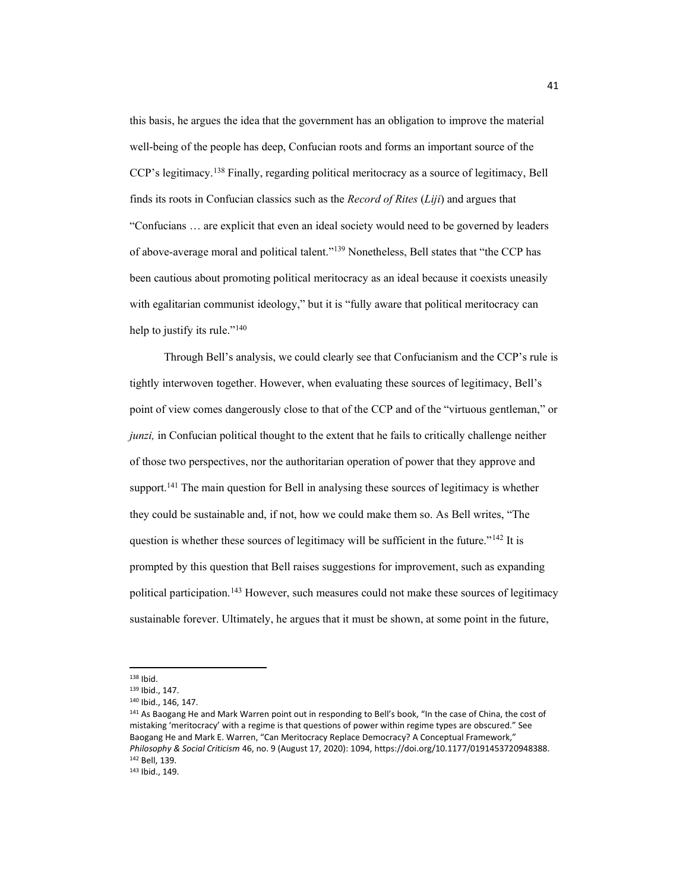this basis, he argues the idea that the government has an obligation to improve the material well-being of the people has deep, Confucian roots and forms an important source of the CCP's legitimacy.<sup>138</sup> Finally, regarding political meritocracy as a source of legitimacy, Bell finds its roots in Confucian classics such as the *Record of Rites* (*Liji*) and argues that "Confucians ... are explicit that even an ideal society would need to be governed by leaders of above-average moral and political talent."<sup>139</sup> Nonetheless, Bell states that "the CCP has been cautious about promoting political meritocracy as an ideal because it coexists uneasily with egalitarian communist ideology," but it is "fully aware that political meritocracy can help to justify its rule." $140$ 

Through Bell's analysis, we could clearly see that Confucianism and the CCP's rule is tightly interwoven together. However, when evaluating these sources of legitimacy, Bell's point of view comes dangerously close to that of the CCP and of the "virtuous gentleman," or *junzi*, in Confucian political thought to the extent that he fails to critically challenge neither of those two perspectives, nor the authoritarian operation of power that they approve and support.<sup>141</sup> The main question for Bell in analysing these sources of legitimacy is whether they could be sustainable and, if not, how we could make them so. As Bell writes, "The question is whether these sources of legitimacy will be sufficient in the future." $142$  It is prompted by this question that Bell raises suggestions for improvement, such as expanding political participation.143 However, such measures could not make these sources of legitimacy sustainable forever. Ultimately, he argues that it must be shown, at some point in the future,

<sup>&</sup>lt;sup>138</sup> Ibid.<br><sup>139</sup> Ibid., 147.

<sup>140</sup> Ibid., 146, 147.

<sup>141</sup> As Baogang He and Mark Warren point out in responding to Bell's book, "In the case of China, the cost of mistaking 'meritocracy' with a regime is that questions of power within regime types are obscured." See Baogang He and Mark E. Warren, "Can Meritocracy Replace Democracy? A Conceptual Framework," *Philosophy & Social Criticism* 46, no. 9 (August 17, 2020): 1094, https://doi.org/10.1177/0191453720948388. 142 Bell, 139.<br><sup>143</sup> Ibid., 149.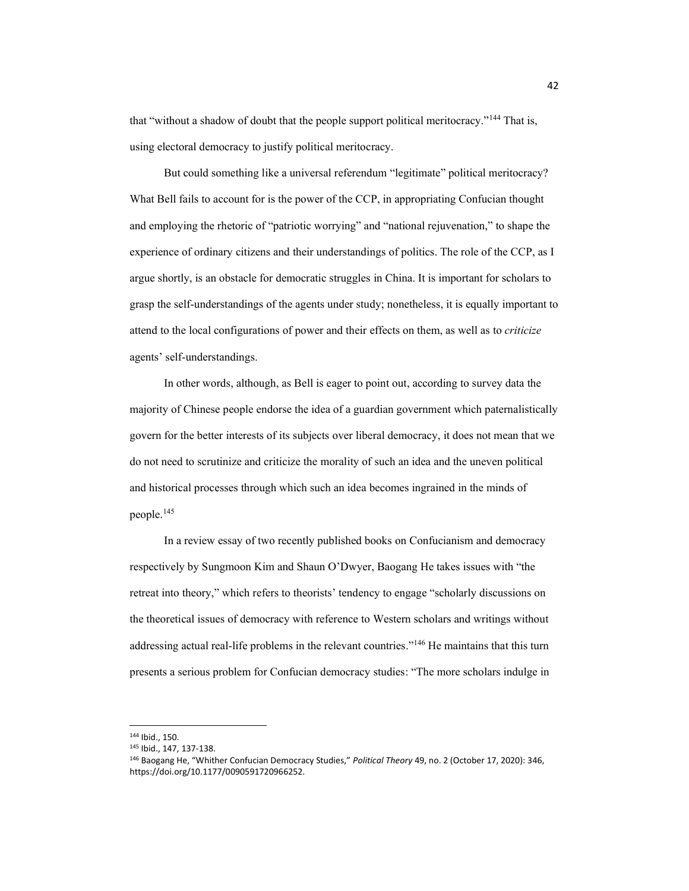that "without a shadow of doubt that the people support political meritocracy."<sup>144</sup> That is, using electoral democracy to justify political meritocracy.

But could something like a universal referendum "legitimate" political meritocracy? What Bell fails to account for is the power of the CCP, in appropriating Confucian thought and employing the rhetoric of "patriotic worrying" and "national rejuvenation," to shape the experience of ordinary citizens and their understandings of politics. The role of the CCP, as I argue shortly, is an obstacle for democratic struggles in China. It is important for scholars to grasp the self-understandings of the agents under study; nonetheless, it is equally important to attend to the local configurations of power and their effects on them, as well as to *criticize* agents' self-understandings.

In other words, although, as Bell is eager to point out, according to survey data the majority of Chinese people endorse the idea of a guardian government which paternalistically govern for the better interests of its subjects over liberal democracy, it does not mean that we do not need to scrutinize and criticize the morality of such an idea and the uneven political and historical processes through which such an idea becomes ingrained in the minds of people.145

In a review essay of two recently published books on Confucianism and democracy respectively by Sungmoon Kim and Shaun O'Dwyer, Baogang He takes issues with "the retreat into theory," which refers to theorists' tendency to engage "scholarly discussions on the theoretical issues of democracy with reference to Western scholars and writings without addressing actual real-life problems in the relevant countries.<sup>3146</sup> He maintains that this turn presents a serious problem for Confucian democracy studies: "The more scholars indulge in

<sup>144</sup> Ibid., 150.

<sup>145</sup> Ibid., 147, 137-138.

<sup>146</sup> Baogang He, "Whither Confucian Democracy Studies," Political Theory 49, no. 2 (October 17, 2020): 346, https://doi.org/10.1177/0090591720966252.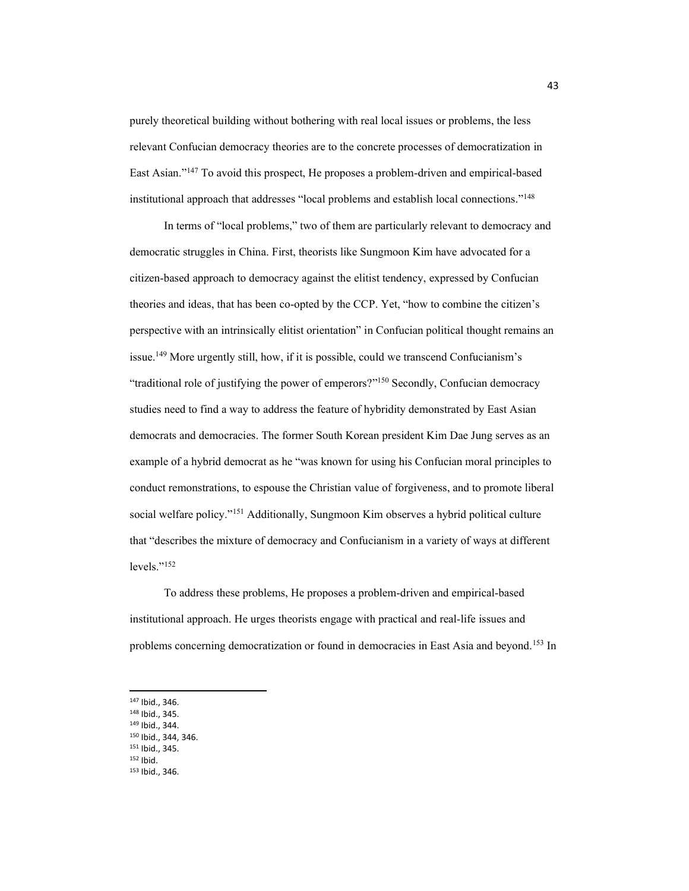purely theoretical building without bothering with real local issues or problems, the less relevant Confucian democracy theories are to the concrete processes of democratization in East Asian."<sup>147</sup> To avoid this prospect, He proposes a problem-driven and empirical-based institutional approach that addresses "local problems and establish local connections."<sup>148</sup>

In terms of "local problems," two of them are particularly relevant to democracy and democratic struggles in China. First, theorists like Sungmoon Kim have advocated for a citizen-based approach to democracy against the elitist tendency, expressed by Confucian theories and ideas, that has been co-opted by the CCP. Yet, "how to combine the citizen's perspective with an intrinsically elitist orientation" in Confucian political thought remains an issue.<sup>149</sup> More urgently still, how, if it is possible, could we transcend Confucianism's "traditional role of justifying the power of emperors?"<sup>150</sup> Secondly, Confucian democracy studies need to find a way to address the feature of hybridity demonstrated by East Asian democrats and democracies. The former South Korean president Kim Dae Jung serves as an example of a hybrid democrat as he "was known for using his Confucian moral principles to conduct remonstrations, to espouse the Christian value of forgiveness, and to promote liberal social welfare policy."<sup>151</sup> Additionally, Sungmoon Kim observes a hybrid political culture that "describes the mixture of democracy and Confucianism in a variety of ways at different  $levels.^{"152}$ 

To address these problems, He proposes a problem-driven and empirical-based institutional approach. He urges theorists engage with practical and real-life issues and problems concerning democratization or found in democracies in East Asia and beyond.153 In

- <sup>150</sup> Ibid., 344, 346.
- <sup>151</sup> Ibid., 345.
- <sup>152</sup> Ibid.
- <sup>153</sup> Ibid., 346.

<sup>147</sup> Ibid., 346. <sup>148</sup> Ibid., 345.

<sup>149</sup> Ibid., 344.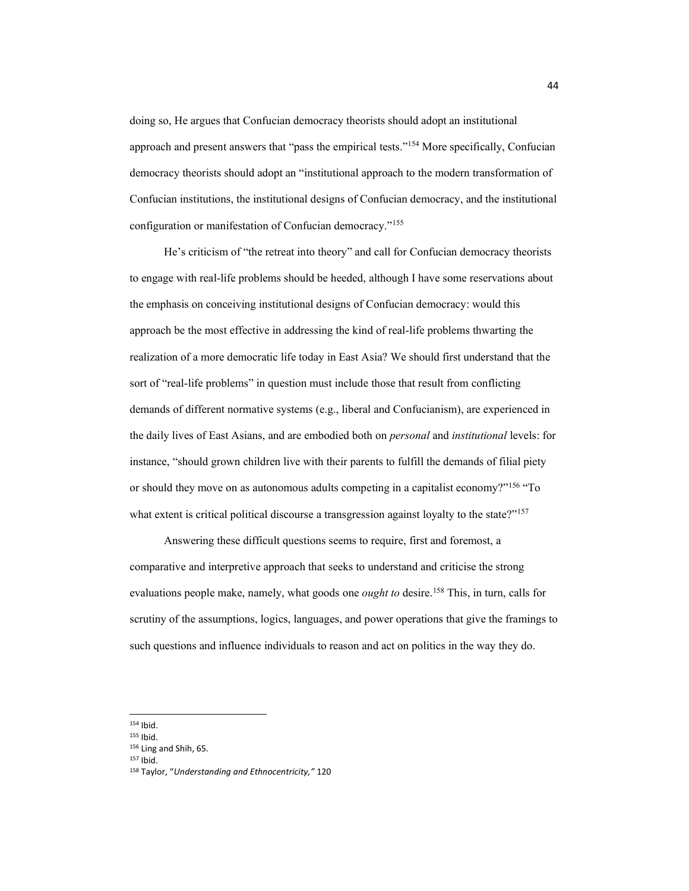doing so, He argues that Confucian democracy theorists should adopt an institutional approach and present answers that "pass the empirical tests."<sup>154</sup> More specifically, Confucian democracy theorists should adopt an "institutional approach to the modern transformation of Confucian institutions, the institutional designs of Confucian democracy, and the institutional configuration or manifestation of Confucian democracy."<sup>155</sup>

He's criticism of "the retreat into theory" and call for Confucian democracy theorists to engage with real-life problems should be heeded, although I have some reservations about the emphasis on conceiving institutional designs of Confucian democracy: would this approach be the most effective in addressing the kind of real-life problems thwarting the realization of a more democratic life today in East Asia? We should first understand that the sort of "real-life problems" in question must include those that result from conflicting demands of different normative systems (e.g., liberal and Confucianism), are experienced in the daily lives of East Asians, and are embodied both on *personal* and *institutional* levels: for instance, "should grown children live with their parents to fulfill the demands of filial piety or should they move on as autonomous adults competing in a capitalist economy?"<sup>156</sup> "To what extent is critical political discourse a transgression against loyalty to the state?"<sup>157</sup>

Answering these difficult questions seems to require, first and foremost, a comparative and interpretive approach that seeks to understand and criticise the strong evaluations people make, namely, what goods one *ought to* desire.<sup>158</sup> This, in turn, calls for scrutiny of the assumptions, logics, languages, and power operations that give the framings to such questions and influence individuals to reason and act on politics in the way they do.

<sup>154</sup> Ibid.

<sup>155</sup> Ibid.

<sup>156</sup> Ling and Shih, 65.

<sup>157</sup> Ibid.

<sup>158</sup> Taylor, "Understanding and Ethnocentricity," 120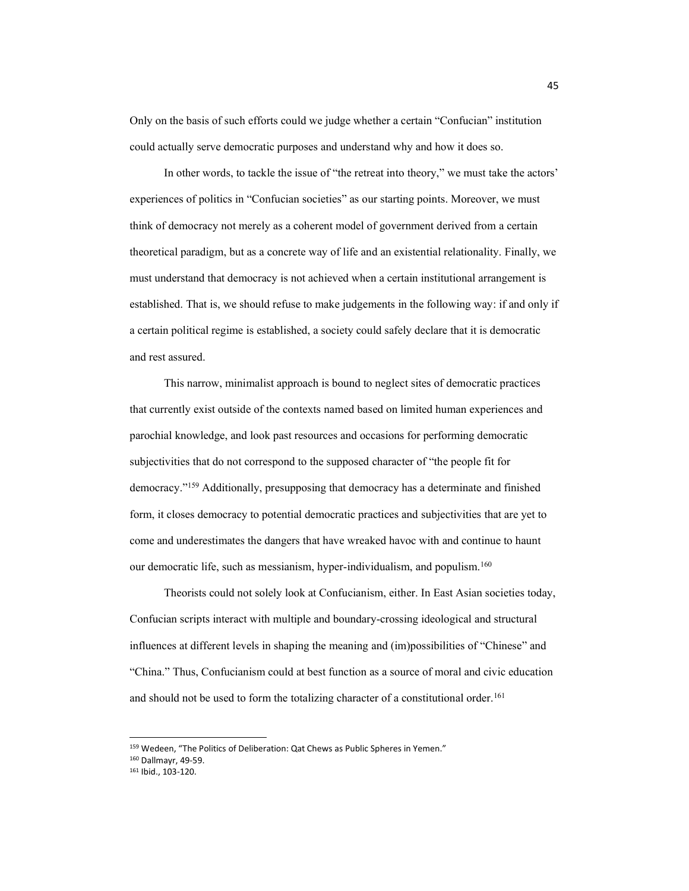Only on the basis of such efforts could we judge whether a certain "Confucian" institution could actually serve democratic purposes and understand why and how it does so.

In other words, to tackle the issue of "the retreat into theory," we must take the actors' experiences of politics in "Confucian societies" as our starting points. Moreover, we must think of democracy not merely as a coherent model of government derived from a certain theoretical paradigm, but as a concrete way of life and an existential relationality. Finally, we must understand that democracy is not achieved when a certain institutional arrangement is established. That is, we should refuse to make judgements in the following way: if and only if a certain political regime is established, a society could safely declare that it is democratic and rest assured.

This narrow, minimalist approach is bound to neglect sites of democratic practices that currently exist outside of the contexts named based on limited human experiences and parochial knowledge, and look past resources and occasions for performing democratic subjectivities that do not correspond to the supposed character of "the people fit for democracy."<sup>159</sup> Additionally, presupposing that democracy has a determinate and finished form, it closes democracy to potential democratic practices and subjectivities that are yet to come and underestimates the dangers that have wreaked havoc with and continue to haunt our democratic life, such as messianism, hyper-individualism, and populism.<sup>160</sup>

Theorists could not solely look at Confucianism, either. In East Asian societies today, Confucian scripts interact with multiple and boundary-crossing ideological and structural influences at different levels in shaping the meaning and (im)possibilities of "Chinese" and "China." Thus, Confucianism could at best function as a source of moral and civic education and should not be used to form the totalizing character of a constitutional order.<sup>161</sup>

<sup>159</sup> Wedeen, "The Politics of Deliberation: Qat Chews as Public Spheres in Yemen."

<sup>160</sup> Dallmayr, 49-59.

<sup>161</sup> Ibid., 103-120.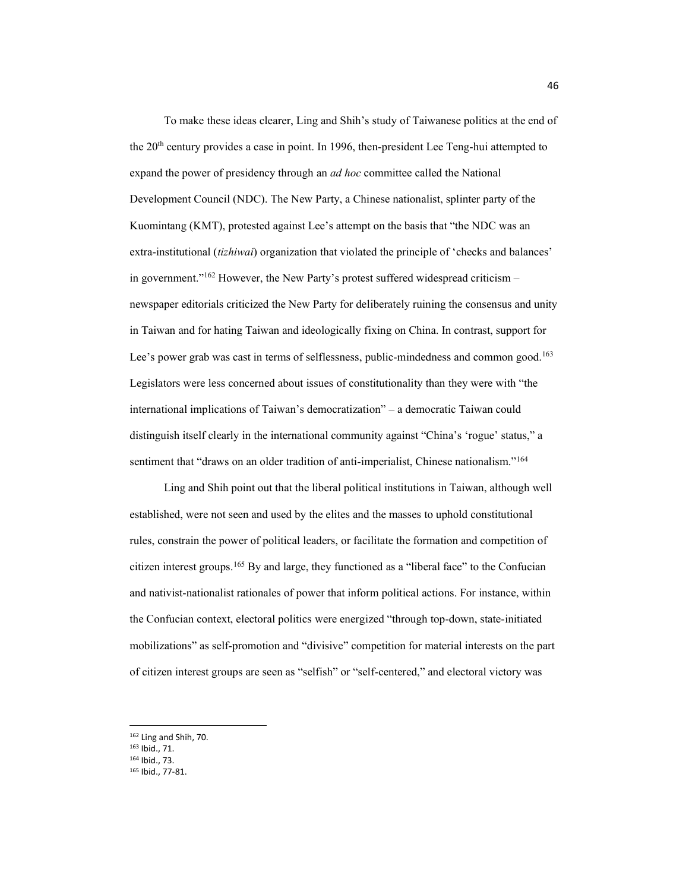To make these ideas clearer, Ling and Shih's study of Taiwanese politics at the end of the 20th century provides a case in point. In 1996, then-president Lee Teng-hui attempted to expand the power of presidency through an *ad hoc* committee called the National Development Council (NDC). The New Party, a Chinese nationalist, splinter party of the Kuomintang (KMT), protested against Lee's attempt on the basis that "the NDC was an extra-institutional (*tizhiwai*) organization that violated the principle of 'checks and balances' in government.<sup>"162</sup> However, the New Party's protest suffered widespread criticism  $$ newspaper editorials criticized the New Party for deliberately ruining the consensus and unity in Taiwan and for hating Taiwan and ideologically fixing on China. In contrast, support for Lee's power grab was cast in terms of selflessness, public-mindedness and common good.<sup>163</sup> Legislators were less concerned about issues of constitutionality than they were with "the international implications of Taiwan's democratization" – a democratic Taiwan could distinguish itself clearly in the international community against "China's 'rogue' status," a sentiment that "draws on an older tradition of anti-imperialist, Chinese nationalism."<sup>164</sup>

Ling and Shih point out that the liberal political institutions in Taiwan, although well established, were not seen and used by the elites and the masses to uphold constitutional rules, constrain the power of political leaders, or facilitate the formation and competition of citizen interest groups.<sup>165</sup> By and large, they functioned as a "liberal face" to the Confucian and nativist-nationalist rationales of power that inform political actions. For instance, within the Confucian context, electoral politics were energized "through top-down, state-initiated mobilizations" as self-promotion and "divisive" competition for material interests on the part of citizen interest groups are seen as "selfish" or "self-centered," and electoral victory was

<sup>164</sup> Ibid., 73.

<sup>162</sup> Ling and Shih, 70.

<sup>163</sup> Ibid., 71.

<sup>165</sup> Ibid., 77-81.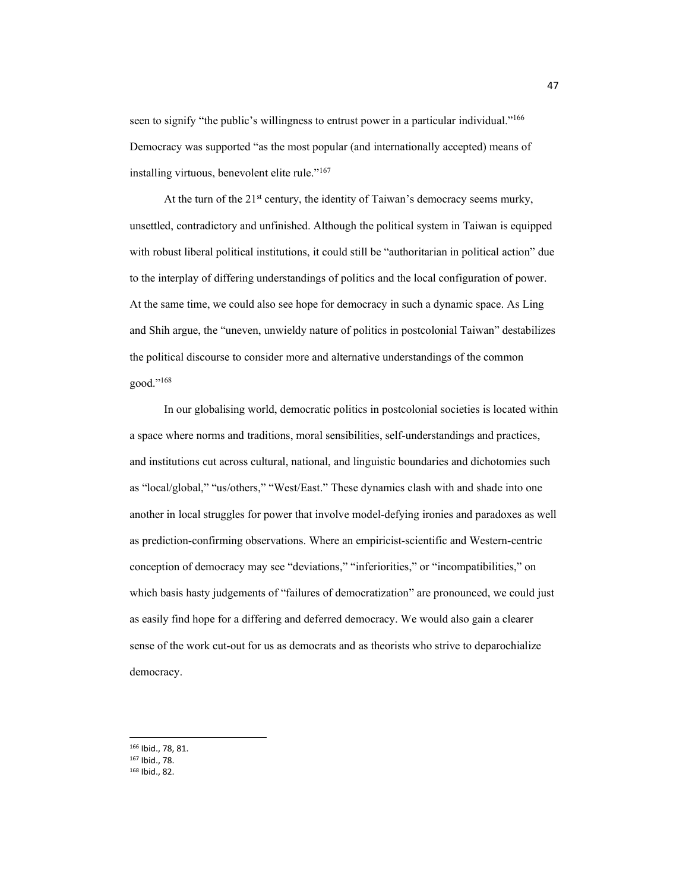seen to signify "the public's willingness to entrust power in a particular individual."<sup>166</sup> Democracy was supported "as the most popular (and internationally accepted) means of installing virtuous, benevolent elite rule."<sup>167</sup>

At the turn of the  $21<sup>st</sup>$  century, the identity of Taiwan's democracy seems murky, unsettled, contradictory and unfinished. Although the political system in Taiwan is equipped with robust liberal political institutions, it could still be "authoritarian in political action" due to the interplay of differing understandings of politics and the local configuration of power. At the same time, we could also see hope for democracy in such a dynamic space. As Ling and Shih argue, the "uneven, unwieldy nature of politics in postcolonial Taiwan" destabilizes the political discourse to consider more and alternative understandings of the common good."<sup>168</sup>

In our globalising world, democratic politics in postcolonial societies is located within a space where norms and traditions, moral sensibilities, self-understandings and practices, and institutions cut across cultural, national, and linguistic boundaries and dichotomies such as "local/global," "us/others," "West/East." These dynamics clash with and shade into one another in local struggles for power that involve model-defying ironies and paradoxes as well as prediction-confirming observations. Where an empiricist-scientific and Western-centric conception of democracy may see "deviations," "inferiorities," or "incompatibilities," on which basis hasty judgements of "failures of democratization" are pronounced, we could just as easily find hope for a differing and deferred democracy. We would also gain a clearer sense of the work cut-out for us as democrats and as theorists who strive to deparochialize democracy.

<sup>166</sup> Ibid., 78, 81.

<sup>167</sup> Ibid., 78.

<sup>168</sup> Ibid., 82.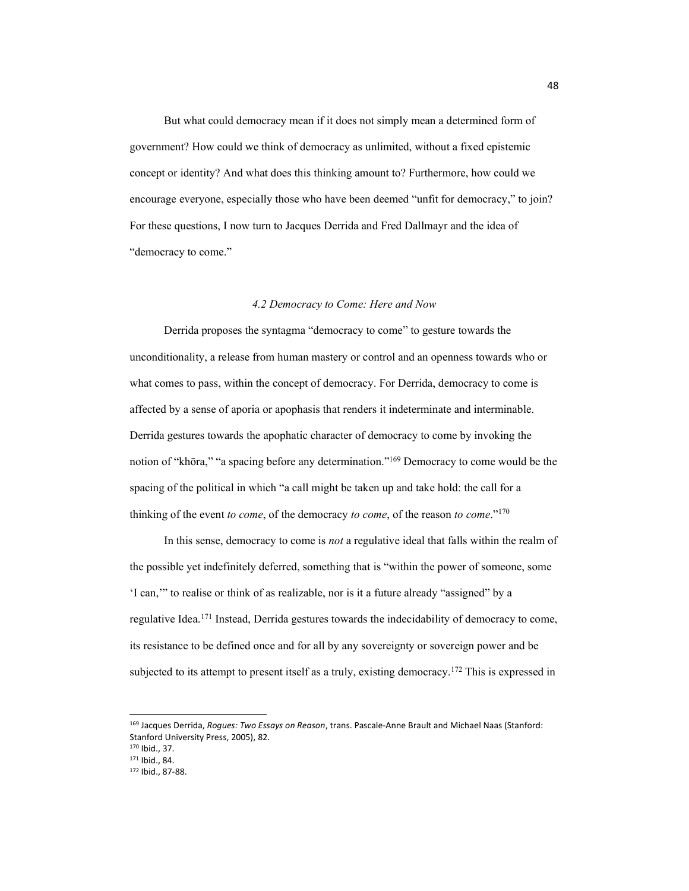But what could democracy mean if it does not simply mean a determined form of government? How could we think of democracy as unlimited, without a fixed epistemic concept or identity? And what does this thinking amount to? Furthermore, how could we encourage everyone, especially those who have been deemed "unfit for democracy," to join? For these questions, I now turn to Jacques Derrida and Fred Dallmayr and the idea of "democracy to come."

## *4.2 Democracy to Come: Here and Now*

Derrida proposes the syntagma "democracy to come" to gesture towards the unconditionality, a release from human mastery or control and an openness towards who or what comes to pass, within the concept of democracy. For Derrida, democracy to come is affected by a sense of aporia or apophasis that renders it indeterminate and interminable. Derrida gestures towards the apophatic character of democracy to come by invoking the notion of "khōra," "a spacing before any determination."<sup>169</sup> Democracy to come would be the spacing of the political in which "a call might be taken up and take hold: the call for a thinking of the event *to come*, of the democracy *to come*, of the reason *to come*."<sup>170</sup>

In this sense, democracy to come is *not* a regulative ideal that falls within the realm of the possible yet indefinitely deferred, something that is "within the power of someone, some 'I can," to realise or think of as realizable, nor is it a future already "assigned" by a regulative Idea.171 Instead, Derrida gestures towards the indecidability of democracy to come, its resistance to be defined once and for all by any sovereignty or sovereign power and be subjected to its attempt to present itself as a truly, existing democracy.<sup>172</sup> This is expressed in

<sup>169</sup> Jacques Derrida, *Rogues: Two Essays on Reason*, trans. Pascale-Anne Brault and Michael Naas (Stanford: Stanford University Press, 2005), 82.

<sup>170</sup> Ibid., 37.

<sup>171</sup> Ibid., 84.

<sup>172</sup> Ibid., 87-88.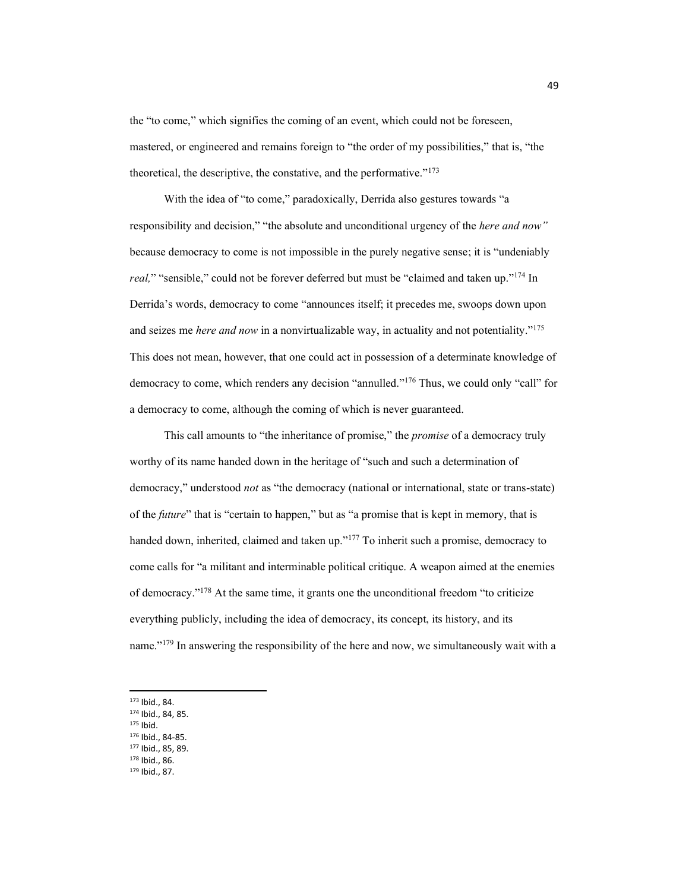the "to come," which signifies the coming of an event, which could not be foreseen, mastered, or engineered and remains foreign to "the order of my possibilities," that is, "the theoretical, the descriptive, the constative, and the performative." $173$ 

With the idea of "to come," paradoxically, Derrida also gestures towards "a responsibility and decision," "the absolute and unconditional urgency of the here and now" because democracy to come is not impossible in the purely negative sense; it is "undeniably" *real*," "sensible," could not be forever deferred but must be "claimed and taken up."<sup>174</sup> In Derrida's words, democracy to come "announces itself; it precedes me, swoops down upon and seizes me *here and now* in a nonvirtualizable way, in actuality and not potentiality."<sup>175</sup> This does not mean, however, that one could act in possession of a determinate knowledge of democracy to come, which renders any decision "annulled.<sup>"176</sup> Thus, we could only "call" for a democracy to come, although the coming of which is never guaranteed.

This call amounts to "the inheritance of promise," the *promise* of a democracy truly worthy of its name handed down in the heritage of "such and such a determination of democracy," understood *not* as "the democracy (national or international, state or trans-state) of the *future*" that is "certain to happen," but as "a promise that is kept in memory, that is handed down, inherited, claimed and taken up."<sup>177</sup> To inherit such a promise, democracy to come calls for "a militant and interminable political critique. A weapon aimed at the enemies of democracy." $178$  At the same time, it grants one the unconditional freedom "to criticize everything publicly, including the idea of democracy, its concept, its history, and its name." $179$  In answering the responsibility of the here and now, we simultaneously wait with a

- <sup>173</sup> Ibid., 84.
- <sup>174</sup> Ibid., 84, 85.
- <sup>175</sup> Ibid.
- <sup>176</sup> Ibid., 84-85.
- <sup>177</sup> Ibid., 85, 89.
- <sup>178</sup> Ibid., 86.
- <sup>179</sup> Ibid., 87.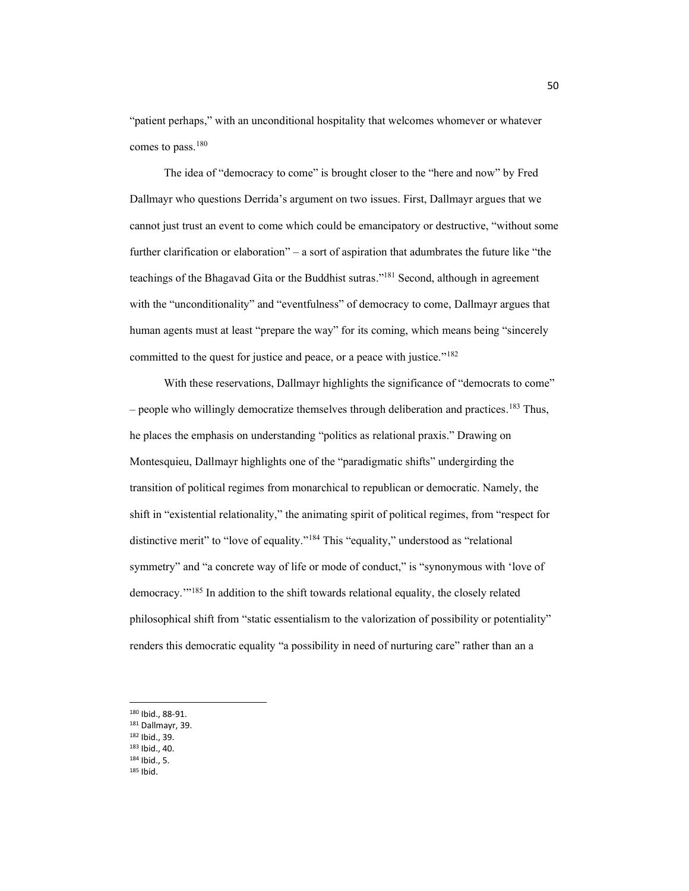"patient perhaps," with an unconditional hospitality that welcomes whomever or whatever comes to pass. 180

The idea of "democracy to come" is brought closer to the "here and now" by Fred Dallmayr who questions Derrida's argument on two issues. First, Dallmayr argues that we cannot just trust an event to come which could be emancipatory or destructive, "without some further clarification or elaboration"  $-$  a sort of aspiration that adumbrates the future like "the teachings of the Bhagavad Gita or the Buddhist sutras."<sup>181</sup> Second, although in agreement with the "unconditionality" and "eventfulness" of democracy to come, Dallmayr argues that human agents must at least "prepare the way" for its coming, which means being "sincerely committed to the quest for justice and peace, or a peace with justice." $182$ 

With these reservations, Dallmayr highlights the significance of "democrats to come" - people who willingly democratize themselves through deliberation and practices.<sup>183</sup> Thus, he places the emphasis on understanding "politics as relational praxis." Drawing on Montesquieu, Dallmayr highlights one of the "paradigmatic shifts" undergirding the transition of political regimes from monarchical to republican or democratic. Namely, the shift in "existential relationality," the animating spirit of political regimes, from "respect for distinctive merit" to "love of equality."<sup>184</sup> This "equality," understood as "relational symmetry" and "a concrete way of life or mode of conduct," is "synonymous with 'love of democracy."<sup>185</sup> In addition to the shift towards relational equality, the closely related philosophical shift from "static essentialism to the valorization of possibility or potentiality" renders this democratic equality "a possibility in need of nurturing care" rather than an a

- <sup>182</sup> Ibid., 39.
- <sup>183</sup> Ibid., 40.
- <sup>184</sup> Ibid., 5.
- <sup>185</sup> Ibid.

<sup>180</sup> Ibid., 88-91.

<sup>181</sup> Dallmayr, 39.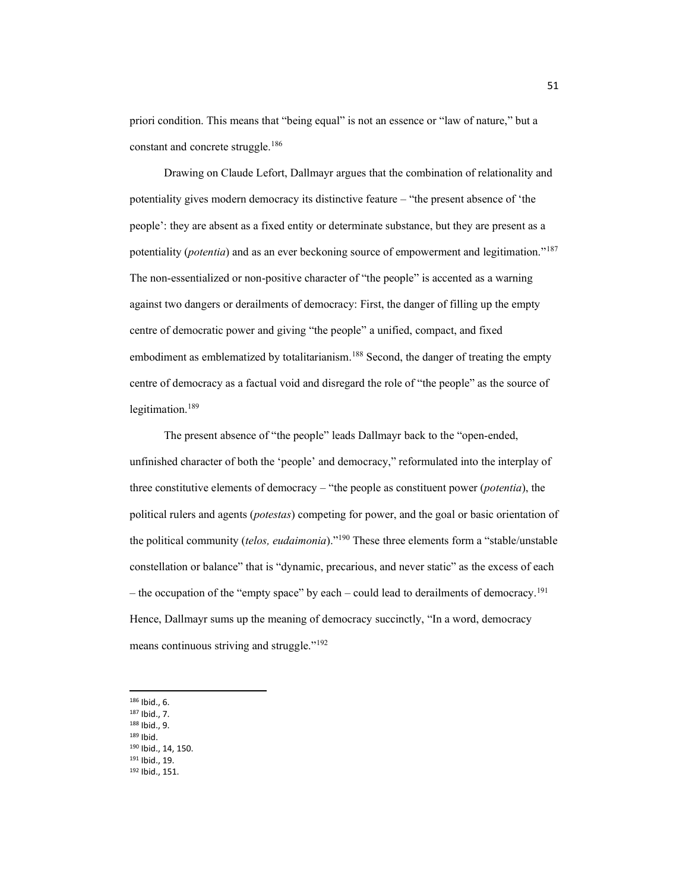priori condition. This means that "being equal" is not an essence or "law of nature," but a constant and concrete struggle.186

Drawing on Claude Lefort, Dallmayr argues that the combination of relationality and potentiality gives modern democracy its distinctive feature  $-$  "the present absence of 'the people': they are absent as a fixed entity or determinate substance, but they are present as a potentiality (*potentia*) and as an ever beckoning source of empowerment and legitimation."<sup>187</sup> The non-essentialized or non-positive character of "the people" is accented as a warning against two dangers or derailments of democracy: First, the danger of filling up the empty centre of democratic power and giving "the people" a unified, compact, and fixed embodiment as emblematized by totalitarianism.<sup>188</sup> Second, the danger of treating the empty centre of democracy as a factual void and disregard the role of "the people" as the source of legitimation. 189

The present absence of "the people" leads Dallmayr back to the "open-ended, unfinished character of both the 'people' and democracy," reformulated into the interplay of three constitutive elements of democracy – "the people as constituent power (*potentia*), the political rulers and agents (*potestas*) competing for power, and the goal or basic orientation of the political community (*telos, eudaimonia*).<sup>"190</sup> These three elements form a "stable/unstable" constellation or balance" that is "dynamic, precarious, and never static" as the excess of each  $-$  the occupation of the "empty space" by each  $-$  could lead to derailments of democracy.<sup>191</sup> Hence, Dallmayr sums up the meaning of democracy succinctly, "In a word, democracy means continuous striving and struggle."<sup>192</sup>

- <sup>186</sup> Ibid., 6.
- <sup>187</sup> Ibid., 7.
- <sup>188</sup> Ibid., 9.
- <sup>189</sup> Ibid.
- <sup>190</sup> Ibid., 14, 150.
- <sup>191</sup> Ibid., 19.
- <sup>192</sup> Ibid., 151.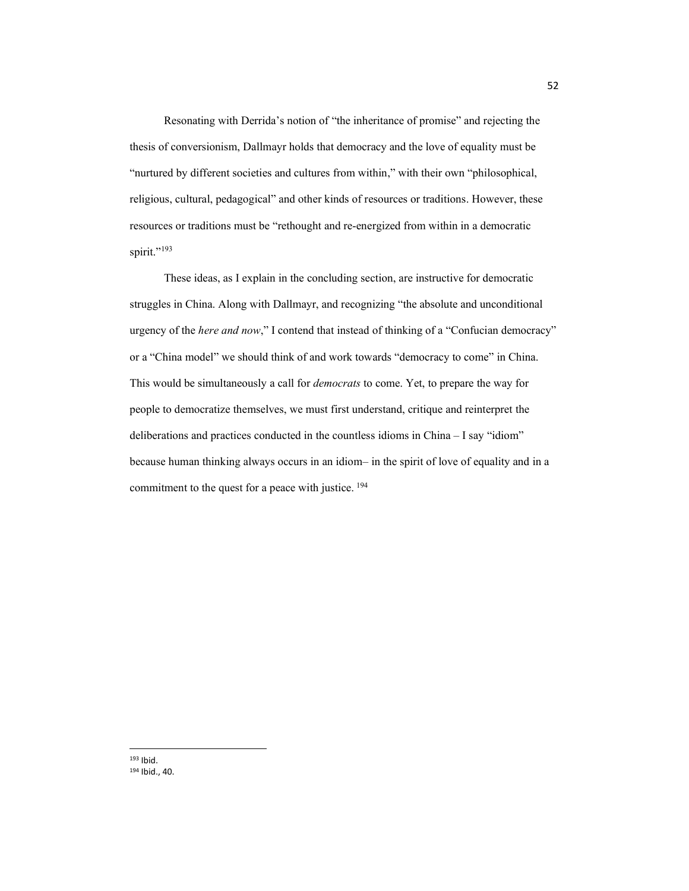Resonating with Derrida's notion of "the inheritance of promise" and rejecting the thesis of conversionism, Dallmayr holds that democracy and the love of equality must be "nurtured by different societies and cultures from within," with their own "philosophical, religious, cultural, pedagogical" and other kinds of resources or traditions. However, these resources or traditions must be "rethought and re-energized from within in a democratic spirit."<sup>193</sup>

These ideas, as I explain in the concluding section, are instructive for democratic struggles in China. Along with Dallmayr, and recognizing "the absolute and unconditional urgency of the *here and now*," I contend that instead of thinking of a "Confucian democracy" or a "China model" we should think of and work towards "democracy to come" in China. This would be simultaneously a call for *democrats* to come. Yet, to prepare the way for people to democratize themselves, we must first understand, critique and reinterpret the deliberations and practices conducted in the countless idioms in China  $- I$  say "idiom" because human thinking always occurs in an idiom- in the spirit of love of equality and in a commitment to the quest for a peace with justice. <sup>194</sup>

<sup>193</sup> Ibid. <sup>194</sup> Ibid., 40.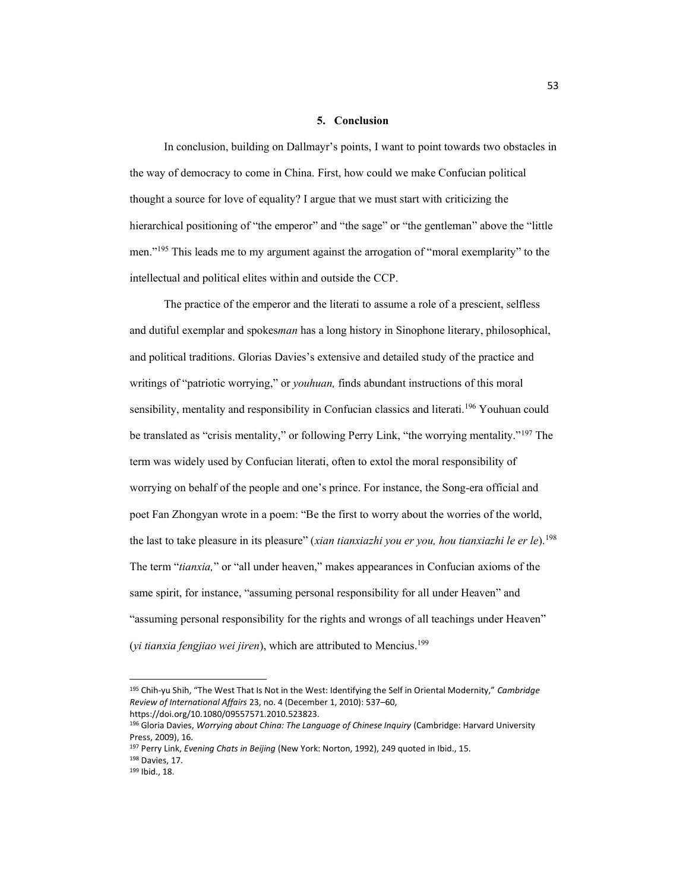## **5. Conclusion**

In conclusion, building on Dallmayr's points, I want to point towards two obstacles in the way of democracy to come in China. First, how could we make Confucian political thought a source for love of equality? I argue that we must start with criticizing the hierarchical positioning of "the emperor" and "the sage" or "the gentleman" above the "little men."<sup>195</sup> This leads me to my argument against the arrogation of "moral exemplarity" to the intellectual and political elites within and outside the CCP.

The practice of the emperor and the literati to assume a role of a prescient, selfless and dutiful exemplar and spokes*man* has a long history in Sinophone literary, philosophical, and political traditions. Glorias Davies's extensive and detailed study of the practice and writings of "patriotic worrying," or *youhuan*, finds abundant instructions of this moral sensibility, mentality and responsibility in Confucian classics and literati.<sup>196</sup> Youhuan could be translated as "crisis mentality," or following Perry Link, "the worrying mentality."<sup>197</sup> The term was widely used by Confucian literati, often to extol the moral responsibility of worrying on behalf of the people and one's prince. For instance, the Song-era official and poet Fan Zhongyan wrote in a poem: "Be the first to worry about the worries of the world, the last to take pleasure in its pleasure" (*xian tianxiazhi you er you, hou tianxiazhi le er le*).<sup>198</sup> The term "*tianxia*," or "all under heaven," makes appearances in Confucian axioms of the same spirit, for instance, "assuming personal responsibility for all under Heaven" and "assuming personal responsibility for the rights and wrongs of all teachings under Heaven" (*yi tianxia fengjiao wei jiren*), which are attributed to Mencius. 199

<sup>195</sup> Chih-yu Shih, "The West That Is Not in the West: Identifying the Self in Oriental Modernity," Cambridge *Review of International Affairs* 23, no. 4 (December 1, 2010): 537-60,

https://doi.org/10.1080/09557571.2010.523823.

<sup>196</sup> Gloria Davies, *Worrying about China: The Language of Chinese Inquiry* (Cambridge: Harvard University Press, 2009), 16.

<sup>197</sup> Perry Link, *Evening Chats in Beijing* (New York: Norton, 1992), 249 quoted in Ibid., 15.

<sup>&</sup>lt;sup>198</sup> Davies, 17.<br><sup>199</sup> Ibid., 18.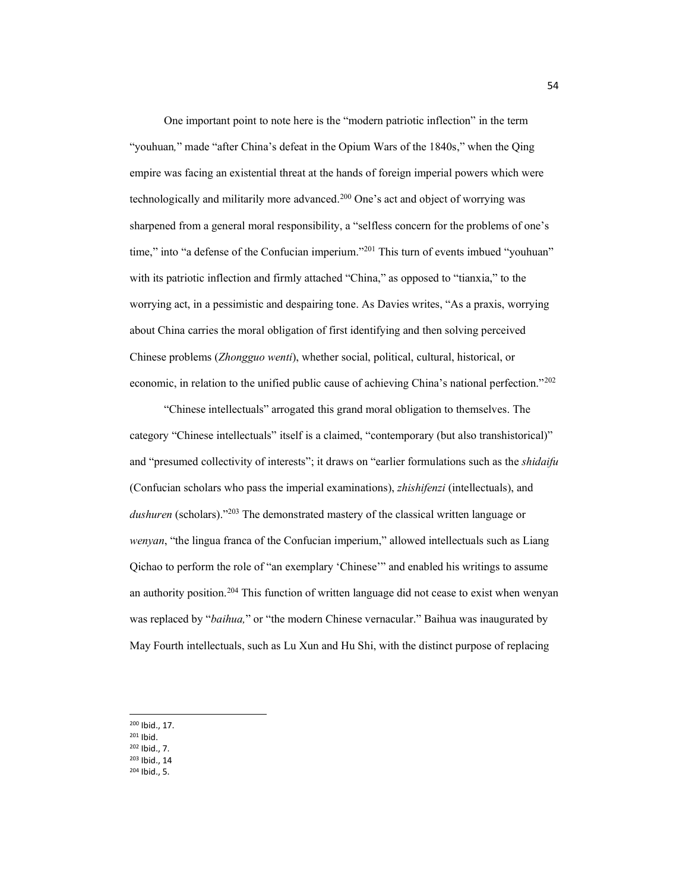One important point to note here is the "modern patriotic inflection" in the term "youhuan," made "after China's defeat in the Opium Wars of the 1840s," when the Qing empire was facing an existential threat at the hands of foreign imperial powers which were technologically and militarily more advanced.<sup>200</sup> One's act and object of worrying was sharpened from a general moral responsibility, a "selfless concern for the problems of one's time," into "a defense of the Confucian imperium."<sup>201</sup> This turn of events imbued "youhuan" with its patriotic inflection and firmly attached "China," as opposed to "tianxia," to the worrying act, in a pessimistic and despairing tone. As Davies writes, "As a praxis, worrying about China carries the moral obligation of first identifying and then solving perceived Chinese problems (*Zhongguo wenti*), whether social, political, cultural, historical, or economic, in relation to the unified public cause of achieving China's national perfection."202

³Chinese intellectuals´ arrogated this grand moral obligation to themselves. The category "Chinese intellectuals" itself is a claimed, "contemporary (but also transhistorical)" and "presumed collectivity of interests"; it draws on "earlier formulations such as the *shidaifu* (Confucian scholars who pass the imperial examinations), *zhishifenzi* (intellectuals), and dushuren (scholars).<sup>203</sup> The demonstrated mastery of the classical written language or *wenyan*, "the lingua franca of the Confucian imperium," allowed intellectuals such as Liang Qichao to perform the role of "an exemplary 'Chinese'" and enabled his writings to assume an authority position.204 This function of written language did not cease to exist when wenyan was replaced by "*baihua*," or "the modern Chinese vernacular." Baihua was inaugurated by May Fourth intellectuals, such as Lu Xun and Hu Shi, with the distinct purpose of replacing

- <sup>202</sup> Ibid., 7.
- <sup>203</sup> Ibid., 14
- <sup>204</sup> Ibid., 5.

<sup>200</sup> Ibid., 17.

<sup>201</sup> Ibid.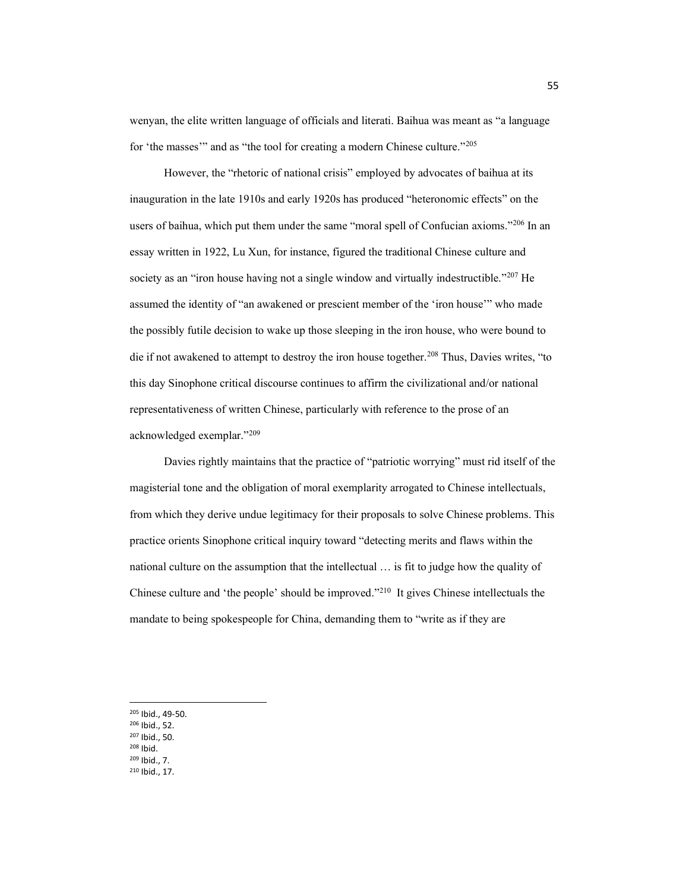wenyan, the elite written language of officials and literati. Baihua was meant as "a language" for 'the masses'" and as "the tool for creating a modern Chinese culture."<sup>205</sup>

However, the "rhetoric of national crisis" employed by advocates of baihua at its inauguration in the late 1910s and early 1920s has produced "heteronomic effects" on the users of baihua, which put them under the same "moral spell of Confucian axioms."<sup>206</sup> In an essay written in 1922, Lu Xun, for instance, figured the traditional Chinese culture and society as an "iron house having not a single window and virtually indestructible."<sup>207</sup> He assumed the identity of "an awakened or prescient member of the 'iron house'" who made the possibly futile decision to wake up those sleeping in the iron house, who were bound to die if not awakened to attempt to destroy the iron house together.<sup>208</sup> Thus, Davies writes, "to this day Sinophone critical discourse continues to affirm the civilizational and/or national representativeness of written Chinese, particularly with reference to the prose of an acknowledged exemplar."209

Davies rightly maintains that the practice of "patriotic worrying" must rid itself of the magisterial tone and the obligation of moral exemplarity arrogated to Chinese intellectuals, from which they derive undue legitimacy for their proposals to solve Chinese problems. This practice orients Sinophone critical inquiry toward "detecting merits and flaws within the national culture on the assumption that the intellectual  $\ldots$  is fit to judge how the quality of Chinese culture and 'the people' should be improved."<sup>210</sup> It gives Chinese intellectuals the mandate to being spokespeople for China, demanding them to "write as if they are

- <sup>205</sup> Ibid., 49-50.
- <sup>206</sup> Ibid., 52.
- <sup>207</sup> Ibid., 50.
- <sup>208</sup> Ibid.
- <sup>209</sup> Ibid., 7.
- <sup>210</sup> Ibid., 17.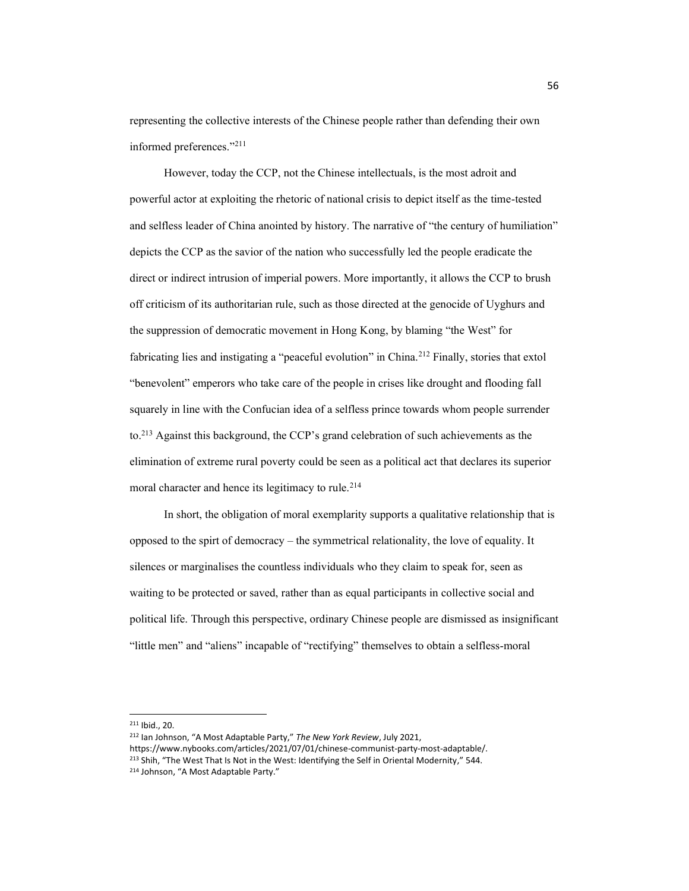representing the collective interests of the Chinese people rather than defending their own informed preferences."211

However, today the CCP, not the Chinese intellectuals, is the most adroit and powerful actor at exploiting the rhetoric of national crisis to depict itself as the time-tested and selfless leader of China anointed by history. The narrative of "the century of humiliation" depicts the CCP as the savior of the nation who successfully led the people eradicate the direct or indirect intrusion of imperial powers. More importantly, it allows the CCP to brush off criticism of its authoritarian rule, such as those directed at the genocide of Uyghurs and the suppression of democratic movement in Hong Kong, by blaming "the West" for fabricating lies and instigating a "peaceful evolution" in China.<sup>212</sup> Finally, stories that extol "benevolent" emperors who take care of the people in crises like drought and flooding fall squarely in line with the Confucian idea of a selfless prince towards whom people surrender to.<sup>213</sup> Against this background, the CCP's grand celebration of such achievements as the elimination of extreme rural poverty could be seen as a political act that declares its superior moral character and hence its legitimacy to rule.<sup>214</sup>

In short, the obligation of moral exemplarity supports a qualitative relationship that is opposed to the spirt of democracy  $-$  the symmetrical relationality, the love of equality. It silences or marginalises the countless individuals who they claim to speak for, seen as waiting to be protected or saved, rather than as equal participants in collective social and political life. Through this perspective, ordinary Chinese people are dismissed as insignificant "little men" and "aliens" incapable of "rectifying" themselves to obtain a selfless-moral

<sup>211</sup> Ibid., 20.

<sup>&</sup>lt;sup>212</sup> Ian Johnson, "A Most Adaptable Party," The New York Review, July 2021,

https://www.nybooks.com/articles/2021/07/01/chinese-communist-party-most-adaptable/.

<sup>&</sup>lt;sup>213</sup> Shih, "The West That Is Not in the West: Identifying the Self in Oriental Modernity," 544. <sup>214</sup> Johnson, "A Most Adaptable Party."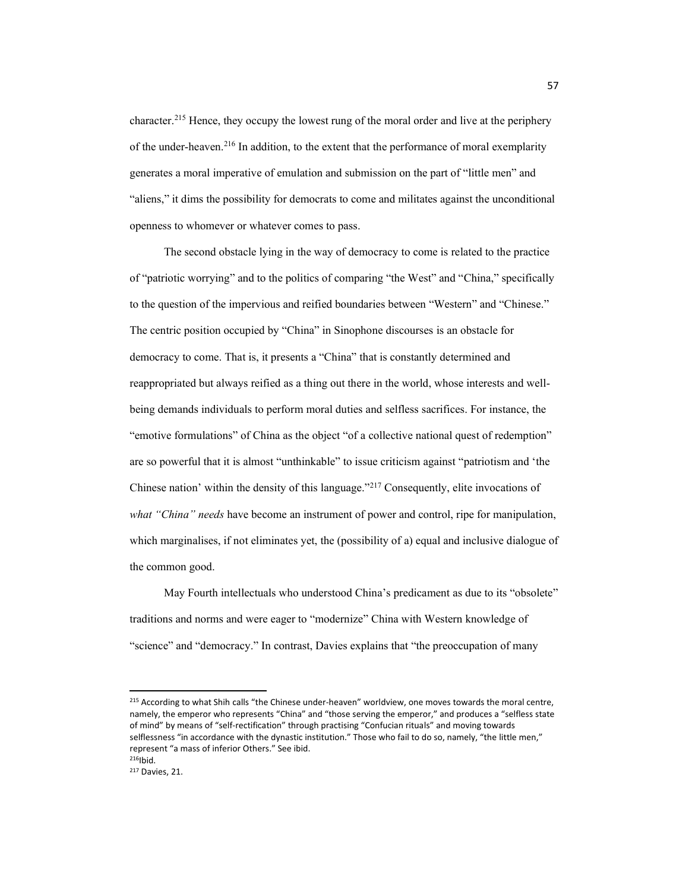character. <sup>215</sup> Hence, they occupy the lowest rung of the moral order and live at the periphery of the under-heaven.<sup>216</sup> In addition, to the extent that the performance of moral exemplarity generates a moral imperative of emulation and submission on the part of "little men" and "aliens," it dims the possibility for democrats to come and militates against the unconditional openness to whomever or whatever comes to pass.

The second obstacle lying in the way of democracy to come is related to the practice of "patriotic worrying" and to the politics of comparing "the West" and "China," specifically to the question of the impervious and reified boundaries between "Western" and "Chinese." The centric position occupied by "China" in Sinophone discourses is an obstacle for democracy to come. That is, it presents a "China" that is constantly determined and reappropriated but always reified as a thing out there in the world, whose interests and wellbeing demands individuals to perform moral duties and selfless sacrifices. For instance, the "emotive formulations" of China as the object "of a collective national quest of redemption" are so powerful that it is almost "unthinkable" to issue criticism against "patriotism and 'the Chinese nation' within the density of this language."<sup>217</sup> Consequently, elite invocations of *what "China" needs* have become an instrument of power and control, ripe for manipulation, which marginalises, if not eliminates yet, the (possibility of a) equal and inclusive dialogue of the common good.

May Fourth intellectuals who understood China's predicament as due to its "obsolete" traditions and norms and were eager to "modernize" China with Western knowledge of "science" and "democracy." In contrast, Davies explains that "the preoccupation of many

<sup>215</sup> According to what Shih calls "the Chinese under-heaven" worldview, one moves towards the moral centre, namely, the emperor who represents "China" and "those serving the emperor," and produces a "selfless state of mind" by means of "self-rectification" through practising "Confucian rituals" and moving towards selflessness "in accordance with the dynastic institution." Those who fail to do so, namely, "the little men," represent "a mass of inferior Others." See ibid.

 $216$ Ibid.

<sup>217</sup> Davies, 21.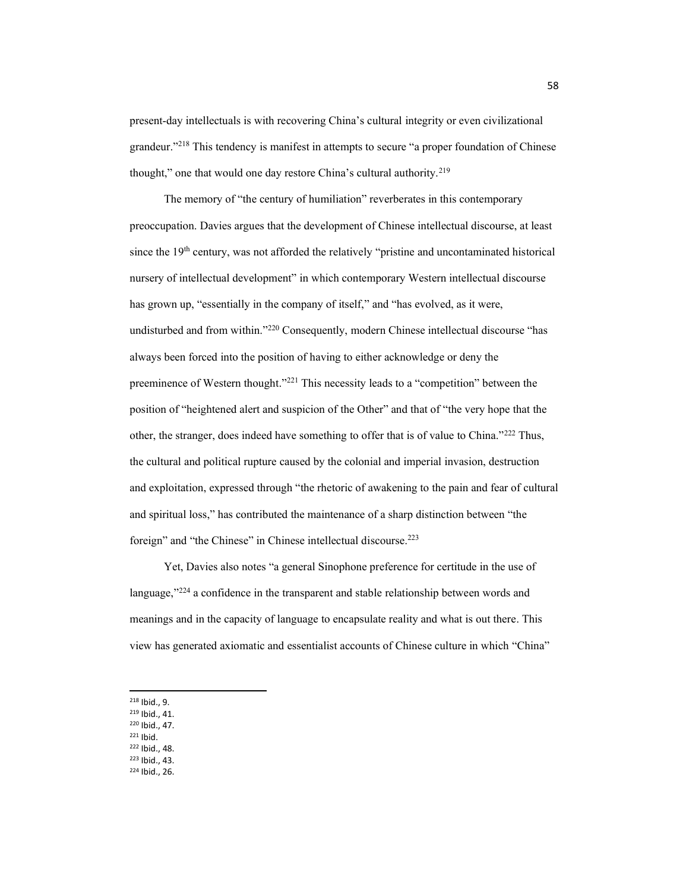present-day intellectuals is with recovering China's cultural integrity or even civilizational grandeur."<sup>218</sup> This tendency is manifest in attempts to secure "a proper foundation of Chinese thought," one that would one day restore China's cultural authority.<sup>219</sup>

The memory of "the century of humiliation" reverberates in this contemporary preoccupation. Davies argues that the development of Chinese intellectual discourse, at least since the  $19<sup>th</sup>$  century, was not afforded the relatively "pristine and uncontaminated historical nursery of intellectual development" in which contemporary Western intellectual discourse has grown up, "essentially in the company of itself," and "has evolved, as it were, undisturbed and from within."<sup>220</sup> Consequently, modern Chinese intellectual discourse "has always been forced into the position of having to either acknowledge or deny the preeminence of Western thought.<sup>"221</sup> This necessity leads to a "competition" between the position of "heightened alert and suspicion of the Other" and that of "the very hope that the other, the stranger, does indeed have something to offer that is of value to China."<sup>222</sup> Thus, the cultural and political rupture caused by the colonial and imperial invasion, destruction and exploitation, expressed through "the rhetoric of awakening to the pain and fear of cultural and spiritual loss," has contributed the maintenance of a sharp distinction between "the foreign" and "the Chinese" in Chinese intellectual discourse.<sup>223</sup>

Yet, Davies also notes "a general Sinophone preference for certitude in the use of language, $\frac{1}{224}$  a confidence in the transparent and stable relationship between words and meanings and in the capacity of language to encapsulate reality and what is out there. This view has generated axiomatic and essentialist accounts of Chinese culture in which "China"

- <sup>219</sup> Ibid., 41.
- <sup>220</sup> Ibid., 47.
- <sup>221</sup> Ibid.
- <sup>222</sup> Ibid., 48.
- <sup>223</sup> Ibid., 43.
- <sup>224</sup> Ibid., 26.

<sup>218</sup> Ibid., 9.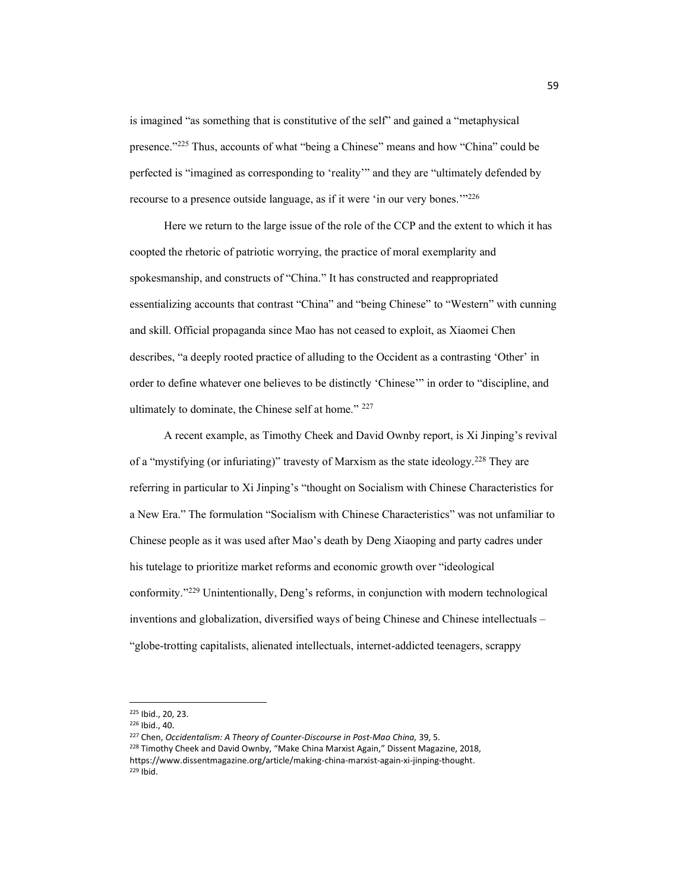is imagined "as something that is constitutive of the self" and gained a "metaphysical presence.<sup>"225</sup> Thus, accounts of what "being a Chinese" means and how "China" could be perfected is "imagined as corresponding to 'reality" and they are "ultimately defended by recourse to a presence outside language, as if it were 'in our very bones."<sup>226</sup>

Here we return to the large issue of the role of the CCP and the extent to which it has coopted the rhetoric of patriotic worrying, the practice of moral exemplarity and spokesmanship, and constructs of "China." It has constructed and reappropriated essentializing accounts that contrast "China" and "being Chinese" to "Western" with cunning and skill. Official propaganda since Mao has not ceased to exploit, as Xiaomei Chen describes, "a deeply rooted practice of alluding to the Occident as a contrasting 'Other' in order to define whatever one believes to be distinctly 'Chinese'" in order to "discipline, and ultimately to dominate, the Chinese self at home."  $227$ 

A recent example, as Timothy Cheek and David Ownby report, is Xi Jinping's revival of a "mystifying (or infuriating)" travesty of Marxism as the state ideology.<sup>228</sup> They are referring in particular to Xi Jinping's "thought on Socialism with Chinese Characteristics for a New Era." The formulation "Socialism with Chinese Characteristics" was not unfamiliar to Chinese people as it was used after Mao's death by Deng Xiaoping and party cadres under his tutelage to prioritize market reforms and economic growth over "ideological conformity." $229$  Unintentionally, Deng's reforms, in conjunction with modern technological inventions and globalization, diversified ways of being Chinese and Chinese intellectuals -"globe-trotting capitalists, alienated intellectuals, internet-addicted teenagers, scrappy

<sup>225</sup> Ibid., 20, 23.

<sup>226</sup> Ibid., 40.

<sup>227</sup> Chen, *Occidentalism: A Theory of Counter-Discourse in Post-Mao China,* 39, 5. <sup>228</sup> Timothy Cheek and David Ownby, "Make China Marxist Again," Dissent Magazine, 2018, https://www.dissentmagazine.org/article/making-china-marxist-again-xi-jinping-thought. <sup>229</sup> Ibid.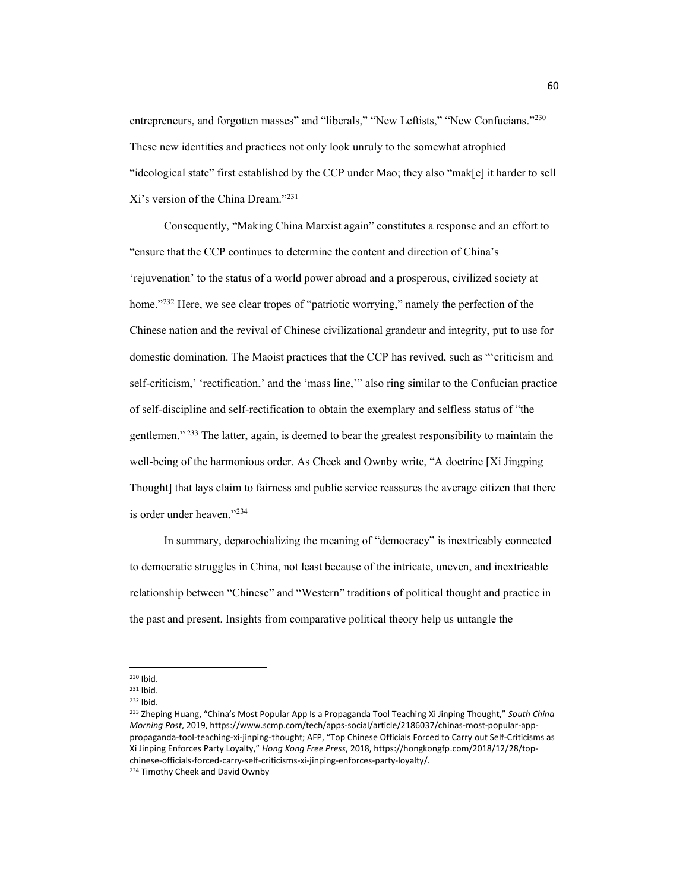entrepreneurs, and forgotten masses" and "liberals," "New Leftists," "New Confucians."<sup>230</sup> These new identities and practices not only look unruly to the somewhat atrophied "ideological state" first established by the CCP under Mao; they also "mak[e] it harder to sell Xi's version of the China Dream."231

Consequently, "Making China Marxist again" constitutes a response and an effort to "ensure that the CCP continues to determine the content and direction of China's 'rejuvenation' to the status of a world power abroad and a prosperous, civilized society at home." $232$  Here, we see clear tropes of "patriotic worrying," namely the perfection of the Chinese nation and the revival of Chinese civilizational grandeur and integrity, put to use for domestic domination. The Maoist practices that the CCP has revived, such as "criticism and self-criticism,' 'rectification,' and the 'mass line,'" also ring similar to the Confucian practice of self-discipline and self-rectification to obtain the exemplary and selfless status of "the gentlemen.<sup> $\frac{233}{23}$ </sup> The latter, again, is deemed to bear the greatest responsibility to maintain the well-being of the harmonious order. As Cheek and Ownby write, "A doctrine [Xi Jingping] Thought] that lays claim to fairness and public service reassures the average citizen that there is order under heaven."234

In summary, deparochializing the meaning of "democracy" is inextricably connected to democratic struggles in China, not least because of the intricate, uneven, and inextricable relationship between "Chinese" and "Western" traditions of political thought and practice in the past and present. Insights from comparative political theory help us untangle the

<sup>230</sup> Ibid.

<sup>231</sup> Ibid.

<sup>232</sup> Ibid.

<sup>&</sup>lt;sup>233</sup> Zheping Huang, "China's Most Popular App Is a Propaganda Tool Teaching Xi Jinping Thought," South China *Morning Post*, 2019, https://www.scmp.com/tech/apps-social/article/2186037/chinas-most-popular-apppropaganda-tool-teaching-xi-jinping-thought; AFP, "Top Chinese Officials Forced to Carry out Self-Criticisms as Xi Jinping Enforces Party Loyalty," Hong Kong Free Press, 2018, https://hongkongfp.com/2018/12/28/topchinese-officials-forced-carry-self-criticisms-xi-jinping-enforces-party-loyalty/.

<sup>234</sup> Timothy Cheek and David Ownby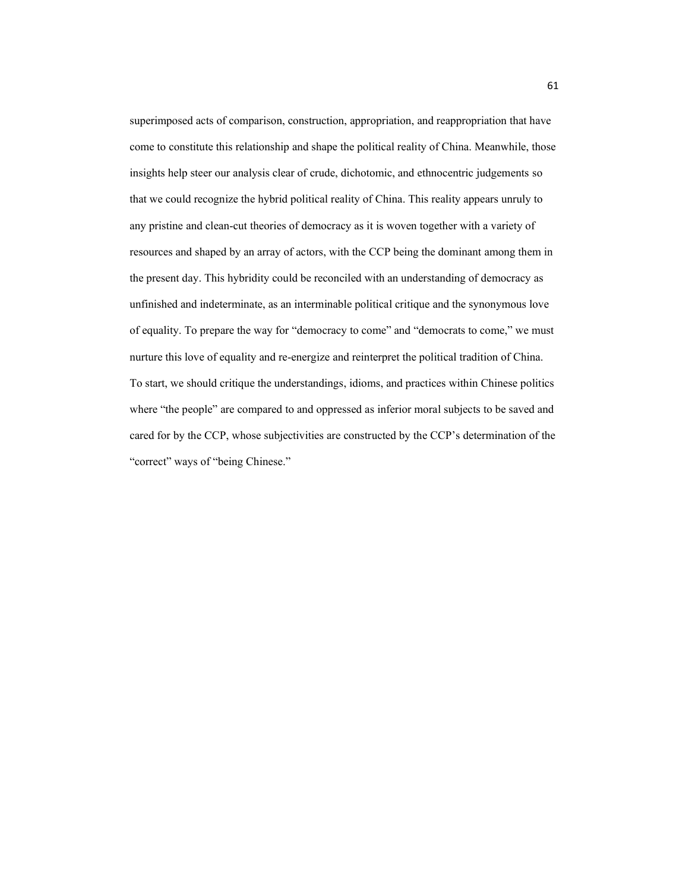superimposed acts of comparison, construction, appropriation, and reappropriation that have come to constitute this relationship and shape the political reality of China. Meanwhile, those insights help steer our analysis clear of crude, dichotomic, and ethnocentric judgements so that we could recognize the hybrid political reality of China. This reality appears unruly to any pristine and clean-cut theories of democracy as it is woven together with a variety of resources and shaped by an array of actors, with the CCP being the dominant among them in the present day. This hybridity could be reconciled with an understanding of democracy as unfinished and indeterminate, as an interminable political critique and the synonymous love of equality. To prepare the way for "democracy to come" and "democrats to come," we must nurture this love of equality and re-energize and reinterpret the political tradition of China. To start, we should critique the understandings, idioms, and practices within Chinese politics where "the people" are compared to and oppressed as inferior moral subjects to be saved and cared for by the CCP, whose subjectivities are constructed by the CCP's determination of the "correct" ways of "being Chinese."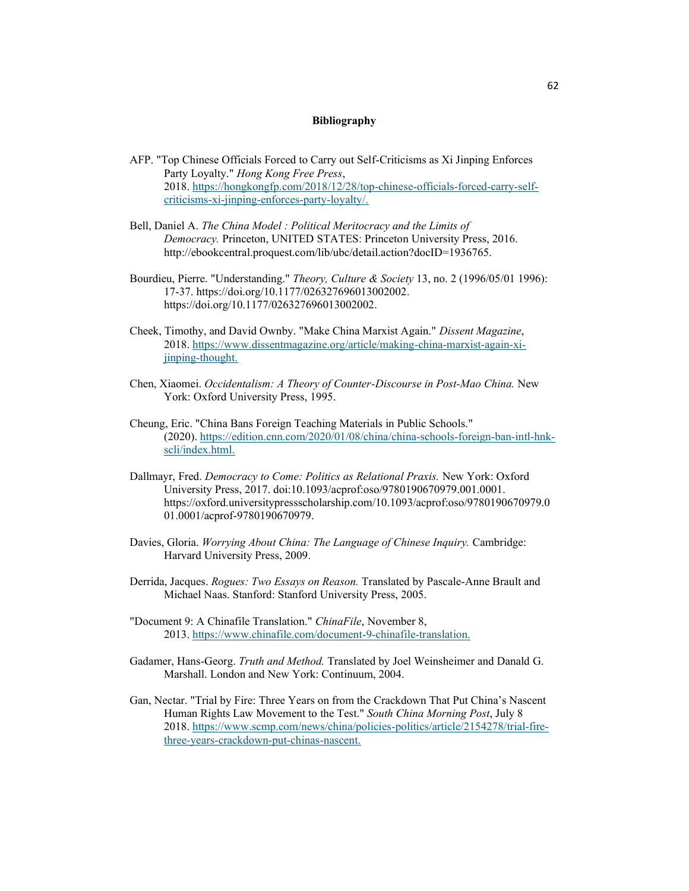#### **Bibliography**

- AFP. "Top Chinese Officials Forced to Carry out Self-Criticisms as Xi Jinping Enforces Party Loyalty." *Hong Kong Free Press*, 2018. https://hongkongfp.com/2018/12/28/top-chinese-officials-forced-carry-selfcriticisms-xi-jinping-enforces-party-loyalty/.
- Bell, Daniel A. *The China Model : Political Meritocracy and the Limits of Democracy.* Princeton, UNITED STATES: Princeton University Press, 2016. http://ebookcentral.proquest.com/lib/ubc/detail.action?docID=1936765.
- Bourdieu, Pierre. "Understanding." *Theory, Culture & Society* 13, no. 2 (1996/05/01 1996): 17-37. https://doi.org/10.1177/026327696013002002. https://doi.org/10.1177/026327696013002002.
- Cheek, Timothy, and David Ownby. "Make China Marxist Again." *Dissent Magazine*, 2018. https://www.dissentmagazine.org/article/making-china-marxist-again-xijinping-thought.
- Chen, Xiaomei. *Occidentalism: A Theory of Counter-Discourse in Post-Mao China.* New York: Oxford University Press, 1995.
- Cheung, Eric. "China Bans Foreign Teaching Materials in Public Schools." (2020). https://edition.cnn.com/2020/01/08/china/china-schools-foreign-ban-intl-hnkscli/index.html.
- Dallmayr, Fred. *Democracy to Come: Politics as Relational Praxis.* New York: Oxford University Press, 2017. doi:10.1093/acprof:oso/9780190670979.001.0001. https://oxford.universitypressscholarship.com/10.1093/acprof:oso/9780190670979.0 01.0001/acprof-9780190670979.
- Davies, Gloria. *Worrying About China: The Language of Chinese Inquiry.* Cambridge: Harvard University Press, 2009.
- Derrida, Jacques. *Rogues: Two Essays on Reason.* Translated by Pascale-Anne Brault and Michael Naas. Stanford: Stanford University Press, 2005.
- "Document 9: A Chinafile Translation." *ChinaFile*, November 8, 2013. https://www.chinafile.com/document-9-chinafile-translation.
- Gadamer, Hans-Georg. *Truth and Method.* Translated by Joel Weinsheimer and Danald G. Marshall. London and New York: Continuum, 2004.
- Gan, Nectar. "Trial by Fire: Three Years on from the Crackdown That Put China's Nascent Human Rights Law Movement to the Test." *South China Morning Post*, July 8 2018. https://www.scmp.com/news/china/policies-politics/article/2154278/trial-firethree-years-crackdown-put-chinas-nascent.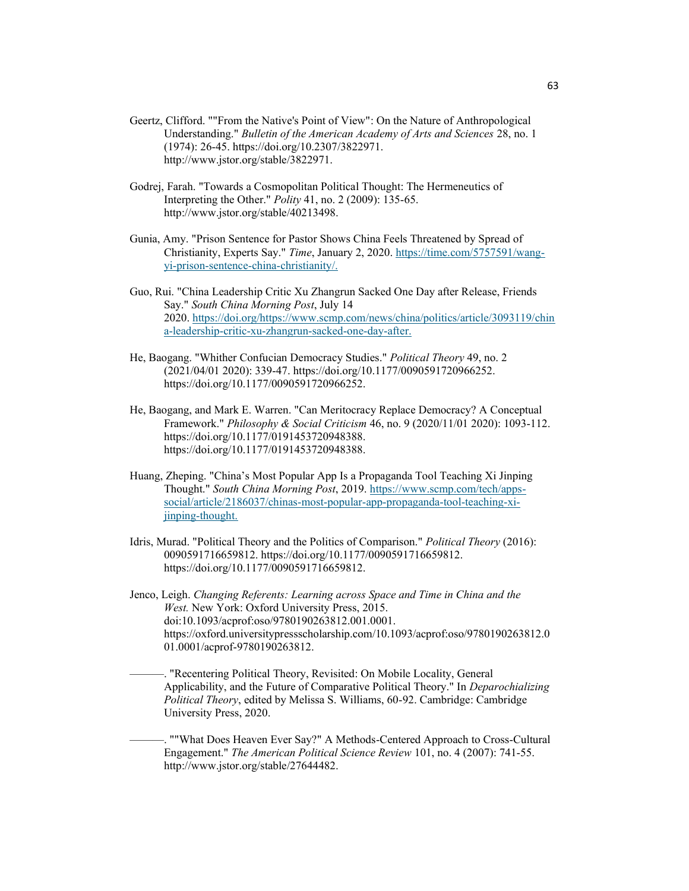- Geertz, Clifford. ""From the Native's Point of View": On the Nature of Anthropological Understanding." *Bulletin of the American Academy of Arts and Sciences* 28, no. 1 (1974): 26-45. https://doi.org/10.2307/3822971. http://www.jstor.org/stable/3822971.
- Godrej, Farah. "Towards a Cosmopolitan Political Thought: The Hermeneutics of Interpreting the Other." *Polity* 41, no. 2 (2009): 135-65. http://www.jstor.org/stable/40213498.
- Gunia, Amy. "Prison Sentence for Pastor Shows China Feels Threatened by Spread of Christianity, Experts Say." *Time*, January 2, 2020. https://time.com/5757591/wangyi-prison-sentence-china-christianity/.
- Guo, Rui. "China Leadership Critic Xu Zhangrun Sacked One Day after Release, Friends Say." *South China Morning Post*, July 14 2020. https://doi.org/https://www.scmp.com/news/china/politics/article/3093119/chin a-leadership-critic-xu-zhangrun-sacked-one-day-after.
- He, Baogang. "Whither Confucian Democracy Studies." *Political Theory* 49, no. 2 (2021/04/01 2020): 339-47. https://doi.org/10.1177/0090591720966252. https://doi.org/10.1177/0090591720966252.
- He, Baogang, and Mark E. Warren. "Can Meritocracy Replace Democracy? A Conceptual Framework." *Philosophy & Social Criticism* 46, no. 9 (2020/11/01 2020): 1093-112. https://doi.org/10.1177/0191453720948388. https://doi.org/10.1177/0191453720948388.
- Huang, Zheping. "China's Most Popular App Is a Propaganda Tool Teaching Xi Jinping Thought." *South China Morning Post*, 2019. https://www.scmp.com/tech/appssocial/article/2186037/chinas-most-popular-app-propaganda-tool-teaching-xijinping-thought.
- Idris, Murad. "Political Theory and the Politics of Comparison." *Political Theory* (2016): 0090591716659812. https://doi.org/10.1177/0090591716659812. https://doi.org/10.1177/0090591716659812.
- Jenco, Leigh. *Changing Referents: Learning across Space and Time in China and the West.* New York: Oxford University Press, 2015. doi:10.1093/acprof:oso/9780190263812.001.0001. https://oxford.universitypressscholarship.com/10.1093/acprof:oso/9780190263812.0 01.0001/acprof-9780190263812.

-. "Recentering Political Theory, Revisited: On Mobile Locality, General Applicability, and the Future of Comparative Political Theory." In *Deparochializing Political Theory*, edited by Melissa S. Williams, 60-92. Cambridge: Cambridge University Press, 2020.

²²². ""What Does Heaven Ever Say?" A Methods-Centered Approach to Cross-Cultural Engagement." *The American Political Science Review* 101, no. 4 (2007): 741-55. http://www.jstor.org/stable/27644482.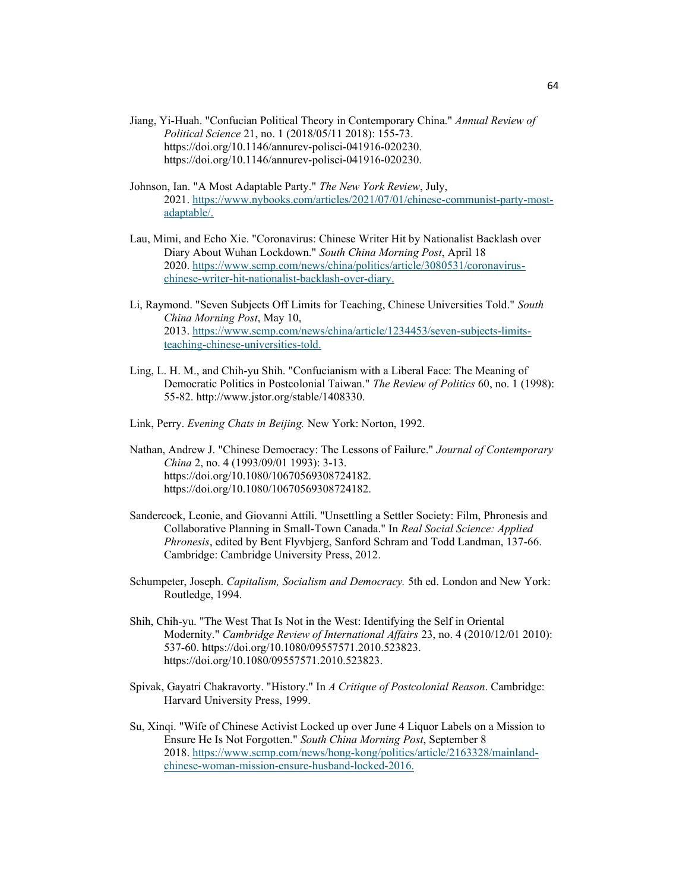- Jiang, Yi-Huah. "Confucian Political Theory in Contemporary China." *Annual Review of Political Science* 21, no. 1 (2018/05/11 2018): 155-73. https://doi.org/10.1146/annurev-polisci-041916-020230. https://doi.org/10.1146/annurev-polisci-041916-020230.
- Johnson, Ian. "A Most Adaptable Party." *The New York Review*, July, 2021. https://www.nybooks.com/articles/2021/07/01/chinese-communist-party-mostadaptable/.
- Lau, Mimi, and Echo Xie. "Coronavirus: Chinese Writer Hit by Nationalist Backlash over Diary About Wuhan Lockdown." *South China Morning Post*, April 18 2020. https://www.scmp.com/news/china/politics/article/3080531/coronaviruschinese-writer-hit-nationalist-backlash-over-diary.
- Li, Raymond. "Seven Subjects Off Limits for Teaching, Chinese Universities Told." *South China Morning Post*, May 10, 2013. https://www.scmp.com/news/china/article/1234453/seven-subjects-limitsteaching-chinese-universities-told.
- Ling, L. H. M., and Chih-yu Shih. "Confucianism with a Liberal Face: The Meaning of Democratic Politics in Postcolonial Taiwan." *The Review of Politics* 60, no. 1 (1998): 55-82. http://www.jstor.org/stable/1408330.
- Link, Perry. *Evening Chats in Beijing.* New York: Norton, 1992.
- Nathan, Andrew J. "Chinese Democracy: The Lessons of Failure." *Journal of Contemporary China* 2, no. 4 (1993/09/01 1993): 3-13. https://doi.org/10.1080/10670569308724182. https://doi.org/10.1080/10670569308724182.
- Sandercock, Leonie, and Giovanni Attili. "Unsettling a Settler Society: Film, Phronesis and Collaborative Planning in Small-Town Canada." In *Real Social Science: Applied Phronesis*, edited by Bent Flyvbjerg, Sanford Schram and Todd Landman, 137-66. Cambridge: Cambridge University Press, 2012.
- Schumpeter, Joseph. *Capitalism, Socialism and Democracy.* 5th ed. London and New York: Routledge, 1994.
- Shih, Chih-yu. "The West That Is Not in the West: Identifying the Self in Oriental Modernity." *Cambridge Review of International Affairs* 23, no. 4 (2010/12/01 2010): 537-60. https://doi.org/10.1080/09557571.2010.523823. https://doi.org/10.1080/09557571.2010.523823.
- Spivak, Gayatri Chakravorty. "History." In *A Critique of Postcolonial Reason*. Cambridge: Harvard University Press, 1999.
- Su, Xinqi. "Wife of Chinese Activist Locked up over June 4 Liquor Labels on a Mission to Ensure He Is Not Forgotten." *South China Morning Post*, September 8 2018. https://www.scmp.com/news/hong-kong/politics/article/2163328/mainlandchinese-woman-mission-ensure-husband-locked-2016.